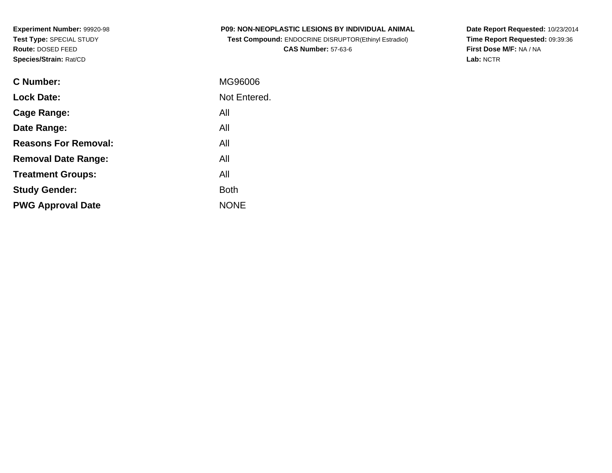**Experiment Number:** 99920-98**Test Type:** SPECIAL STUDY**Route:** DOSED FEED**Species/Strain:** Rat/CD

| <b>P09: NON-NEOPLASTIC LESIONS BY INDIVIDUAL ANIMAL</b>      |  |
|--------------------------------------------------------------|--|
| <b>Test Compound: ENDOCRINE DISRUPTOR(Ethinyl Estradiol)</b> |  |

**CAS Number:** 57-63-6

**Date Report Requested:** 10/23/2014 **Time Report Requested:** 09:39:36**First Dose M/F:** NA / NA**Lab:** NCTR

| C Number:                   | MG96006      |
|-----------------------------|--------------|
| <b>Lock Date:</b>           | Not Entered. |
| Cage Range:                 | All          |
| Date Range:                 | All          |
| <b>Reasons For Removal:</b> | All          |
| <b>Removal Date Range:</b>  | All          |
| <b>Treatment Groups:</b>    | All          |
| <b>Study Gender:</b>        | <b>Both</b>  |
| <b>PWG Approval Date</b>    | <b>NONE</b>  |
|                             |              |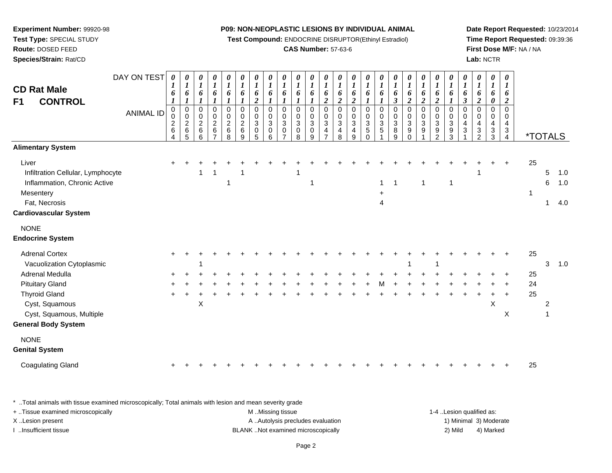**Test Compound:** ENDOCRINE DISRUPTOR(Ethinyl Estradiol)

## **CAS Number:** 57-63-6

**Date Report Requested:** 10/23/2014**Time Report Requested:** 09:39:36**First Dose M/F:** NA / NA**Lab:** NCTR

| DAY ON TEST<br><b>CD Rat Male</b><br><b>CONTROL</b><br>F <sub>1</sub><br><b>ANIMAL ID</b>                                                | 0<br>1<br>6<br>$\pmb{0}$<br>0<br>$\overline{c}$<br>6<br>4 | $\pmb{\theta}$<br>$\boldsymbol{l}$<br>6<br>$\boldsymbol{l}$<br>$\pmb{0}$<br>$\pmb{0}$<br>$\sqrt{2}$<br>$\,6$<br>5 | $\boldsymbol{\theta}$<br>$\boldsymbol{l}$<br>6<br>$\boldsymbol{l}$<br>$\pmb{0}$<br>$\pmb{0}$<br>$\sqrt{2}$<br>$\,6$<br>6 | $\pmb{\theta}$<br>$\boldsymbol{l}$<br>6<br>$\pmb{0}$<br>$\mathbf 0$<br>$\sqrt{2}$<br>$\,6\,$ | 0<br>$\boldsymbol{l}$<br>6<br>0<br>$\pmb{0}$<br>$\overline{2}$<br>$\,6\,$<br>8 | 0<br>$\boldsymbol{l}$<br>6<br>$\pmb{0}$<br>$\pmb{0}$<br>$\overline{c}$<br>$\,6$<br>9 | $\pmb{\theta}$<br>$\boldsymbol{l}$<br>6<br>$\overline{c}$<br>$\mathbf 0$<br>$\pmb{0}$<br>$\sqrt{3}$<br>0<br>5 | $\pmb{\theta}$<br>$\boldsymbol{l}$<br>6<br>$\mathbf 0$<br>$\pmb{0}$<br>$\sqrt{3}$<br>$\,0\,$<br>6 | $\boldsymbol{\theta}$<br>$\boldsymbol{l}$<br>6<br>$\mathbf 0$<br>0<br>3<br>0 | 0<br>$\boldsymbol{l}$<br>6<br>0<br>0<br>$\sqrt{3}$<br>0<br>8 | $\boldsymbol{\theta}$<br>6<br>$\mathbf 0$<br>$\mathbf 0$<br>$\sqrt{3}$<br>$\mathbf 0$<br>q | 0<br>6<br>$\overline{2}$<br>0<br>0<br>$\mathbf{3}$<br>4 | 0<br>1<br>6<br>$\overline{\mathbf{c}}$<br>0<br>$\mathsf 0$<br>$\ensuremath{\mathsf{3}}$<br>4<br>8 | 0<br>1<br>6<br>$\boldsymbol{2}$<br>$\pmb{0}$<br>$\pmb{0}$<br>$\ensuremath{\mathsf{3}}$<br>4<br>9 | $\pmb{\theta}$<br>$\boldsymbol{l}$<br>6<br>$\pmb{0}$<br>$\pmb{0}$<br>$\sqrt{3}$<br>$\mathbf 5$<br>$\Omega$ | 0<br>$\boldsymbol{l}$<br>6<br>$\pmb{0}$<br>0<br>$\mathbf{3}$<br>5 | 0<br>$\boldsymbol{l}$<br>6<br>3<br>$\pmb{0}$<br>$\pmb{0}$<br>$\ensuremath{\mathsf{3}}$<br>$\bf 8$<br>9 | $\boldsymbol{\theta}$<br>$\boldsymbol{l}$<br>6<br>$\overline{c}$<br>$\pmb{0}$<br>$\pmb{0}$<br>$\ensuremath{\mathsf{3}}$<br>9<br>$\Omega$ | $\pmb{\theta}$<br>$\boldsymbol{l}$<br>6<br>$\boldsymbol{2}$<br>$\pmb{0}$<br>$\pmb{0}$<br>$\ensuremath{\mathsf{3}}$<br>$\boldsymbol{9}$ | 0<br>$\boldsymbol{l}$<br>6<br>$\overline{2}$<br>0<br>$\mathbf 0$<br>$\mathbf{3}$<br>9<br>$\mathfrak{p}$ | $\pmb{\theta}$<br>$\boldsymbol{l}$<br>6<br>$\pmb{0}$<br>$\pmb{0}$<br>$\mathbf{3}$<br>9<br>3 | $\pmb{\theta}$<br>$\boldsymbol{l}$<br>6<br>$\boldsymbol{\beta}$<br>$\pmb{0}$<br>$\pmb{0}$<br>$\overline{\mathbf{4}}$<br>$\sqrt{3}$ | $\pmb{\theta}$<br>$\boldsymbol{l}$<br>6<br>$\boldsymbol{2}$<br>$\mathbf 0$<br>$\pmb{0}$<br>$\overline{\mathbf{4}}$<br>$\ensuremath{\mathsf{3}}$<br>$\mathcal{P}$ | $\boldsymbol{\theta}$<br>$\boldsymbol{l}$<br>6<br>0<br>$\mathbf 0$<br>$\mathbf 0$<br>$\overline{4}$<br>$\mathbf{3}$<br>3 | $\boldsymbol{\theta}$<br>$\boldsymbol{I}$<br>6<br>2<br>$\mathbf 0$<br>0<br>$\overline{4}$<br>3<br>4 | <i><b>*TOTALS</b></i> |        |                   |
|------------------------------------------------------------------------------------------------------------------------------------------|-----------------------------------------------------------|-------------------------------------------------------------------------------------------------------------------|--------------------------------------------------------------------------------------------------------------------------|----------------------------------------------------------------------------------------------|--------------------------------------------------------------------------------|--------------------------------------------------------------------------------------|---------------------------------------------------------------------------------------------------------------|---------------------------------------------------------------------------------------------------|------------------------------------------------------------------------------|--------------------------------------------------------------|--------------------------------------------------------------------------------------------|---------------------------------------------------------|---------------------------------------------------------------------------------------------------|--------------------------------------------------------------------------------------------------|------------------------------------------------------------------------------------------------------------|-------------------------------------------------------------------|--------------------------------------------------------------------------------------------------------|------------------------------------------------------------------------------------------------------------------------------------------|----------------------------------------------------------------------------------------------------------------------------------------|---------------------------------------------------------------------------------------------------------|---------------------------------------------------------------------------------------------|------------------------------------------------------------------------------------------------------------------------------------|------------------------------------------------------------------------------------------------------------------------------------------------------------------|--------------------------------------------------------------------------------------------------------------------------|-----------------------------------------------------------------------------------------------------|-----------------------|--------|-------------------|
| <b>Alimentary System</b>                                                                                                                 |                                                           |                                                                                                                   |                                                                                                                          |                                                                                              |                                                                                |                                                                                      |                                                                                                               |                                                                                                   |                                                                              |                                                              |                                                                                            |                                                         |                                                                                                   |                                                                                                  |                                                                                                            |                                                                   |                                                                                                        |                                                                                                                                          |                                                                                                                                        |                                                                                                         |                                                                                             |                                                                                                                                    |                                                                                                                                                                  |                                                                                                                          |                                                                                                     |                       |        |                   |
| Liver<br>Infiltration Cellular, Lymphocyte<br>Inflammation, Chronic Active<br>Mesentery<br>Fat, Necrosis<br><b>Cardiovascular System</b> |                                                           |                                                                                                                   |                                                                                                                          |                                                                                              |                                                                                |                                                                                      |                                                                                                               |                                                                                                   |                                                                              |                                                              | 1                                                                                          |                                                         |                                                                                                   |                                                                                                  |                                                                                                            | 1<br>4                                                            |                                                                                                        |                                                                                                                                          |                                                                                                                                        |                                                                                                         |                                                                                             |                                                                                                                                    |                                                                                                                                                                  |                                                                                                                          |                                                                                                     | 25<br>$\mathbf{1}$    | 5<br>6 | 1.0<br>1.0<br>4.0 |
|                                                                                                                                          |                                                           |                                                                                                                   |                                                                                                                          |                                                                                              |                                                                                |                                                                                      |                                                                                                               |                                                                                                   |                                                                              |                                                              |                                                                                            |                                                         |                                                                                                   |                                                                                                  |                                                                                                            |                                                                   |                                                                                                        |                                                                                                                                          |                                                                                                                                        |                                                                                                         |                                                                                             |                                                                                                                                    |                                                                                                                                                                  |                                                                                                                          |                                                                                                     |                       |        |                   |
| <b>NONE</b><br><b>Endocrine System</b>                                                                                                   |                                                           |                                                                                                                   |                                                                                                                          |                                                                                              |                                                                                |                                                                                      |                                                                                                               |                                                                                                   |                                                                              |                                                              |                                                                                            |                                                         |                                                                                                   |                                                                                                  |                                                                                                            |                                                                   |                                                                                                        |                                                                                                                                          |                                                                                                                                        |                                                                                                         |                                                                                             |                                                                                                                                    |                                                                                                                                                                  |                                                                                                                          |                                                                                                     |                       |        |                   |
| <b>Adrenal Cortex</b><br>Vacuolization Cytoplasmic<br>Adrenal Medulla                                                                    |                                                           |                                                                                                                   |                                                                                                                          |                                                                                              |                                                                                |                                                                                      |                                                                                                               |                                                                                                   |                                                                              |                                                              |                                                                                            |                                                         |                                                                                                   |                                                                                                  |                                                                                                            |                                                                   |                                                                                                        |                                                                                                                                          |                                                                                                                                        |                                                                                                         |                                                                                             |                                                                                                                                    |                                                                                                                                                                  |                                                                                                                          |                                                                                                     | 25<br>25              | 3      | 1.0               |
| <b>Pituitary Gland</b><br><b>Thyroid Gland</b><br>Cyst, Squamous<br>Cyst, Squamous, Multiple                                             |                                                           |                                                                                                                   | X                                                                                                                        |                                                                                              |                                                                                |                                                                                      |                                                                                                               |                                                                                                   |                                                                              |                                                              |                                                                                            |                                                         |                                                                                                   |                                                                                                  |                                                                                                            |                                                                   |                                                                                                        |                                                                                                                                          |                                                                                                                                        |                                                                                                         |                                                                                             |                                                                                                                                    |                                                                                                                                                                  | $\boldsymbol{\mathsf{X}}$                                                                                                | $\mathsf X$                                                                                         | 24<br>25              | 2      |                   |
| <b>General Body System</b>                                                                                                               |                                                           |                                                                                                                   |                                                                                                                          |                                                                                              |                                                                                |                                                                                      |                                                                                                               |                                                                                                   |                                                                              |                                                              |                                                                                            |                                                         |                                                                                                   |                                                                                                  |                                                                                                            |                                                                   |                                                                                                        |                                                                                                                                          |                                                                                                                                        |                                                                                                         |                                                                                             |                                                                                                                                    |                                                                                                                                                                  |                                                                                                                          |                                                                                                     |                       |        |                   |
| <b>NONE</b><br><b>Genital System</b>                                                                                                     |                                                           |                                                                                                                   |                                                                                                                          |                                                                                              |                                                                                |                                                                                      |                                                                                                               |                                                                                                   |                                                                              |                                                              |                                                                                            |                                                         |                                                                                                   |                                                                                                  |                                                                                                            |                                                                   |                                                                                                        |                                                                                                                                          |                                                                                                                                        |                                                                                                         |                                                                                             |                                                                                                                                    |                                                                                                                                                                  |                                                                                                                          |                                                                                                     |                       |        |                   |
| <b>Coagulating Gland</b>                                                                                                                 |                                                           |                                                                                                                   |                                                                                                                          |                                                                                              |                                                                                |                                                                                      |                                                                                                               |                                                                                                   |                                                                              |                                                              |                                                                                            |                                                         |                                                                                                   |                                                                                                  |                                                                                                            |                                                                   |                                                                                                        |                                                                                                                                          |                                                                                                                                        |                                                                                                         |                                                                                             |                                                                                                                                    |                                                                                                                                                                  |                                                                                                                          |                                                                                                     | 25                    |        |                   |

\* ..Total animals with tissue examined microscopically; Total animals with lesion and mean severity grade

| + Tissue examined microscopically | M Missing tissue                   | 1-4 Lesion qualified as: |                        |
|-----------------------------------|------------------------------------|--------------------------|------------------------|
| X Lesion present                  | A Autolysis precludes evaluation   |                          | 1) Minimal 3) Moderate |
| …Insufficient tissue              | BLANK Not examined microscopically | 2) Mild                  | 4) Marked              |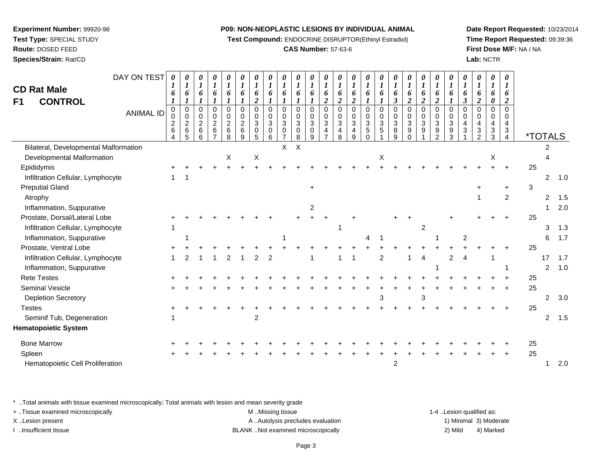**Test Compound:** ENDOCRINE DISRUPTOR(Ethinyl Estradiol)

## **CAS Number:** 57-63-6

**Date Report Requested:** 10/23/2014**Time Report Requested:** 09:39:36**First Dose M/F:** NA / NA**Lab:** NCTR

| DAY ON TEST<br><b>CD Rat Male</b><br><b>CONTROL</b><br>F1<br><b>ANIMAL ID</b> | $\boldsymbol{\theta}$<br>6<br>0<br>$\overline{c}$ | 0<br>$\boldsymbol{l}$<br>6<br>$\mathbf 0$<br>$\pmb{0}$ | 0<br>$\boldsymbol{l}$<br>6<br>0<br>0<br>$\overline{2}$ | 0<br>$\boldsymbol{l}$<br>6<br>0<br>0<br>$\overline{c}$ | $\boldsymbol{\theta}$<br>$\boldsymbol{l}$<br>6<br>$\mathbf 0$<br>0<br>$\boldsymbol{2}$ | $\boldsymbol{\theta}$<br>$\boldsymbol{l}$<br>6<br>$\mathbf 0$<br>0<br>$\overline{c}$ | $\boldsymbol{\theta}$<br>$\boldsymbol{l}$<br>6<br>$\boldsymbol{2}$<br>$\Omega$<br>0<br>$\mathbf{3}$ | $\boldsymbol{l}$<br>6<br>$\Omega$<br>0<br>3 | $\boldsymbol{l}$<br>6<br>$\Omega$<br>$\mathbf 0$<br>$\mathbf{3}$ | 6<br>$\Omega$<br>0<br>$\mathbf 3$ | $\boldsymbol{\theta}$<br>6<br>$\Omega$<br>0<br>$\ensuremath{\mathsf{3}}$ | 6<br>$\overline{2}$<br>$\Omega$<br>0<br>$\sqrt{3}$ | 6<br>$\overline{2}$<br>$\Omega$<br>0<br>$\mathbf{3}$ | 6<br>$\overline{2}$<br>$\Omega$<br>0<br>3 | $\boldsymbol{\theta}$<br>$\boldsymbol{l}$<br>6<br>$\Omega$<br>0<br>$\sqrt{3}$ | $\boldsymbol{l}$<br>6<br>$\Omega$<br>0<br>3 | $\boldsymbol{l}$<br>6<br>$\boldsymbol{\beta}$<br>$\Omega$<br>$\mathbf 0$<br>3 | $\boldsymbol{l}$<br>6<br>$\boldsymbol{2}$<br>$\mathbf 0$<br>0<br>3 | 0<br>$\boldsymbol{l}$<br>6<br>$\overline{\mathbf{c}}$<br>$\Omega$<br>0<br>$\ensuremath{\mathsf{3}}$ | $\boldsymbol{l}$<br>6<br>$\boldsymbol{2}$<br>0<br>0<br>$\ensuremath{\mathsf{3}}$ | $\boldsymbol{l}$<br>6<br>$\mathbf{I}$<br>$\Omega$<br>0<br>3 | $\boldsymbol{l}$<br>6<br>$\boldsymbol{\beta}$<br>$\Omega$<br>$\mathbf 0$<br>4 | 0<br>$\boldsymbol{l}$<br>6<br>$\boldsymbol{2}$<br>$\Omega$<br>0<br>4 | $\bm{l}$<br>6<br>0<br>$\Omega$<br>$\Omega$ | 0<br>1<br>6<br>2<br>$\Omega$<br>$\Omega$<br>4 |                       |                |     |
|-------------------------------------------------------------------------------|---------------------------------------------------|--------------------------------------------------------|--------------------------------------------------------|--------------------------------------------------------|----------------------------------------------------------------------------------------|--------------------------------------------------------------------------------------|-----------------------------------------------------------------------------------------------------|---------------------------------------------|------------------------------------------------------------------|-----------------------------------|--------------------------------------------------------------------------|----------------------------------------------------|------------------------------------------------------|-------------------------------------------|-------------------------------------------------------------------------------|---------------------------------------------|-------------------------------------------------------------------------------|--------------------------------------------------------------------|-----------------------------------------------------------------------------------------------------|----------------------------------------------------------------------------------|-------------------------------------------------------------|-------------------------------------------------------------------------------|----------------------------------------------------------------------|--------------------------------------------|-----------------------------------------------|-----------------------|----------------|-----|
|                                                                               | $\,6\,$<br>$\overline{4}$                         | $\frac{2}{6}$<br>5                                     | $\,6\,$<br>6                                           | $\,6\,$<br>$\overline{7}$                              | $\,6$<br>8                                                                             | 6<br>9                                                                               | 0<br>5                                                                                              | 0<br>6                                      | $\Omega$                                                         | $\mathbf 0$<br>8                  | $\mathbf 0$<br>9                                                         | $\overline{4}$                                     | $\overline{4}$<br>8                                  | 4<br>9                                    | $\sqrt{5}$<br>$\Omega$                                                        | 5                                           | 8<br>g                                                                        | 9<br>$\Omega$                                                      | 9                                                                                                   | $\boldsymbol{9}$<br>$\overline{2}$                                               | 9<br>3                                                      | 3                                                                             | $\ensuremath{\mathsf{3}}$<br>2                                       | 3<br>3                                     | $\sqrt{3}$<br>$\overline{4}$                  | <i><b>*TOTALS</b></i> |                |     |
| Bilateral, Developmental Malformation                                         |                                                   |                                                        |                                                        |                                                        |                                                                                        |                                                                                      |                                                                                                     |                                             | $\mathsf{X}$                                                     | X                                 |                                                                          |                                                    |                                                      |                                           |                                                                               |                                             |                                                                               |                                                                    |                                                                                                     |                                                                                  |                                                             |                                                                               |                                                                      |                                            |                                               |                       | 2              |     |
| Developmental Malformation                                                    |                                                   |                                                        |                                                        |                                                        | X                                                                                      |                                                                                      | $\mathsf X$                                                                                         |                                             |                                                                  |                                   |                                                                          |                                                    |                                                      |                                           |                                                                               | Χ                                           |                                                                               |                                                                    |                                                                                                     |                                                                                  |                                                             |                                                                               |                                                                      | X                                          |                                               |                       |                |     |
| Epididymis                                                                    |                                                   |                                                        |                                                        |                                                        |                                                                                        |                                                                                      |                                                                                                     |                                             |                                                                  |                                   |                                                                          |                                                    |                                                      |                                           |                                                                               |                                             |                                                                               |                                                                    |                                                                                                     |                                                                                  |                                                             |                                                                               |                                                                      |                                            |                                               | 25                    |                |     |
| Infiltration Cellular, Lymphocyte                                             | 1                                                 |                                                        |                                                        |                                                        |                                                                                        |                                                                                      |                                                                                                     |                                             |                                                                  |                                   |                                                                          |                                                    |                                                      |                                           |                                                                               |                                             |                                                                               |                                                                    |                                                                                                     |                                                                                  |                                                             |                                                                               |                                                                      |                                            |                                               |                       | $\overline{2}$ | 1.0 |
| <b>Preputial Gland</b>                                                        |                                                   |                                                        |                                                        |                                                        |                                                                                        |                                                                                      |                                                                                                     |                                             |                                                                  |                                   |                                                                          |                                                    |                                                      |                                           |                                                                               |                                             |                                                                               |                                                                    |                                                                                                     |                                                                                  |                                                             |                                                                               |                                                                      |                                            |                                               | 3                     |                |     |
| Atrophy                                                                       |                                                   |                                                        |                                                        |                                                        |                                                                                        |                                                                                      |                                                                                                     |                                             |                                                                  |                                   |                                                                          |                                                    |                                                      |                                           |                                                                               |                                             |                                                                               |                                                                    |                                                                                                     |                                                                                  |                                                             |                                                                               |                                                                      |                                            | $\overline{c}$                                |                       | 2              | 1.5 |
| Inflammation, Suppurative                                                     |                                                   |                                                        |                                                        |                                                        |                                                                                        |                                                                                      |                                                                                                     |                                             |                                                                  |                                   | $\overline{2}$                                                           |                                                    |                                                      |                                           |                                                                               |                                             |                                                                               |                                                                    |                                                                                                     |                                                                                  |                                                             |                                                                               |                                                                      |                                            |                                               |                       |                | 2.0 |
| Prostate, Dorsal/Lateral Lobe                                                 |                                                   |                                                        |                                                        |                                                        |                                                                                        |                                                                                      |                                                                                                     |                                             |                                                                  |                                   |                                                                          |                                                    |                                                      |                                           |                                                                               |                                             |                                                                               |                                                                    |                                                                                                     |                                                                                  |                                                             |                                                                               |                                                                      |                                            |                                               | 25                    |                |     |
| Infiltration Cellular, Lymphocyte                                             |                                                   |                                                        |                                                        |                                                        |                                                                                        |                                                                                      |                                                                                                     |                                             |                                                                  |                                   |                                                                          |                                                    |                                                      |                                           |                                                                               |                                             |                                                                               |                                                                    | 2                                                                                                   |                                                                                  |                                                             |                                                                               |                                                                      |                                            |                                               |                       | 3              | 1.3 |
| Inflammation, Suppurative                                                     |                                                   |                                                        |                                                        |                                                        |                                                                                        |                                                                                      |                                                                                                     |                                             |                                                                  |                                   |                                                                          |                                                    |                                                      |                                           | 4                                                                             |                                             |                                                                               |                                                                    |                                                                                                     |                                                                                  |                                                             | 2                                                                             |                                                                      |                                            |                                               |                       | 6              | 1.7 |
| Prostate, Ventral Lobe                                                        |                                                   |                                                        |                                                        |                                                        |                                                                                        |                                                                                      |                                                                                                     |                                             |                                                                  |                                   |                                                                          |                                                    |                                                      |                                           |                                                                               |                                             |                                                                               |                                                                    |                                                                                                     |                                                                                  |                                                             |                                                                               |                                                                      |                                            |                                               | 25                    |                |     |
| Infiltration Cellular, Lymphocyte                                             |                                                   |                                                        |                                                        |                                                        |                                                                                        |                                                                                      | 2                                                                                                   | $\overline{2}$                              |                                                                  |                                   |                                                                          |                                                    |                                                      |                                           |                                                                               | 2                                           |                                                                               |                                                                    | 4                                                                                                   |                                                                                  | $\overline{2}$                                              |                                                                               |                                                                      |                                            |                                               |                       | 17             | 1.7 |
| Inflammation, Suppurative                                                     |                                                   |                                                        |                                                        |                                                        |                                                                                        |                                                                                      |                                                                                                     |                                             |                                                                  |                                   |                                                                          |                                                    |                                                      |                                           |                                                                               |                                             |                                                                               |                                                                    |                                                                                                     |                                                                                  |                                                             |                                                                               |                                                                      |                                            |                                               |                       | $\overline{2}$ | 1.0 |
| <b>Rete Testes</b>                                                            |                                                   |                                                        |                                                        |                                                        |                                                                                        |                                                                                      |                                                                                                     |                                             |                                                                  |                                   |                                                                          |                                                    |                                                      |                                           |                                                                               |                                             |                                                                               |                                                                    |                                                                                                     |                                                                                  |                                                             |                                                                               |                                                                      |                                            |                                               | 25                    |                |     |
| Seminal Vesicle                                                               |                                                   |                                                        |                                                        |                                                        |                                                                                        |                                                                                      |                                                                                                     |                                             |                                                                  |                                   |                                                                          |                                                    |                                                      |                                           |                                                                               |                                             |                                                                               |                                                                    |                                                                                                     |                                                                                  |                                                             |                                                                               |                                                                      |                                            |                                               | 25                    |                |     |
| <b>Depletion Secretory</b>                                                    |                                                   |                                                        |                                                        |                                                        |                                                                                        |                                                                                      |                                                                                                     |                                             |                                                                  |                                   |                                                                          |                                                    |                                                      |                                           |                                                                               |                                             |                                                                               |                                                                    | 3                                                                                                   |                                                                                  |                                                             |                                                                               |                                                                      |                                            |                                               |                       | 2              | 3.0 |
| <b>Testes</b>                                                                 |                                                   |                                                        |                                                        |                                                        |                                                                                        |                                                                                      |                                                                                                     |                                             |                                                                  |                                   |                                                                          |                                                    |                                                      |                                           |                                                                               |                                             |                                                                               |                                                                    |                                                                                                     |                                                                                  |                                                             |                                                                               |                                                                      |                                            |                                               | 25                    |                |     |
| Seminif Tub, Degeneration                                                     |                                                   |                                                        |                                                        |                                                        |                                                                                        |                                                                                      | $\overline{c}$                                                                                      |                                             |                                                                  |                                   |                                                                          |                                                    |                                                      |                                           |                                                                               |                                             |                                                                               |                                                                    |                                                                                                     |                                                                                  |                                                             |                                                                               |                                                                      |                                            |                                               |                       | 2              | 1.5 |
| <b>Hematopoietic System</b>                                                   |                                                   |                                                        |                                                        |                                                        |                                                                                        |                                                                                      |                                                                                                     |                                             |                                                                  |                                   |                                                                          |                                                    |                                                      |                                           |                                                                               |                                             |                                                                               |                                                                    |                                                                                                     |                                                                                  |                                                             |                                                                               |                                                                      |                                            |                                               |                       |                |     |
| <b>Bone Marrow</b>                                                            |                                                   |                                                        |                                                        |                                                        |                                                                                        |                                                                                      |                                                                                                     |                                             |                                                                  |                                   |                                                                          |                                                    |                                                      |                                           |                                                                               |                                             |                                                                               |                                                                    |                                                                                                     |                                                                                  |                                                             |                                                                               |                                                                      |                                            |                                               | 25                    |                |     |
| Spleen                                                                        |                                                   |                                                        |                                                        |                                                        |                                                                                        |                                                                                      |                                                                                                     |                                             |                                                                  |                                   |                                                                          |                                                    |                                                      |                                           |                                                                               |                                             |                                                                               |                                                                    |                                                                                                     |                                                                                  |                                                             |                                                                               |                                                                      |                                            |                                               | 25                    |                |     |
| Hematopoietic Cell Proliferation                                              |                                                   |                                                        |                                                        |                                                        |                                                                                        |                                                                                      |                                                                                                     |                                             |                                                                  |                                   |                                                                          |                                                    |                                                      |                                           |                                                                               |                                             | 2                                                                             |                                                                    |                                                                                                     |                                                                                  |                                                             |                                                                               |                                                                      |                                            |                                               |                       |                | 2.0 |

\* ..Total animals with tissue examined microscopically; Total animals with lesion and mean severity grade

**Experiment Number:** 99920-98**Test Type:** SPECIAL STUDY**Route:** DOSED FEED**Species/Strain:** Rat/CD

÷,

| + . Tissue examined microscopically | M Missing tissue                   | 1-4 Lesion qualified as: |                        |
|-------------------------------------|------------------------------------|--------------------------|------------------------|
| X Lesion present                    | A Autolysis precludes evaluation   |                          | 1) Minimal 3) Moderate |
| Insufficient tissue                 | BLANK Not examined microscopically | 2) Mild                  | 4) Marked              |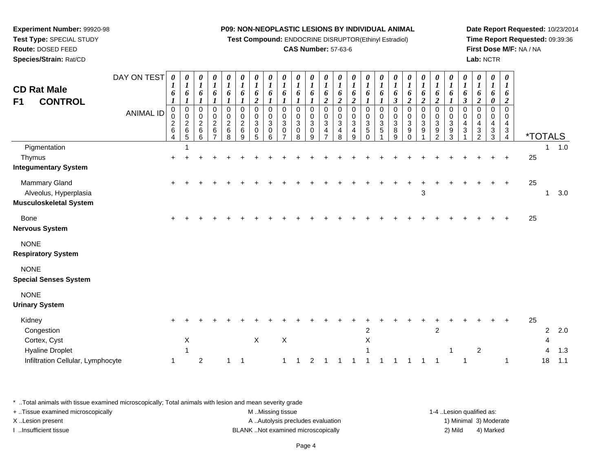**Test Compound:** ENDOCRINE DISRUPTOR(Ethinyl Estradiol)

## **CAS Number:** 57-63-6

**Date Report Requested:** 10/23/2014**Time Report Requested:** 09:39:36**First Dose M/F:** NA / NA**Lab:** NCTR

| <b>CD Rat Male</b><br><b>CONTROL</b><br>F1                                                          | DAY ON TEST<br><b>ANIMAL ID</b> | $\boldsymbol{\theta}$<br>$\boldsymbol{I}$<br>6<br>$\bm{l}$<br>$\mathbf 0$<br>0<br>$\begin{array}{c} 2 \\ 6 \end{array}$<br>4 | 0<br>$\boldsymbol{l}$<br>6<br>$\boldsymbol{l}$<br>$\mathsf 0$<br>$\pmb{0}$<br>$\frac{2}{6}$ | 0<br>$\boldsymbol{l}$<br>6<br>1<br>0<br>0<br>$\boldsymbol{2}$<br>$\,6$<br>6 | 0<br>$\boldsymbol{l}$<br>6<br>1<br>$\mathbf 0$<br>$\boldsymbol{0}$<br>$\overline{c}$<br>$\,6$<br>$\overline{7}$ | 0<br>$\boldsymbol{l}$<br>6<br>1<br>$\pmb{0}$<br>$\pmb{0}$<br>$\mathbf 2$<br>$\,6\,$<br>8 | 0<br>$\boldsymbol{l}$<br>6<br>$\mathbf 0$<br>0<br>$\overline{c}$<br>$\,6\,$<br>9 | 0<br>$\boldsymbol{l}$<br>6<br>$\boldsymbol{2}$<br>$\Omega$<br>0<br>$\mathbf{3}$<br>$\pmb{0}$<br>5 | $\boldsymbol{\theta}$<br>$\boldsymbol{l}$<br>6<br>$\boldsymbol{l}$<br>$\mathbf 0$<br>0<br>$\sqrt{3}$<br>$\pmb{0}$<br>6 | 0<br>$\boldsymbol{l}$<br>6<br>$\mathbf 0$<br>0<br>$\sqrt{3}$<br>$\mathbf 0$<br>$\overline{ }$ | 0<br>$\boldsymbol{l}$<br>6<br>0<br>0<br>$\mathbf{3}$<br>$\mathbf 0$<br>8 | 0<br>$\boldsymbol{l}$<br>6<br>$\Omega$<br>$\boldsymbol{0}$<br>$\mathbf{3}$<br>$\pmb{0}$<br>9 | 0<br>$\boldsymbol{l}$<br>6<br>$\boldsymbol{2}$<br>$\mathbf 0$<br>$\pmb{0}$<br>$\mathbf 3$<br>$\frac{4}{7}$ | $\frac{\theta}{I}$<br>6<br>$\boldsymbol{2}$<br>$\pmb{0}$<br>$\pmb{0}$<br>$\ensuremath{\mathsf{3}}$<br>$\overline{\mathbf{4}}$<br>8 | $\frac{\theta}{1}$<br>6<br>$\overline{2}$<br>0<br>$\pmb{0}$<br>$\ensuremath{\mathsf{3}}$<br>$\begin{array}{c} 4 \\ 9 \end{array}$ | $\frac{\theta}{I}$<br>6<br>1<br>0<br>0<br>3<br>$\mathbf 5$<br>$\Omega$ | $\boldsymbol{\theta}$<br>$\boldsymbol{l}$<br>6<br>1<br>$\mathbf 0$<br>0<br>3<br>5 | $\boldsymbol{\theta}$<br>$\boldsymbol{l}$<br>6<br>$\boldsymbol{\beta}$<br>0<br>0<br>$\ensuremath{\mathsf{3}}$<br>$\,8\,$<br>9 | $\boldsymbol{\theta}$<br>$\boldsymbol{l}$<br>6<br>$\overline{c}$<br>$\mathbf 0$<br>$\boldsymbol{0}$<br>$\sqrt{3}$<br>$9\,$<br>$\Omega$ | 0<br>$\boldsymbol{l}$<br>6<br>$\overline{c}$<br>$\mathbf 0$<br>$\boldsymbol{0}$<br>$\mathbf{3}$<br>9 | 0<br>$\boldsymbol{l}$<br>6<br>$\boldsymbol{2}$<br>$\mathbf 0$<br>$\pmb{0}$<br>$\ensuremath{\mathsf{3}}$<br>9<br>$\overline{2}$ | 0<br>$\boldsymbol{l}$<br>6<br>$\Omega$<br>0<br>$\sqrt{3}$<br>9<br>3 | 0<br>$\boldsymbol{l}$<br>6<br>$\boldsymbol{\beta}$<br>$\Omega$<br>$\Omega$<br>4<br>3 | 0<br>$\boldsymbol{l}$<br>6<br>$\boldsymbol{2}$<br>$\Omega$<br>$\mathbf 0$<br>4<br>3<br>$\overline{2}$ | 0<br>$\boldsymbol{l}$<br>6<br>0<br>0<br>0<br>4<br>$\frac{3}{3}$ | 0<br>$\boldsymbol{l}$<br>6<br>$\overline{c}$<br>$\mathsf{O}$<br>0<br>4<br>$\frac{3}{4}$ |    | <i><b>*TOTALS</b></i> |                   |
|-----------------------------------------------------------------------------------------------------|---------------------------------|------------------------------------------------------------------------------------------------------------------------------|---------------------------------------------------------------------------------------------|-----------------------------------------------------------------------------|-----------------------------------------------------------------------------------------------------------------|------------------------------------------------------------------------------------------|----------------------------------------------------------------------------------|---------------------------------------------------------------------------------------------------|------------------------------------------------------------------------------------------------------------------------|-----------------------------------------------------------------------------------------------|--------------------------------------------------------------------------|----------------------------------------------------------------------------------------------|------------------------------------------------------------------------------------------------------------|------------------------------------------------------------------------------------------------------------------------------------|-----------------------------------------------------------------------------------------------------------------------------------|------------------------------------------------------------------------|-----------------------------------------------------------------------------------|-------------------------------------------------------------------------------------------------------------------------------|----------------------------------------------------------------------------------------------------------------------------------------|------------------------------------------------------------------------------------------------------|--------------------------------------------------------------------------------------------------------------------------------|---------------------------------------------------------------------|--------------------------------------------------------------------------------------|-------------------------------------------------------------------------------------------------------|-----------------------------------------------------------------|-----------------------------------------------------------------------------------------|----|-----------------------|-------------------|
| Pigmentation<br>Thymus<br><b>Integumentary System</b>                                               |                                 |                                                                                                                              |                                                                                             |                                                                             |                                                                                                                 |                                                                                          |                                                                                  |                                                                                                   |                                                                                                                        |                                                                                               |                                                                          |                                                                                              |                                                                                                            |                                                                                                                                    |                                                                                                                                   |                                                                        |                                                                                   |                                                                                                                               |                                                                                                                                        |                                                                                                      |                                                                                                                                |                                                                     |                                                                                      |                                                                                                       |                                                                 |                                                                                         | 25 | 1                     | 1.0               |
| Mammary Gland<br>Alveolus, Hyperplasia<br>Musculoskeletal System                                    |                                 |                                                                                                                              |                                                                                             |                                                                             |                                                                                                                 |                                                                                          |                                                                                  |                                                                                                   |                                                                                                                        |                                                                                               |                                                                          |                                                                                              |                                                                                                            |                                                                                                                                    |                                                                                                                                   |                                                                        |                                                                                   |                                                                                                                               |                                                                                                                                        | $\mathbf{3}$                                                                                         |                                                                                                                                |                                                                     |                                                                                      |                                                                                                       |                                                                 | ÷                                                                                       | 25 | 1                     | 3.0               |
| Bone<br>Nervous System                                                                              |                                 |                                                                                                                              |                                                                                             |                                                                             |                                                                                                                 |                                                                                          |                                                                                  |                                                                                                   |                                                                                                                        |                                                                                               |                                                                          |                                                                                              |                                                                                                            |                                                                                                                                    |                                                                                                                                   |                                                                        |                                                                                   |                                                                                                                               |                                                                                                                                        |                                                                                                      |                                                                                                                                |                                                                     |                                                                                      |                                                                                                       |                                                                 |                                                                                         | 25 |                       |                   |
| <b>NONE</b><br><b>Respiratory System</b>                                                            |                                 |                                                                                                                              |                                                                                             |                                                                             |                                                                                                                 |                                                                                          |                                                                                  |                                                                                                   |                                                                                                                        |                                                                                               |                                                                          |                                                                                              |                                                                                                            |                                                                                                                                    |                                                                                                                                   |                                                                        |                                                                                   |                                                                                                                               |                                                                                                                                        |                                                                                                      |                                                                                                                                |                                                                     |                                                                                      |                                                                                                       |                                                                 |                                                                                         |    |                       |                   |
| <b>NONE</b><br><b>Special Senses System</b>                                                         |                                 |                                                                                                                              |                                                                                             |                                                                             |                                                                                                                 |                                                                                          |                                                                                  |                                                                                                   |                                                                                                                        |                                                                                               |                                                                          |                                                                                              |                                                                                                            |                                                                                                                                    |                                                                                                                                   |                                                                        |                                                                                   |                                                                                                                               |                                                                                                                                        |                                                                                                      |                                                                                                                                |                                                                     |                                                                                      |                                                                                                       |                                                                 |                                                                                         |    |                       |                   |
| <b>NONE</b><br><b>Urinary System</b>                                                                |                                 |                                                                                                                              |                                                                                             |                                                                             |                                                                                                                 |                                                                                          |                                                                                  |                                                                                                   |                                                                                                                        |                                                                                               |                                                                          |                                                                                              |                                                                                                            |                                                                                                                                    |                                                                                                                                   |                                                                        |                                                                                   |                                                                                                                               |                                                                                                                                        |                                                                                                      |                                                                                                                                |                                                                     |                                                                                      |                                                                                                       |                                                                 |                                                                                         |    |                       |                   |
| Kidney<br>Congestion<br>Cortex, Cyst<br><b>Hyaline Droplet</b><br>Infiltration Cellular, Lymphocyte |                                 | 1                                                                                                                            | Χ                                                                                           | $\overline{c}$                                                              |                                                                                                                 | 1                                                                                        | $\overline{1}$                                                                   | $\mathsf X$                                                                                       |                                                                                                                        | $\mathsf X$<br>$\mathbf{1}$                                                                   |                                                                          | 2                                                                                            |                                                                                                            |                                                                                                                                    | 1                                                                                                                                 | $\overline{2}$<br>Χ                                                    |                                                                                   |                                                                                                                               | 1                                                                                                                                      |                                                                                                      | $\sqrt{2}$<br>$\overline{\mathbf{1}}$                                                                                          | $\mathbf{1}$                                                        | $\overline{1}$                                                                       | $\overline{c}$                                                                                        |                                                                 | 1                                                                                       | 25 | 2<br>4<br>4<br>18     | 2.0<br>1.3<br>1.1 |

\* ..Total animals with tissue examined microscopically; Total animals with lesion and mean severity grade

+ ..Tissue examined microscopically examined microscopically examined as:  $M$  ..Missing tissue 1-4 ..Lesion qualified as: X..Lesion present **A ..Autolysis precludes evaluation** A ..Autolysis precludes evaluation 1) Minimal 3) Moderate I ..Insufficient tissue BLANK ..Not examined microscopically 2) Mild 4) Marked

**Experiment Number:** 99920-98**Test Type:** SPECIAL STUDY

**Route:** DOSED FEED

**Species/Strain:** Rat/CD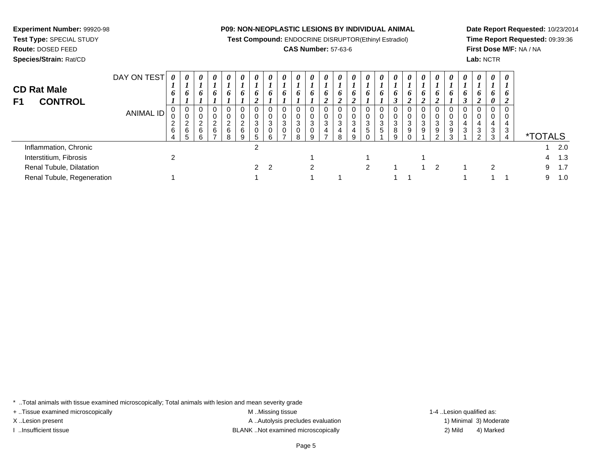**Experiment Number:** 99920-98

**Test Type:** SPECIAL STUDY**Route:** DOSED FEED

**Species/Strain:** Rat/CD

### **P09: NON-NEOPLASTIC LESIONS BY INDIVIDUAL ANIMAL**

**Test Compound:** ENDOCRINE DISRUPTOR(Ethinyl Estradiol)

## **CAS Number:** 57-63-6

**Date Report Requested:** 10/23/2014**Time Report Requested:** 09:39:36**First Dose M/F:** NA / NA**Lab:** NCTR

| <b>CD Rat Male</b><br><b>CONTROL</b><br>F1 | DAY ON TEST<br>ANIMAL ID | 0<br>6<br>$\mathbf{0}$<br>υ<br>ົ<br>∼<br>6 | 0<br>$\bm{o}$<br>$\mathbf 0$<br>0<br>$\sim$<br>∠<br>6<br>5 | $\boldsymbol{\theta}$<br>6<br>- 0<br>$\sim$<br>6 | $\boldsymbol{\theta}$<br>6<br>$\mathbf 0$<br>0<br>$\Omega$<br>∠<br>6 | $\boldsymbol{\theta}$<br>6<br>0<br>0<br>$\overline{2}$<br>6<br>8 | $\boldsymbol{\theta}$<br>6<br>$\mathbf{0}$<br>0<br>$\overline{2}$<br>6<br>9 | $\theta$<br>O<br>0<br>0<br>3<br>0<br>5. | $\boldsymbol{\theta}$<br>6<br>$\mathbf 0$<br>0<br>3<br>$\mathbf 0$<br>6 | $\theta$<br>n<br>3<br>0 | $\boldsymbol{\theta}$<br>o<br>0<br>0<br>3<br>0<br>8 | $\boldsymbol{\theta}$<br>6<br>3<br>0<br>a | $\boldsymbol{\theta}$<br>6<br>0<br>0<br>3<br>4 | 0<br>o<br>0<br>3<br>4<br>8 | 0<br>6<br>0<br>0<br>3<br>4<br>9 | 0<br>o<br>0<br>0<br>3<br>5 | $\theta$<br>o<br>-0<br>3<br>.5 | 0<br>6<br>0<br>0<br>3<br>8<br>9 | $\boldsymbol{\theta}$<br>o<br>$\mathcal{L}$<br>0<br>0<br>3<br>9 | $\boldsymbol{\theta}$<br>6<br>2<br>3<br>9 | $\boldsymbol{\theta}$<br>0<br>0<br>0<br>3<br>9<br>ົ | $\boldsymbol{\theta}$<br>6<br>0<br>$\mathbf 0$<br>3<br>9<br>3 | 0<br>o<br>3 | $\boldsymbol{\theta}$<br>O<br>0<br>$\mathbf 0$<br>4<br>3<br>$\mathcal{D}$ | $\boldsymbol{\theta}$<br>6<br>0<br>0<br>0<br>3<br>3 | $\boldsymbol{\theta}$<br>6<br>0<br>0<br>4<br>3<br>4 | <i><b>*TOTALS</b></i> |     |
|--------------------------------------------|--------------------------|--------------------------------------------|------------------------------------------------------------|--------------------------------------------------|----------------------------------------------------------------------|------------------------------------------------------------------|-----------------------------------------------------------------------------|-----------------------------------------|-------------------------------------------------------------------------|-------------------------|-----------------------------------------------------|-------------------------------------------|------------------------------------------------|----------------------------|---------------------------------|----------------------------|--------------------------------|---------------------------------|-----------------------------------------------------------------|-------------------------------------------|-----------------------------------------------------|---------------------------------------------------------------|-------------|---------------------------------------------------------------------------|-----------------------------------------------------|-----------------------------------------------------|-----------------------|-----|
| Inflammation, Chronic                      |                          |                                            |                                                            |                                                  |                                                                      |                                                                  |                                                                             | 2                                       |                                                                         |                         |                                                     |                                           |                                                |                            |                                 |                            |                                |                                 |                                                                 |                                           |                                                     |                                                               |             |                                                                           |                                                     |                                                     |                       | 2.0 |
| Interstitium, Fibrosis                     |                          | ົ                                          |                                                            |                                                  |                                                                      |                                                                  |                                                                             |                                         |                                                                         |                         |                                                     |                                           |                                                |                            |                                 |                            |                                |                                 |                                                                 |                                           |                                                     |                                                               |             |                                                                           |                                                     |                                                     | 4                     | 1.3 |
| Renal Tubule, Dilatation                   |                          |                                            |                                                            |                                                  |                                                                      |                                                                  |                                                                             |                                         | $2 \quad 2$                                                             |                         |                                                     | ົ                                         |                                                |                            |                                 | 2                          |                                |                                 |                                                                 |                                           | 2                                                   |                                                               |             |                                                                           | 2                                                   |                                                     | 9                     | 1.7 |
| Renal Tubule, Regeneration                 |                          |                                            |                                                            |                                                  |                                                                      |                                                                  |                                                                             |                                         |                                                                         |                         |                                                     |                                           |                                                |                            |                                 |                            |                                |                                 |                                                                 |                                           |                                                     |                                                               |             |                                                                           |                                                     |                                                     | 9                     | 1.0 |

\* ..Total animals with tissue examined microscopically; Total animals with lesion and mean severity grade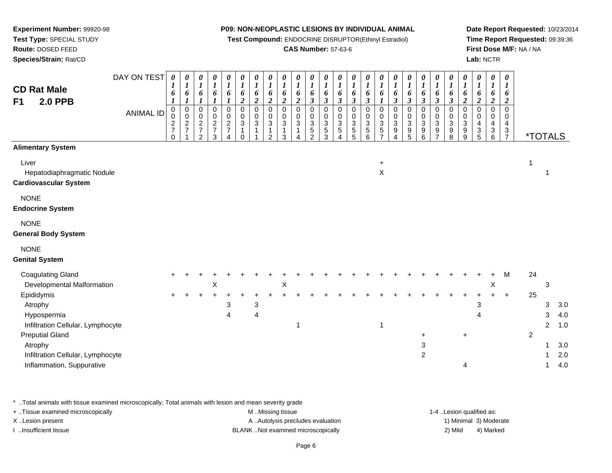**Test Compound:** ENDOCRINE DISRUPTOR(Ethinyl Estradiol)

## **CAS Number:** 57-63-6

**Date Report Requested:** 10/23/2014**Time Report Requested:** 09:39:36**First Dose M/F:** NA / NA**Lab:** NCTR

+ 2

<sup>1</sup> 3.0

| Species/Strain: Rat/CD                                              |                  |                                             |                                             |                                          |                              |                                                             |                                                                                     |                                                |                                                |                                                 |                                                |                                                                  |                                                                |                                                              |                                     |                                                                      |                                                                |                                                         |                                                    |                                                                |                                                                        |                                                                              |                                                |                                                | Lab: NCTR                                      |                                                                           |    |                       |     |
|---------------------------------------------------------------------|------------------|---------------------------------------------|---------------------------------------------|------------------------------------------|------------------------------|-------------------------------------------------------------|-------------------------------------------------------------------------------------|------------------------------------------------|------------------------------------------------|-------------------------------------------------|------------------------------------------------|------------------------------------------------------------------|----------------------------------------------------------------|--------------------------------------------------------------|-------------------------------------|----------------------------------------------------------------------|----------------------------------------------------------------|---------------------------------------------------------|----------------------------------------------------|----------------------------------------------------------------|------------------------------------------------------------------------|------------------------------------------------------------------------------|------------------------------------------------|------------------------------------------------|------------------------------------------------|---------------------------------------------------------------------------|----|-----------------------|-----|
| <b>CD Rat Male</b><br><b>2.0 PPB</b><br>F <sub>1</sub>              | DAY ON TEST      | $\boldsymbol{\theta}$<br>1<br>6             | 0<br>$\boldsymbol{l}$<br>6                  | 0<br>$\boldsymbol{l}$<br>6               | 0<br>$\boldsymbol{l}$<br>6   | 0<br>$\boldsymbol{l}$<br>6                                  | 0<br>$\boldsymbol{l}$<br>6<br>$\boldsymbol{2}$                                      | 0<br>$\boldsymbol{l}$<br>6<br>$\boldsymbol{2}$ | 0<br>$\boldsymbol{l}$<br>6<br>$\boldsymbol{2}$ | 0<br>$\boldsymbol{l}$<br>6<br>$\overline{2}$    | 0<br>$\boldsymbol{l}$<br>6<br>$\boldsymbol{2}$ | $\boldsymbol{\theta}$<br>$\boldsymbol{l}$<br>6<br>$\mathfrak{z}$ | 0<br>$\boldsymbol{l}$<br>6<br>$\boldsymbol{\beta}$             | 0<br>$\boldsymbol{l}$<br>6<br>$\boldsymbol{\beta}$           | 0<br>$\boldsymbol{l}$<br>6<br>3     | 0<br>$\boldsymbol{l}$<br>6<br>$\boldsymbol{\beta}$                   | 0<br>$\boldsymbol{l}$<br>6<br>1                                | 0<br>$\boldsymbol{l}$<br>6<br>$\boldsymbol{\beta}$      | 0<br>$\boldsymbol{l}$<br>6<br>$\boldsymbol{\beta}$ | 0<br>$\boldsymbol{l}$<br>6<br>$\boldsymbol{\beta}$             | $\boldsymbol{\theta}$<br>$\boldsymbol{l}$<br>6<br>$\boldsymbol{\beta}$ | 0<br>$\boldsymbol{l}$<br>6<br>$\boldsymbol{\beta}$                           | 0<br>$\boldsymbol{l}$<br>6<br>$\boldsymbol{2}$ | 0<br>$\boldsymbol{l}$<br>6<br>$\boldsymbol{2}$ | 0<br>$\boldsymbol{l}$<br>6<br>$\boldsymbol{2}$ | $\boldsymbol{\theta}$<br>$\boldsymbol{\mathit{1}}$<br>6<br>$\overline{2}$ |    |                       |     |
|                                                                     | <b>ANIMAL ID</b> | 0<br>$\pmb{0}$<br>$\frac{2}{7}$<br>$\Omega$ | $\mathbf 0$<br>$\mathbf 0$<br>$\frac{2}{7}$ | 0<br>0<br>$\frac{2}{7}$<br>$\mathcal{P}$ | 0<br>0<br>$\frac{2}{7}$<br>3 | 0<br>$\mathbf 0$<br>$\frac{2}{7}$<br>$\boldsymbol{\Lambda}$ | $\mathbf 0$<br>$\mathbf 0$<br>$\ensuremath{\mathsf{3}}$<br>$\mathbf{1}$<br>$\Omega$ | 0<br>0<br>3<br>1                               | 0<br>$\mathbf 0$<br>$\sqrt{3}$<br>1<br>2       | $\Omega$<br>$\mathbf 0$<br>$\sqrt{3}$<br>1<br>3 | 0<br>$\mathbf 0$<br>$\ensuremath{\mathsf{3}}$  | $\Omega$<br>$\mathbf 0$<br>3<br>5<br>$\mathfrak{D}$              | $\Omega$<br>0<br>$\ensuremath{\mathsf{3}}$<br>$\mathbf 5$<br>3 | 0<br>$\mathbf 0$<br>$\mathbf{3}$<br>$\mathbf 5$<br>$\Lambda$ | $\Omega$<br>0<br>3<br>$\frac{5}{5}$ | $\Omega$<br>0<br>$\sqrt{3}$<br>$\begin{array}{c} 5 \\ 6 \end{array}$ | $\Omega$<br>$\mathbf 0$<br>$\mathbf{3}$<br>5<br>$\overline{7}$ | 0<br>$\mathbf 0$<br>$\ensuremath{\mathsf{3}}$<br>9<br>4 | 0<br>$\mathbf 0$<br>3<br>9<br>5                    | $\Omega$<br>$\mathbf 0$<br>$\ensuremath{\mathsf{3}}$<br>9<br>6 | 0<br>$\pmb{0}$<br>$\ensuremath{\mathsf{3}}$<br>9<br>$\overline{ }$     | 0<br>0<br>$\ensuremath{\mathsf{3}}$<br>$\begin{array}{c} 9 \\ 8 \end{array}$ | $\Omega$<br>0<br>$\sqrt{3}$<br>9<br>9          | $\Omega$<br>0<br>4<br>3<br>5                   | 0<br>0<br>4<br>$\ensuremath{\mathsf{3}}$<br>6  | $\Omega$<br>0<br>4<br>3<br>$\overline{7}$                                 |    | <i><b>*TOTALS</b></i> |     |
| <b>Alimentary System</b>                                            |                  |                                             |                                             |                                          |                              |                                                             |                                                                                     |                                                |                                                |                                                 |                                                |                                                                  |                                                                |                                                              |                                     |                                                                      |                                                                |                                                         |                                                    |                                                                |                                                                        |                                                                              |                                                |                                                |                                                |                                                                           |    |                       |     |
| Liver<br>Hepatodiaphragmatic Nodule<br><b>Cardiovascular System</b> |                  |                                             |                                             |                                          |                              |                                                             |                                                                                     |                                                |                                                |                                                 |                                                |                                                                  |                                                                |                                                              |                                     |                                                                      | $+$<br>X                                                       |                                                         |                                                    |                                                                |                                                                        |                                                                              |                                                |                                                |                                                |                                                                           | 1  |                       |     |
| <b>NONE</b><br><b>Endocrine System</b>                              |                  |                                             |                                             |                                          |                              |                                                             |                                                                                     |                                                |                                                |                                                 |                                                |                                                                  |                                                                |                                                              |                                     |                                                                      |                                                                |                                                         |                                                    |                                                                |                                                                        |                                                                              |                                                |                                                |                                                |                                                                           |    |                       |     |
| <b>NONE</b><br><b>General Body System</b>                           |                  |                                             |                                             |                                          |                              |                                                             |                                                                                     |                                                |                                                |                                                 |                                                |                                                                  |                                                                |                                                              |                                     |                                                                      |                                                                |                                                         |                                                    |                                                                |                                                                        |                                                                              |                                                |                                                |                                                |                                                                           |    |                       |     |
| <b>NONE</b><br><b>Genital System</b>                                |                  |                                             |                                             |                                          |                              |                                                             |                                                                                     |                                                |                                                |                                                 |                                                |                                                                  |                                                                |                                                              |                                     |                                                                      |                                                                |                                                         |                                                    |                                                                |                                                                        |                                                                              |                                                |                                                |                                                |                                                                           |    |                       |     |
| <b>Coagulating Gland</b>                                            |                  |                                             |                                             |                                          |                              |                                                             |                                                                                     |                                                |                                                |                                                 |                                                |                                                                  |                                                                |                                                              |                                     |                                                                      |                                                                |                                                         |                                                    |                                                                |                                                                        |                                                                              |                                                |                                                | $+$                                            | M                                                                         | 24 |                       |     |
| Developmental Malformation                                          |                  |                                             |                                             |                                          | Χ                            |                                                             |                                                                                     |                                                |                                                | X                                               |                                                |                                                                  |                                                                |                                                              |                                     |                                                                      |                                                                |                                                         |                                                    |                                                                |                                                                        |                                                                              |                                                |                                                | X                                              |                                                                           |    | 3                     |     |
| Epididymis                                                          |                  | $\pm$                                       |                                             |                                          |                              |                                                             |                                                                                     |                                                |                                                |                                                 |                                                |                                                                  |                                                                |                                                              |                                     |                                                                      |                                                                |                                                         |                                                    |                                                                |                                                                        |                                                                              |                                                |                                                |                                                | $\ddot{}$                                                                 | 25 |                       |     |
| Atrophy                                                             |                  |                                             |                                             |                                          |                              | 3                                                           |                                                                                     | 3                                              |                                                |                                                 |                                                |                                                                  |                                                                |                                                              |                                     |                                                                      |                                                                |                                                         |                                                    |                                                                |                                                                        |                                                                              |                                                | 3                                              |                                                |                                                                           |    | 3                     | 3.0 |
| Hypospermia                                                         |                  |                                             |                                             |                                          |                              | 4                                                           |                                                                                     | 4                                              |                                                |                                                 |                                                |                                                                  |                                                                |                                                              |                                     |                                                                      |                                                                |                                                         |                                                    |                                                                |                                                                        |                                                                              |                                                | 4                                              |                                                |                                                                           |    | 3                     | 4.0 |

\* ..Total animals with tissue examined microscopically; Total animals with lesion and mean severity grade

**Experiment Number:** 99920-98**Test Type:** SPECIAL STUDY**Route:** DOSED FEED

Infiltration Cellular, Lymphocyte

Infiltration Cellular, Lymphocyte

Inflammation, Suppurative

Preputial Gland

Atrophy

+ ..Tissue examined microscopically examined microscopically examined as:  $M$  ..Missing tissue 1-4 ..Lesion qualified as: X..Lesion present **A ..Autolysis precludes evaluation** A ..Autolysis precludes evaluation 1) Minimal 3) Moderate I ..Insufficient tissue BLANK ..Not examined microscopically 2) Mild 4) Marked

 $\alpha$ 

 $\mathsf{y}$  3

a and  $4 \t 4$  4  $4 \t 3 \t 4.0$ 

e 2 1.0

e 2 1 2.0

e and the set of  $4$  and  $4.0$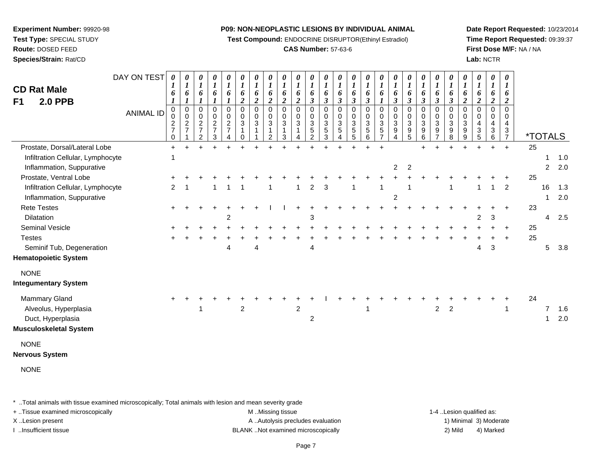**Test Compound:** ENDOCRINE DISRUPTOR(Ethinyl Estradiol)

#### **CAS Number:** 57-63-6

**Date Report Requested:** 10/23/2014**Time Report Requested:** 09:39:37**First Dose M/F:** NA / NA**Lab:** NCTR

DAY ON TEST**CD Rat Male F1 2.0 PPB**ANIMAL ID*0 1 6 1* 0 0 2 7 0 $\ddot{}$ *0 1 6 1* 0 0 2 7 1 $+$ *0 1 6 1* 0 0 2 7 2*0 1 6 1* 0 0 2 7 3*0 1 6 1* 0 0 2 7 4*0 1 6 2* 0 0 3 1 0 $\ddot{}$ *0 1 6 2* 0 0 3 1 1*0 1 6 2* 0 0 3 1 2 $\ddot{}$ *0 1 6 2* 0 0 3 1 3 $\ddot{}$ *0 1 6 2* 0 0 3 1 4*0 1 6 3* 0 0 3 5 2 $\ddot{}$ *0 1 6 3* 0 0 3 5 3 $\ddot{}$ *0 1 6 3* 0 0 3 5 4 $\ddot{}$ *0 1 6 3* 0 0 3 5 5*0 1 6 3* 0 0 3 5 6 $\ddot{}$ *0 1 6 1* 0 0 3 5 7 $\ddot{}$ *0 1 6 3* 0 0 3 9 4*0 1 6 3* 0 0 3 9 5*0 1 6 3* 0 0 3 9 6*0 1 6 3* 0 0 3 9 7*0 1 6 3* 0 0 3 9 8*0 1 6 2* 0 0 3 9 9*0 1 6 2* 0 0 4 3 5 $\ddot{}$ *0 1 6 2* 0 0 4 3 6*0 1 6 2* 0 0 43<br>7 <sup>7</sup> \*TOTALSProstate, Dorsal/Lateral Lobee + <sup>+</sup> <sup>+</sup> <sup>+</sup> <sup>+</sup> <sup>+</sup> <sup>+</sup> <sup>+</sup> <sup>+</sup> <sup>+</sup> <sup>+</sup> <sup>+</sup> <sup>+</sup> <sup>+</sup> <sup>+</sup> <sup>+</sup> <sup>+</sup> <sup>+</sup> <sup>+</sup> <sup>+</sup> <sup>+</sup> <sup>+</sup> + 25 Infiltration Cellular, Lymphocytee 1 1.0 Inflammation, Suppurative <sup>2</sup> <sup>2</sup> <sup>2</sup> 2.0 Prostate, Ventral Lobee + <sup>+</sup> <sup>+</sup> <sup>+</sup> <sup>+</sup> <sup>+</sup> <sup>+</sup> <sup>+</sup> <sup>+</sup> <sup>+</sup> <sup>+</sup> <sup>+</sup> <sup>+</sup> <sup>+</sup> <sup>+</sup> <sup>+</sup> <sup>+</sup> <sup>+</sup> <sup>+</sup> <sup>+</sup> <sup>+</sup> <sup>+</sup> <sup>+</sup> <sup>+</sup> + 25 Infiltration Cellular, Lymphocyte <sup>2</sup> <sup>1</sup> <sup>1</sup> <sup>1</sup> <sup>1</sup> <sup>1</sup> <sup>1</sup> <sup>2</sup> <sup>3</sup> <sup>1</sup> <sup>1</sup> <sup>1</sup> <sup>1</sup> <sup>1</sup> <sup>1</sup> <sup>2</sup> <sup>16</sup> 1.3 Inflammation, Suppurativee and  $2$  1 2.0 Rete Testes <sup>+</sup> <sup>+</sup> <sup>+</sup> <sup>+</sup> <sup>+</sup> <sup>+</sup> <sup>+</sup> <sup>I</sup> <sup>I</sup> <sup>+</sup> <sup>+</sup> <sup>+</sup> <sup>+</sup> <sup>+</sup> <sup>+</sup> <sup>+</sup> <sup>+</sup> <sup>+</sup> <sup>+</sup> <sup>+</sup> <sup>+</sup> <sup>+</sup> <sup>+</sup> <sup>+</sup> + 23 **Dilatation** n 2 3 2 3 4 2.5 Seminal Vesiclee + <sup>+</sup> <sup>+</sup> <sup>+</sup> <sup>+</sup> <sup>+</sup> <sup>+</sup> <sup>+</sup> <sup>+</sup> <sup>+</sup> <sup>+</sup> <sup>+</sup> <sup>+</sup> <sup>+</sup> <sup>+</sup> <sup>+</sup> <sup>+</sup> <sup>+</sup> <sup>+</sup> <sup>+</sup> <sup>+</sup> <sup>+</sup> <sup>+</sup> <sup>+</sup> + 25 **Testes**  <sup>+</sup> <sup>+</sup> <sup>+</sup> <sup>+</sup> <sup>+</sup> <sup>+</sup> <sup>+</sup> <sup>+</sup> <sup>+</sup> <sup>+</sup> <sup>+</sup> <sup>+</sup> <sup>+</sup> <sup>+</sup> <sup>+</sup> <sup>+</sup> <sup>+</sup> <sup>+</sup> <sup>+</sup> <sup>+</sup> <sup>+</sup> <sup>+</sup> <sup>+</sup> <sup>+</sup> + 25 Seminif Tub, Degenerationn and  $4 \t 4 \t 4 \t 4 \t 4 \t 4 \t 4 \t 4 \t 3 \t 5 \t 3.8$ **Hematopoietic System**NONE **Integumentary System**Mammary Gland $\alpha$  + <sup>+</sup> <sup>+</sup> <sup>+</sup> <sup>+</sup> <sup>+</sup> <sup>+</sup> <sup>+</sup> <sup>+</sup> <sup>+</sup> <sup>+</sup> <sup>I</sup> <sup>+</sup> <sup>+</sup> <sup>+</sup> <sup>+</sup> <sup>+</sup> <sup>+</sup> <sup>+</sup> <sup>+</sup> <sup>+</sup> <sup>+</sup> <sup>+</sup> <sup>+</sup> + 24 Alveolus, Hyperplasiaa 1 2 2 1 2 2 1 7 1.6 Duct, Hyperplasiaa and  $2$  1 2.0 **Musculoskeletal System**NONE **Nervous System**NONE

\* ..Total animals with tissue examined microscopically; Total animals with lesion and mean severity grade

**Experiment Number:** 99920-98**Test Type:** SPECIAL STUDY**Route:** DOSED FEED**Species/Strain:** Rat/CD

+ ..Tissue examined microscopically examined microscopically examined as: M ..Missing tissue 1-4 ..Lesion qualified as: X..Lesion present 1) Minimal 3) Moderate A ..Autolysis precludes evaluation 1 and 1) Minimal 3) Moderate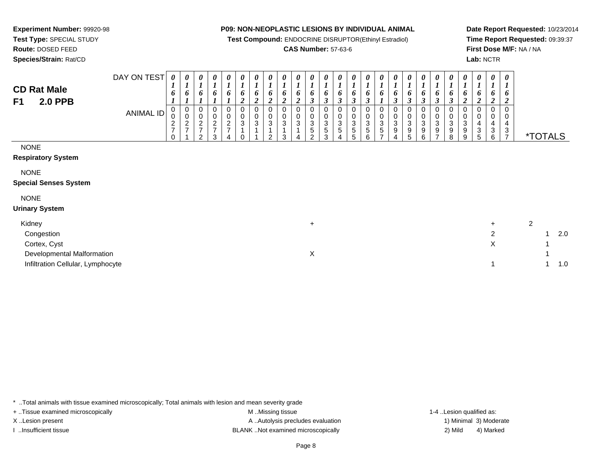**Test Compound:** ENDOCRINE DISRUPTOR(Ethinyl Estradiol)

## **CAS Number:** 57-63-6

**Date Report Requested:** 10/23/2014**Time Report Requested:** 09:39:37**First Dose M/F:** NA / NA**Lab:** NCTR

**Experiment Number:** 99920-98**Test Type:** SPECIAL STUDY

| <b>CD Rat Male</b><br><b>2.0 PPB</b><br>F1  | DAY ON TEST      | 0<br>$\overline{ }$<br>6<br>L | 0<br>$\mathbf{I}$<br>o                     | 0<br>6                                                       | $\boldsymbol{\theta}$<br>L<br>6      | 0<br><b>J</b><br>6                                   | 0<br>L<br>6<br>$\boldsymbol{2}$     | 0<br>6<br>2 | $\boldsymbol{\theta}$<br>L<br>6<br>$\boldsymbol{2}$ | 0<br>o<br>2              | $\boldsymbol{\theta}$<br>6<br>$\overline{v}$ | $\boldsymbol{\theta}$<br>L<br>6<br>$\rightarrow$<br>$\mathcal{I}$ | 0<br>6<br>$\rightarrow$<br>J   | 0<br>6<br>3                     | 0<br>6<br>$\mathbf{\Omega}$<br>J | 0<br>$\mathbf{I}$<br>6<br>J                     | 0<br>o<br>L                                                                | 0<br>6<br>3                                           | $\boldsymbol{\theta}$<br>$\overline{ }$<br>6<br>$\rightarrow$<br>$\mathbf{J}$ | 0<br>L<br>6<br>$\boldsymbol{\beta}$ | $\boldsymbol{\theta}$<br>6<br>$\boldsymbol{\beta}$ | 0<br>6<br>$\mathbf{\Omega}$<br>J                        | 0<br>$\mathbf{I}$<br>6<br>2 | 0<br>2           | 0<br>6<br>$\overline{v}$ | $\boldsymbol{\theta}$<br>$\overline{ }$<br>6<br>$\boldsymbol{2}$ |                       |
|---------------------------------------------|------------------|-------------------------------|--------------------------------------------|--------------------------------------------------------------|--------------------------------------|------------------------------------------------------|-------------------------------------|-------------|-----------------------------------------------------|--------------------------|----------------------------------------------|-------------------------------------------------------------------|--------------------------------|---------------------------------|----------------------------------|-------------------------------------------------|----------------------------------------------------------------------------|-------------------------------------------------------|-------------------------------------------------------------------------------|-------------------------------------|----------------------------------------------------|---------------------------------------------------------|-----------------------------|------------------|--------------------------|------------------------------------------------------------------|-----------------------|
|                                             | <b>ANIMAL ID</b> | 0<br>0<br>$\frac{2}{7}$<br>0  | 0<br>0<br>$\overline{c}$<br>$\overline{ }$ | 0<br>0<br>$\overline{c}$<br>$\overline{ }$<br>$\overline{2}$ | 0<br>$\pmb{0}$<br>$\frac{2}{7}$<br>3 | 0<br>$\begin{array}{c} 0 \\ 2 \\ 7 \end{array}$<br>4 | 0<br>0<br>$\ensuremath{\mathsf{3}}$ | 0<br>$_3^0$ | 0<br>$\pmb{0}$<br>$\sqrt{3}$<br>$\overline{2}$      | 0<br>$\pmb{0}$<br>3<br>3 | 0<br>0<br>3<br>4                             | 0<br>0<br>3<br>5<br>$\overline{2}$                                | 0<br>0<br>3<br>$\sqrt{5}$<br>3 | 0<br>0<br>3<br>$\mathbf 5$<br>4 | 0<br>$_3^0$<br>$\,$ 5 $\,$<br>5  | 0<br>$\pmb{0}$<br>$\sqrt{3}$<br>$\sqrt{5}$<br>6 | 0<br>$\,0\,$<br>$\ensuremath{\mathsf{3}}$<br>5<br>$\overline{\phantom{a}}$ | 0<br>$\pmb{0}$<br>$\ensuremath{\mathsf{3}}$<br>9<br>4 | 0<br>$\frac{0}{3}$<br>9<br>5                                                  | 0<br>0<br>3<br>$9\,$<br>6           | 0<br>0<br>$\ensuremath{\mathsf{3}}$<br>9<br>⇁      | 0<br>$\mathbf 0$<br>$\ensuremath{\mathsf{3}}$<br>9<br>8 | 0<br>0<br>3<br>9<br>9       | 0<br>4<br>3<br>5 | 0<br>0<br>4<br>3<br>6    | $\mathbf 0$<br>0<br>4<br>3<br>$\overline{7}$                     | <i><b>*TOTALS</b></i> |
| <b>NONE</b><br><b>Respiratory System</b>    |                  |                               |                                            |                                                              |                                      |                                                      |                                     |             |                                                     |                          |                                              |                                                                   |                                |                                 |                                  |                                                 |                                                                            |                                                       |                                                                               |                                     |                                                    |                                                         |                             |                  |                          |                                                                  |                       |
| <b>NONE</b><br><b>Special Senses System</b> |                  |                               |                                            |                                                              |                                      |                                                      |                                     |             |                                                     |                          |                                              |                                                                   |                                |                                 |                                  |                                                 |                                                                            |                                                       |                                                                               |                                     |                                                    |                                                         |                             |                  |                          |                                                                  |                       |
| <b>NONE</b><br><b>Urinary System</b>        |                  |                               |                                            |                                                              |                                      |                                                      |                                     |             |                                                     |                          |                                              |                                                                   |                                |                                 |                                  |                                                 |                                                                            |                                                       |                                                                               |                                     |                                                    |                                                         |                             |                  |                          |                                                                  |                       |

| Kidney                            |  |  |     |
|-----------------------------------|--|--|-----|
| Congestion                        |  |  | 2.0 |
| Cortex, Cyst                      |  |  |     |
| Developmental Malformation        |  |  |     |
| Infiltration Cellular, Lymphocyte |  |  | 1.0 |

\* ..Total animals with tissue examined microscopically; Total animals with lesion and mean severity grade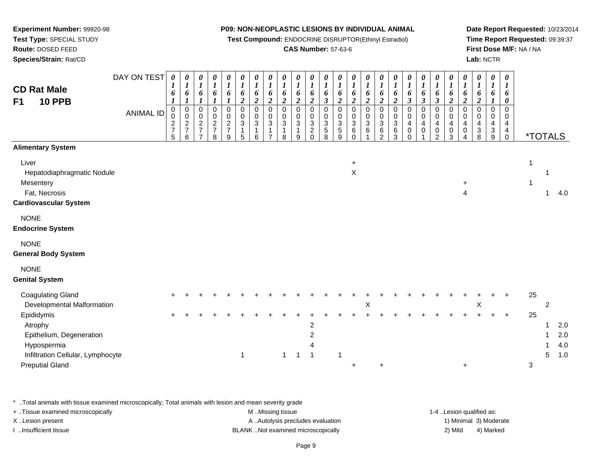**Test Compound:** ENDOCRINE DISRUPTOR(Ethinyl Estradiol)

## **CAS Number:** 57-63-6

**Date Report Requested:** 10/23/2014**Time Report Requested:** 09:39:37**First Dose M/F:** NA / NA**Lab:** NCTR

| <b>CD Rat Male</b><br><b>10 PPB</b><br>F <sub>1</sub>                                                                           | DAY ON TEST<br><b>ANIMAL ID</b> | $\boldsymbol{\theta}$<br>6<br>$\boldsymbol{l}$<br>$\mathbf 0$<br>0<br>$\frac{2}{7}$<br>5 | 0<br>$\boldsymbol{I}$<br>6<br>$\boldsymbol{l}$<br>$\mathsf{O}\xspace$<br>$\pmb{0}$<br>$\frac{2}{7}$<br>6 | $\boldsymbol{\theta}$<br>$\boldsymbol{l}$<br>6<br>$\boldsymbol{l}$<br>$\pmb{0}$<br>$\pmb{0}$<br>$\sqrt{2}$<br>$\overline{7}$<br>$\overline{7}$ | $\pmb{\theta}$<br>$\boldsymbol{l}$<br>6<br>$\boldsymbol{l}$<br>$\mathbf 0$<br>0<br>$\overline{c}$<br>$\overline{7}$<br>8 | 0<br>$\boldsymbol{l}$<br>6<br>$\boldsymbol{l}$<br>$\mathbf 0$<br>$\,0\,$<br>$\frac{2}{7}$<br>9 | $\boldsymbol{\theta}$<br>$\boldsymbol{l}$<br>6<br>$\overline{2}$<br>$\Omega$<br>0<br>$\sqrt{3}$<br>$\overline{1}$<br>5 | 0<br>$\boldsymbol{l}$<br>6<br>$\boldsymbol{2}$<br>$\Omega$<br>0<br>$\mathbf{3}$<br>$\mathbf{1}$<br>6 | $\boldsymbol{\theta}$<br>$\boldsymbol{l}$<br>6<br>$\overline{2}$<br>$\mathbf 0$<br>0<br>$\sqrt{3}$<br>1<br>$\overline{ }$ | 0<br>$\boldsymbol{l}$<br>6<br>$\boldsymbol{2}$<br>$\mathbf 0$<br>0<br>$\mathfrak{3}$<br>8 | 0<br>$\boldsymbol{l}$<br>6<br>$\boldsymbol{2}$<br>0<br>$\boldsymbol{0}$<br>$\mathbf{3}$<br>9 | $\boldsymbol{\theta}$<br>$\boldsymbol{l}$<br>6<br>$\boldsymbol{2}$<br>$\mathbf 0$<br>$\pmb{0}$<br>$\ensuremath{\mathsf{3}}$<br>$\overline{\mathbf{c}}$<br>$\mathbf 0$ | 0<br>$\boldsymbol{l}$<br>6<br>$\boldsymbol{\beta}$<br>$\mathbf 0$<br>0<br>$\ensuremath{\mathsf{3}}$<br>$\frac{5}{8}$ | $\pmb{\theta}$<br>$\boldsymbol{l}$<br>6<br>$\boldsymbol{2}$<br>$\mathbf 0$<br>0<br>$\ensuremath{\mathsf{3}}$<br>$\,$ 5 $\,$<br>9 | 0<br>$\boldsymbol{l}$<br>6<br>$\boldsymbol{2}$<br>$\mathbf 0$<br>0<br>$\mathfrak{S}$<br>$\,6$<br>$\Omega$ | $\boldsymbol{\theta}$<br>$\boldsymbol{l}$<br>$\boldsymbol{6}$<br>$\boldsymbol{2}$<br>$\mathbf 0$<br>$\pmb{0}$<br>$\ensuremath{\mathsf{3}}$<br>$\,6\,$ | $\frac{\boldsymbol{\theta}}{\boldsymbol{I}}$<br>6<br>$\overline{\mathbf{c}}$<br>0<br>$\mathsf{O}\xspace$<br>$\mathbf{3}$<br>$\frac{6}{2}$ | 0<br>$\boldsymbol{l}$<br>6<br>$\boldsymbol{2}$<br>0<br>$\pmb{0}$<br>$\mathbf{3}$<br>$^6_3$ | $\boldsymbol{\theta}$<br>$\boldsymbol{l}$<br>6<br>$\mathfrak{z}$<br>$\Omega$<br>0<br>4<br>$\mathbf 0$<br>$\Omega$ | 0<br>$\boldsymbol{l}$<br>6<br>$\mathfrak{z}$<br>$\Omega$<br>0<br>4<br>0 | 0<br>$\boldsymbol{l}$<br>6<br>$\boldsymbol{\beta}$<br>$\Omega$<br>0<br>4<br>$\pmb{0}$<br>$\overline{2}$ | $\boldsymbol{\theta}$<br>$\boldsymbol{l}$<br>6<br>$\boldsymbol{2}$<br>$\Omega$<br>$\mathbf 0$<br>4<br>$\mathbf 0$<br>3 | 0<br>$\boldsymbol{l}$<br>6<br>$\boldsymbol{2}$<br>$\mathbf 0$<br>0<br>$\overline{\mathbf{4}}$<br>$\pmb{0}$<br>$\overline{4}$ | 0<br>$\boldsymbol{l}$<br>6<br>$\overline{\mathbf{c}}$<br>0<br>0<br>$\overline{4}$<br>$_8^3$ | 0<br>$\boldsymbol{l}$<br>6<br>$\boldsymbol{l}$<br>0<br>0<br>$\overline{4}$<br>$_9^3$ | 0<br>1<br>6<br>$\boldsymbol{\theta}$<br>$\Omega$<br>0<br>4<br>4<br>$\mathbf 0$ | <i><b>*TOTALS</b></i> |                     |                          |
|---------------------------------------------------------------------------------------------------------------------------------|---------------------------------|------------------------------------------------------------------------------------------|----------------------------------------------------------------------------------------------------------|------------------------------------------------------------------------------------------------------------------------------------------------|--------------------------------------------------------------------------------------------------------------------------|------------------------------------------------------------------------------------------------|------------------------------------------------------------------------------------------------------------------------|------------------------------------------------------------------------------------------------------|---------------------------------------------------------------------------------------------------------------------------|-------------------------------------------------------------------------------------------|----------------------------------------------------------------------------------------------|-----------------------------------------------------------------------------------------------------------------------------------------------------------------------|----------------------------------------------------------------------------------------------------------------------|----------------------------------------------------------------------------------------------------------------------------------|-----------------------------------------------------------------------------------------------------------|-------------------------------------------------------------------------------------------------------------------------------------------------------|-------------------------------------------------------------------------------------------------------------------------------------------|--------------------------------------------------------------------------------------------|-------------------------------------------------------------------------------------------------------------------|-------------------------------------------------------------------------|---------------------------------------------------------------------------------------------------------|------------------------------------------------------------------------------------------------------------------------|------------------------------------------------------------------------------------------------------------------------------|---------------------------------------------------------------------------------------------|--------------------------------------------------------------------------------------|--------------------------------------------------------------------------------|-----------------------|---------------------|--------------------------|
| <b>Alimentary System</b>                                                                                                        |                                 |                                                                                          |                                                                                                          |                                                                                                                                                |                                                                                                                          |                                                                                                |                                                                                                                        |                                                                                                      |                                                                                                                           |                                                                                           |                                                                                              |                                                                                                                                                                       |                                                                                                                      |                                                                                                                                  |                                                                                                           |                                                                                                                                                       |                                                                                                                                           |                                                                                            |                                                                                                                   |                                                                         |                                                                                                         |                                                                                                                        |                                                                                                                              |                                                                                             |                                                                                      |                                                                                |                       |                     |                          |
| Liver<br>Hepatodiaphragmatic Nodule<br>Mesentery<br>Fat, Necrosis<br><b>Cardiovascular System</b>                               |                                 |                                                                                          |                                                                                                          |                                                                                                                                                |                                                                                                                          |                                                                                                |                                                                                                                        |                                                                                                      |                                                                                                                           |                                                                                           |                                                                                              |                                                                                                                                                                       |                                                                                                                      |                                                                                                                                  | $\ddot{}$<br>$\pmb{\times}$                                                                               |                                                                                                                                                       |                                                                                                                                           |                                                                                            |                                                                                                                   |                                                                         |                                                                                                         |                                                                                                                        | $\ddot{}$<br>$\overline{4}$                                                                                                  |                                                                                             |                                                                                      |                                                                                |                       | $\mathbf{1}$        | 4.0                      |
| <b>NONE</b><br><b>Endocrine System</b>                                                                                          |                                 |                                                                                          |                                                                                                          |                                                                                                                                                |                                                                                                                          |                                                                                                |                                                                                                                        |                                                                                                      |                                                                                                                           |                                                                                           |                                                                                              |                                                                                                                                                                       |                                                                                                                      |                                                                                                                                  |                                                                                                           |                                                                                                                                                       |                                                                                                                                           |                                                                                            |                                                                                                                   |                                                                         |                                                                                                         |                                                                                                                        |                                                                                                                              |                                                                                             |                                                                                      |                                                                                |                       |                     |                          |
| <b>NONE</b><br><b>General Body System</b>                                                                                       |                                 |                                                                                          |                                                                                                          |                                                                                                                                                |                                                                                                                          |                                                                                                |                                                                                                                        |                                                                                                      |                                                                                                                           |                                                                                           |                                                                                              |                                                                                                                                                                       |                                                                                                                      |                                                                                                                                  |                                                                                                           |                                                                                                                                                       |                                                                                                                                           |                                                                                            |                                                                                                                   |                                                                         |                                                                                                         |                                                                                                                        |                                                                                                                              |                                                                                             |                                                                                      |                                                                                |                       |                     |                          |
| <b>NONE</b><br><b>Genital System</b>                                                                                            |                                 |                                                                                          |                                                                                                          |                                                                                                                                                |                                                                                                                          |                                                                                                |                                                                                                                        |                                                                                                      |                                                                                                                           |                                                                                           |                                                                                              |                                                                                                                                                                       |                                                                                                                      |                                                                                                                                  |                                                                                                           |                                                                                                                                                       |                                                                                                                                           |                                                                                            |                                                                                                                   |                                                                         |                                                                                                         |                                                                                                                        |                                                                                                                              |                                                                                             |                                                                                      |                                                                                |                       |                     |                          |
| <b>Coagulating Gland</b><br>Developmental Malformation                                                                          |                                 |                                                                                          |                                                                                                          |                                                                                                                                                |                                                                                                                          |                                                                                                |                                                                                                                        |                                                                                                      |                                                                                                                           |                                                                                           |                                                                                              |                                                                                                                                                                       |                                                                                                                      |                                                                                                                                  |                                                                                                           | Χ                                                                                                                                                     |                                                                                                                                           |                                                                                            |                                                                                                                   |                                                                         |                                                                                                         |                                                                                                                        |                                                                                                                              | Χ                                                                                           |                                                                                      |                                                                                | 25                    | $\overline{2}$      |                          |
| Epididymis<br>Atrophy<br>Epithelium, Degeneration<br>Hypospermia<br>Infiltration Cellular, Lymphocyte<br><b>Preputial Gland</b> |                                 |                                                                                          |                                                                                                          |                                                                                                                                                |                                                                                                                          |                                                                                                | $\mathbf 1$                                                                                                            |                                                                                                      |                                                                                                                           | 1                                                                                         | 1                                                                                            | $\overline{c}$<br>$\overline{\mathbf{c}}$<br>4<br>$\overline{1}$                                                                                                      |                                                                                                                      | $\overline{1}$                                                                                                                   |                                                                                                           |                                                                                                                                                       | ÷                                                                                                                                         |                                                                                            |                                                                                                                   |                                                                         |                                                                                                         |                                                                                                                        | $\ddot{}$                                                                                                                    |                                                                                             |                                                                                      |                                                                                | 25<br>3               | $\overline{1}$<br>5 | 2.0<br>2.0<br>4.0<br>1.0 |

\* ..Total animals with tissue examined microscopically; Total animals with lesion and mean severity grade

**Experiment Number:** 99920-98**Test Type:** SPECIAL STUDY**Route:** DOSED FEED**Species/Strain:** Rat/CD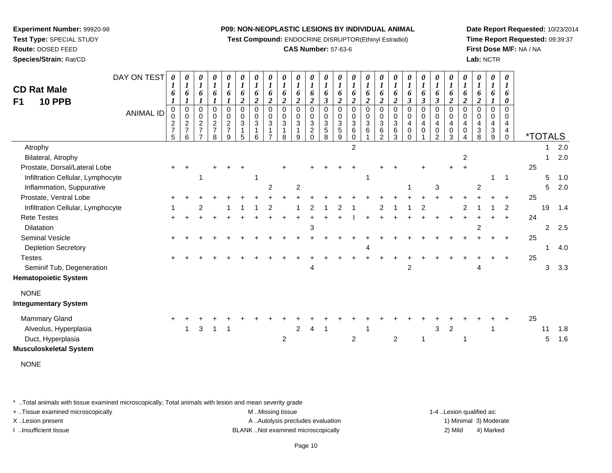**Test Compound:** ENDOCRINE DISRUPTOR(Ethinyl Estradiol)

## **CAS Number:** 57-63-6

**Date Report Requested:** 10/23/2014**Time Report Requested:** 09:39:37**First Dose M/F:** NA / NA**Lab:** NCTR

| F1 | <b>CD Rat Male</b><br><b>10 PPB</b> | DAY ON TEST<br><b>ANIMAL ID</b> | 0<br>6<br>$\boldsymbol{l}$<br>0<br>0<br>$\overline{\mathbf{c}}$<br>$\overline{7}$<br>5 | 0<br>6<br>$\boldsymbol{l}$<br>$\pmb{0}$<br>$\mathbf 0$<br>$\boldsymbol{2}$<br>$\overline{7}$<br>6 | 0<br>6<br>$\boldsymbol{l}$<br>$\,0\,$<br>$\pmb{0}$<br>$\frac{2}{7}$<br>⇁ | $\boldsymbol{\theta}$<br>$\boldsymbol{l}$<br>6<br>$\boldsymbol{l}$<br>$\mathbf 0$<br>0<br>$\frac{2}{7}$<br>8 | 0<br>$\boldsymbol{l}$<br>6<br>0<br>$\mathbf 0$<br>$\boldsymbol{2}$<br>$\overline{7}$<br>9 | 0<br>1<br>6<br>$\overline{c}$<br>$\mathbf 0$<br>$\mathbf 0$<br>3<br>$\mathbf 1$<br>5 | 0<br>$\boldsymbol{l}$<br>6<br>$\boldsymbol{2}$<br>$\mathbf 0$<br>$\mathbf 0$<br>3<br>$\mathbf 1$<br>6 | 0<br>$\boldsymbol{I}$<br>6<br>$\overline{c}$<br>$\mathbf 0$<br>0<br>3 | 0<br>$\boldsymbol{l}$<br>6<br>$\boldsymbol{2}$<br>0<br>0<br>3<br>8 | $\boldsymbol{l}$<br>6<br>$\overline{2}$<br>$\mathbf 0$<br>$\Omega$<br>3<br>9 | 0<br>6<br>$\boldsymbol{2}$<br>$\pmb{0}$<br>$\mathbf 0$<br>$\sqrt{3}$<br>$\overline{c}$<br>$\Omega$ | 0<br>6<br>3<br>0<br>$\mathbf 0$<br>$\mathbf{3}$<br>5<br>8 | 0<br>$\boldsymbol{l}$<br>6<br>$\overline{\mathbf{c}}$<br>0<br>0<br>3<br>$\sqrt{5}$<br>9 | 0<br>6<br>$\overline{2}$<br>0<br>$\mathbf 0$<br>3<br>6<br>0 | 6<br>$\boldsymbol{2}$<br>$\mathbf 0$<br>$\mathbf 0$<br>3<br>6 | 0<br>6<br>$\overline{2}$<br>0<br>0<br>3<br>6<br>2 | 0<br>6<br>$\boldsymbol{2}$<br>0<br>0<br>3<br>6<br>3 | 0<br>6<br>$\boldsymbol{\beta}$<br>0<br>0<br>4<br>0<br>0 | 0<br>6<br>$\boldsymbol{\beta}$<br>$\mathbf 0$<br>$\mathbf 0$<br>4<br>0 | 0<br>$\boldsymbol{l}$<br>6<br>$\boldsymbol{\beta}$<br>$\mathbf 0$<br>$\mathsf 0$<br>$\overline{\mathbf{4}}$<br>$\pmb{0}$<br>$\overline{2}$ | 0<br>$\boldsymbol{l}$<br>6<br>$\overline{2}$<br>0<br>0<br>4<br>$\pmb{0}$<br>3 | 0<br>6<br>$\overline{2}$<br>0<br>0<br>4<br>0 | 0<br>$\boldsymbol{l}$<br>6<br>$\boldsymbol{2}$<br>0<br>$\mathbf 0$<br>4<br>3<br>8 | 0<br>$\boldsymbol{l}$<br>6<br>0<br>$\mathbf 0$<br>$\overline{4}$<br>$\mathbf{3}$<br>9 | 0<br>1<br>6<br>0<br>$\Omega$<br>0<br>4<br>4<br>0 |    | <i><b>*TOTALS</b></i> |     |
|----|-------------------------------------|---------------------------------|----------------------------------------------------------------------------------------|---------------------------------------------------------------------------------------------------|--------------------------------------------------------------------------|--------------------------------------------------------------------------------------------------------------|-------------------------------------------------------------------------------------------|--------------------------------------------------------------------------------------|-------------------------------------------------------------------------------------------------------|-----------------------------------------------------------------------|--------------------------------------------------------------------|------------------------------------------------------------------------------|----------------------------------------------------------------------------------------------------|-----------------------------------------------------------|-----------------------------------------------------------------------------------------|-------------------------------------------------------------|---------------------------------------------------------------|---------------------------------------------------|-----------------------------------------------------|---------------------------------------------------------|------------------------------------------------------------------------|--------------------------------------------------------------------------------------------------------------------------------------------|-------------------------------------------------------------------------------|----------------------------------------------|-----------------------------------------------------------------------------------|---------------------------------------------------------------------------------------|--------------------------------------------------|----|-----------------------|-----|
|    | Atrophy                             |                                 |                                                                                        |                                                                                                   |                                                                          |                                                                                                              |                                                                                           |                                                                                      |                                                                                                       |                                                                       |                                                                    |                                                                              |                                                                                                    |                                                           |                                                                                         | $\overline{c}$                                              |                                                               |                                                   |                                                     |                                                         |                                                                        |                                                                                                                                            |                                                                               |                                              |                                                                                   |                                                                                       |                                                  |    |                       | 2.0 |
|    | Bilateral, Atrophy                  |                                 |                                                                                        |                                                                                                   |                                                                          |                                                                                                              |                                                                                           |                                                                                      |                                                                                                       |                                                                       |                                                                    |                                                                              |                                                                                                    |                                                           |                                                                                         |                                                             |                                                               |                                                   |                                                     |                                                         |                                                                        |                                                                                                                                            |                                                                               | 2                                            |                                                                                   |                                                                                       |                                                  |    | 1                     | 2.0 |
|    | Prostate, Dorsal/Lateral Lobe       |                                 |                                                                                        |                                                                                                   |                                                                          |                                                                                                              |                                                                                           |                                                                                      |                                                                                                       |                                                                       |                                                                    |                                                                              |                                                                                                    |                                                           |                                                                                         |                                                             |                                                               |                                                   |                                                     |                                                         |                                                                        |                                                                                                                                            |                                                                               | $\pm$                                        |                                                                                   |                                                                                       |                                                  | 25 |                       |     |
|    | Infiltration Cellular, Lymphocyte   |                                 |                                                                                        |                                                                                                   |                                                                          |                                                                                                              |                                                                                           |                                                                                      |                                                                                                       |                                                                       |                                                                    |                                                                              |                                                                                                    |                                                           |                                                                                         |                                                             | -1                                                            |                                                   |                                                     |                                                         |                                                                        |                                                                                                                                            |                                                                               |                                              |                                                                                   | 1                                                                                     | $\mathbf{1}$                                     |    | 5                     | 1.0 |
|    | Inflammation, Suppurative           |                                 |                                                                                        |                                                                                                   |                                                                          |                                                                                                              |                                                                                           |                                                                                      |                                                                                                       | 2                                                                     |                                                                    | 2                                                                            |                                                                                                    |                                                           |                                                                                         |                                                             |                                                               |                                                   |                                                     |                                                         |                                                                        | 3                                                                                                                                          |                                                                               |                                              | 2                                                                                 |                                                                                       |                                                  |    | 5                     | 2.0 |
|    | Prostate, Ventral Lobe              |                                 |                                                                                        |                                                                                                   |                                                                          |                                                                                                              |                                                                                           |                                                                                      |                                                                                                       |                                                                       |                                                                    |                                                                              |                                                                                                    |                                                           |                                                                                         |                                                             |                                                               |                                                   |                                                     |                                                         |                                                                        |                                                                                                                                            |                                                                               |                                              |                                                                                   |                                                                                       |                                                  | 25 |                       |     |
|    | Infiltration Cellular, Lymphocyte   |                                 |                                                                                        |                                                                                                   |                                                                          |                                                                                                              |                                                                                           |                                                                                      |                                                                                                       |                                                                       |                                                                    |                                                                              |                                                                                                    |                                                           |                                                                                         |                                                             |                                                               |                                                   |                                                     |                                                         |                                                                        |                                                                                                                                            |                                                                               |                                              |                                                                                   |                                                                                       | 2                                                |    | 19                    | 1.4 |
|    | <b>Rete Testes</b>                  |                                 |                                                                                        |                                                                                                   |                                                                          |                                                                                                              |                                                                                           |                                                                                      |                                                                                                       |                                                                       |                                                                    |                                                                              |                                                                                                    |                                                           |                                                                                         |                                                             |                                                               |                                                   |                                                     |                                                         |                                                                        |                                                                                                                                            |                                                                               |                                              |                                                                                   |                                                                                       |                                                  | 24 |                       |     |
|    | <b>Dilatation</b>                   |                                 |                                                                                        |                                                                                                   |                                                                          |                                                                                                              |                                                                                           |                                                                                      |                                                                                                       |                                                                       |                                                                    |                                                                              | 3                                                                                                  |                                                           |                                                                                         |                                                             |                                                               |                                                   |                                                     |                                                         |                                                                        |                                                                                                                                            |                                                                               |                                              | 2                                                                                 |                                                                                       |                                                  |    | $\overline{2}$        | 2.5 |
|    | Seminal Vesicle                     |                                 |                                                                                        |                                                                                                   |                                                                          |                                                                                                              |                                                                                           |                                                                                      |                                                                                                       |                                                                       |                                                                    |                                                                              |                                                                                                    |                                                           |                                                                                         |                                                             |                                                               |                                                   |                                                     |                                                         |                                                                        |                                                                                                                                            |                                                                               |                                              |                                                                                   |                                                                                       | ÷                                                | 25 |                       |     |
|    | <b>Depletion Secretory</b>          |                                 |                                                                                        |                                                                                                   |                                                                          |                                                                                                              |                                                                                           |                                                                                      |                                                                                                       |                                                                       |                                                                    |                                                                              |                                                                                                    |                                                           |                                                                                         |                                                             | Δ                                                             |                                                   |                                                     |                                                         |                                                                        |                                                                                                                                            |                                                                               |                                              |                                                                                   |                                                                                       |                                                  |    | $\mathbf 1$           | 4.0 |
|    | <b>Testes</b>                       |                                 |                                                                                        |                                                                                                   |                                                                          |                                                                                                              |                                                                                           |                                                                                      |                                                                                                       |                                                                       |                                                                    |                                                                              |                                                                                                    |                                                           |                                                                                         |                                                             |                                                               |                                                   |                                                     |                                                         |                                                                        |                                                                                                                                            |                                                                               |                                              |                                                                                   |                                                                                       |                                                  | 25 |                       |     |
|    | Seminif Tub, Degeneration           |                                 |                                                                                        |                                                                                                   |                                                                          |                                                                                                              |                                                                                           |                                                                                      |                                                                                                       |                                                                       |                                                                    |                                                                              | 4                                                                                                  |                                                           |                                                                                         |                                                             |                                                               |                                                   |                                                     | $\overline{c}$                                          |                                                                        |                                                                                                                                            |                                                                               |                                              | 4                                                                                 |                                                                                       |                                                  |    | 3                     | 3.3 |
|    | <b>Hematopoietic System</b>         |                                 |                                                                                        |                                                                                                   |                                                                          |                                                                                                              |                                                                                           |                                                                                      |                                                                                                       |                                                                       |                                                                    |                                                                              |                                                                                                    |                                                           |                                                                                         |                                                             |                                                               |                                                   |                                                     |                                                         |                                                                        |                                                                                                                                            |                                                                               |                                              |                                                                                   |                                                                                       |                                                  |    |                       |     |
|    | <b>NONE</b>                         |                                 |                                                                                        |                                                                                                   |                                                                          |                                                                                                              |                                                                                           |                                                                                      |                                                                                                       |                                                                       |                                                                    |                                                                              |                                                                                                    |                                                           |                                                                                         |                                                             |                                                               |                                                   |                                                     |                                                         |                                                                        |                                                                                                                                            |                                                                               |                                              |                                                                                   |                                                                                       |                                                  |    |                       |     |
|    | <b>Integumentary System</b>         |                                 |                                                                                        |                                                                                                   |                                                                          |                                                                                                              |                                                                                           |                                                                                      |                                                                                                       |                                                                       |                                                                    |                                                                              |                                                                                                    |                                                           |                                                                                         |                                                             |                                                               |                                                   |                                                     |                                                         |                                                                        |                                                                                                                                            |                                                                               |                                              |                                                                                   |                                                                                       |                                                  |    |                       |     |
|    | <b>Mammary Gland</b>                |                                 |                                                                                        |                                                                                                   |                                                                          |                                                                                                              |                                                                                           |                                                                                      |                                                                                                       |                                                                       |                                                                    |                                                                              |                                                                                                    |                                                           |                                                                                         |                                                             |                                                               |                                                   |                                                     |                                                         |                                                                        |                                                                                                                                            |                                                                               |                                              |                                                                                   |                                                                                       |                                                  | 25 |                       |     |
|    | Alveolus, Hyperplasia               |                                 |                                                                                        | 1                                                                                                 | 3                                                                        | 1                                                                                                            |                                                                                           |                                                                                      |                                                                                                       |                                                                       |                                                                    | 2                                                                            | 4                                                                                                  |                                                           |                                                                                         |                                                             |                                                               |                                                   |                                                     |                                                         |                                                                        | 3                                                                                                                                          | 2                                                                             |                                              |                                                                                   |                                                                                       |                                                  |    | 11                    | 1.8 |
|    | Duct, Hyperplasia                   |                                 |                                                                                        |                                                                                                   |                                                                          |                                                                                                              |                                                                                           |                                                                                      |                                                                                                       |                                                                       | $\overline{c}$                                                     |                                                                              |                                                                                                    |                                                           |                                                                                         | $\overline{a}$                                              |                                                               |                                                   | $\boldsymbol{2}$                                    |                                                         | 1                                                                      |                                                                                                                                            |                                                                               |                                              |                                                                                   |                                                                                       |                                                  |    | 5                     | 1.6 |
|    | Musculoskeletal System              |                                 |                                                                                        |                                                                                                   |                                                                          |                                                                                                              |                                                                                           |                                                                                      |                                                                                                       |                                                                       |                                                                    |                                                                              |                                                                                                    |                                                           |                                                                                         |                                                             |                                                               |                                                   |                                                     |                                                         |                                                                        |                                                                                                                                            |                                                                               |                                              |                                                                                   |                                                                                       |                                                  |    |                       |     |
|    | <b>NONE</b>                         |                                 |                                                                                        |                                                                                                   |                                                                          |                                                                                                              |                                                                                           |                                                                                      |                                                                                                       |                                                                       |                                                                    |                                                                              |                                                                                                    |                                                           |                                                                                         |                                                             |                                                               |                                                   |                                                     |                                                         |                                                                        |                                                                                                                                            |                                                                               |                                              |                                                                                   |                                                                                       |                                                  |    |                       |     |

\* ..Total animals with tissue examined microscopically; Total animals with lesion and mean severity grade

+ ..Tissue examined microscopically examined microscopically examined as:  $M$  ..Missing tissue 1-4 ..Lesion qualified as: X..Lesion present **A ..Autolysis precludes evaluation** A ..Autolysis precludes evaluation 1) Minimal 3) Moderate

I ..Insufficient tissue BLANK ..Not examined microscopically 2) Mild 4) Marked

# **Experiment Number:** 99920-98**Test Type:** SPECIAL STUDY**Route:** DOSED FEED

**Species/Strain:** Rat/CD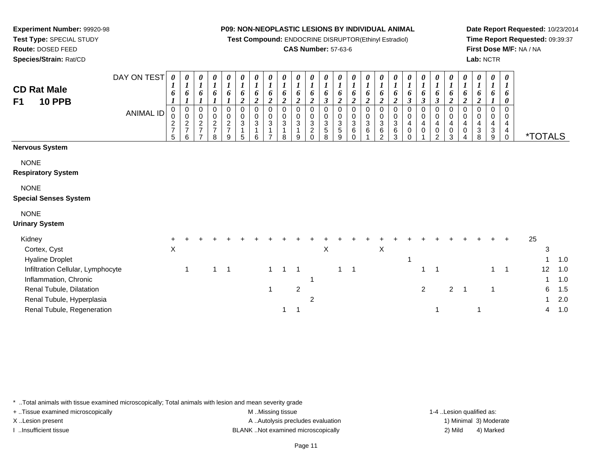**Test Compound:** ENDOCRINE DISRUPTOR(Ethinyl Estradiol)

## **CAS Number:** 57-63-6

**Date Report Requested:** 10/23/2014**Time Report Requested:** 09:39:37**First Dose M/F:** NA / NA**Lab:** NCTR

| <b>CD Rat Male</b><br><b>10 PPB</b><br>F <sub>1</sub>      | DAY ON TEST<br><b>ANIMAL ID</b> | $\boldsymbol{\theta}$<br>1<br>6<br>0<br>0<br>$\frac{2}{7}$<br>5 | $\boldsymbol{l}$<br>6<br>0<br>$\pmb{0}$<br>$\frac{2}{7}$<br>6 | $\boldsymbol{l}$<br>6<br>0<br>$\mathbf 0$<br>$\frac{2}{7}$<br>$\overline{ }$ | 0<br>$\boldsymbol{l}$<br>6<br>0<br>$\mathsf{O}$<br>$\frac{2}{7}$<br>8 | 0<br>$\boldsymbol{l}$<br>6<br>0<br>$\pmb{0}$<br>$\frac{2}{7}$<br>9 | 0<br>$\boldsymbol{l}$<br>6<br>$\boldsymbol{2}$<br>$\mathbf 0$<br>$\mathbf 0$<br>$\sqrt{3}$<br>$\mathbf{1}$<br>5 | $\boldsymbol{\theta}$<br>$\boldsymbol{l}$<br>6<br>$\overline{2}$<br>$\mathbf 0$<br>$\pmb{0}$<br>$\mathbf 3$<br>1<br>6 | $\boldsymbol{\theta}$<br>$\boldsymbol{l}$<br>6<br>$\overline{c}$<br>$\Omega$<br>0<br>3<br>$\overline{ }$ | $\theta$<br>$\boldsymbol{l}$<br>6<br>$\boldsymbol{2}$<br>$\Omega$<br>0<br>3<br>8 | $\boldsymbol{\theta}$<br>$\boldsymbol{l}$<br>6<br>$\boldsymbol{2}$<br>0<br>$\mathbf 0$<br>3<br>$\mathbf{1}$<br>9 | $\boldsymbol{\theta}$<br>$\boldsymbol{l}$<br>6<br>$\boldsymbol{2}$<br>$\pmb{0}$<br>$\pmb{0}$<br>$\frac{3}{2}$<br>$\Omega$ | 0<br>$\boldsymbol{l}$<br>6<br>$\boldsymbol{\beta}$<br>0<br>$\mathbf 0$<br>$\mathbf{3}$<br>$\overline{5}$<br>8 | 0<br>$\boldsymbol{l}$<br>6<br>$\boldsymbol{2}$<br>0<br>$\pmb{0}$<br>$\sqrt{3}$<br>5<br>9 | 0<br>$\boldsymbol{l}$<br>6<br>2<br>$\Omega$<br>$\mathbf 0$<br>3<br>6<br>$\Omega$ | 0<br>$\boldsymbol{l}$<br>6<br>$\overline{2}$<br>$\Omega$<br>0<br>3<br>6 | $\theta$<br>$\boldsymbol{l}$<br>6<br>$\boldsymbol{2}$<br>0<br>0<br>3<br>6<br>$\mathfrak{p}$ | $\boldsymbol{l}$<br>6<br>$\boldsymbol{2}$<br>$\mathbf 0$<br>$\pmb{0}$<br>$\mathbf{3}$<br>6<br>3 | $\boldsymbol{\theta}$<br>6<br>3<br>0<br>$\pmb{0}$<br>4<br>$\pmb{0}$<br>$\Omega$ | 0<br>$\boldsymbol{l}$<br>6<br>$\boldsymbol{\beta}$<br>0<br>$\mathsf{O}\xspace$<br>4<br>0 | 0<br>$\boldsymbol{l}$<br>6<br>$\boldsymbol{\beta}$<br>0<br>$\pmb{0}$<br>$\overline{4}$<br>$\pmb{0}$<br>2 | $\boldsymbol{\theta}$<br>$\boldsymbol{l}$<br>6<br>$\boldsymbol{2}$<br>$\mathbf 0$<br>$\pmb{0}$<br>$\overline{4}$<br>$\,0\,$<br>3 | $\boldsymbol{\theta}$<br>$\boldsymbol{l}$<br>6<br>2<br>0<br>0<br>4<br>$\,0\,$<br>$\overline{4}$ | 0<br>$\boldsymbol{l}$<br>6<br>$\boldsymbol{2}$<br>$\Omega$<br>0<br>4<br>$\ensuremath{\mathsf{3}}$<br>8 | $\boldsymbol{l}$<br>6<br>0<br>0<br>4<br>$\ensuremath{\mathsf{3}}$<br>9 | $\boldsymbol{\theta}$<br>1<br>6<br>0<br>$\Omega$<br>0<br>4<br>$\overline{\mathbf{4}}$<br>$\mathbf 0$ | <i><b>*TOTALS</b></i> |                |
|------------------------------------------------------------|---------------------------------|-----------------------------------------------------------------|---------------------------------------------------------------|------------------------------------------------------------------------------|-----------------------------------------------------------------------|--------------------------------------------------------------------|-----------------------------------------------------------------------------------------------------------------|-----------------------------------------------------------------------------------------------------------------------|----------------------------------------------------------------------------------------------------------|----------------------------------------------------------------------------------|------------------------------------------------------------------------------------------------------------------|---------------------------------------------------------------------------------------------------------------------------|---------------------------------------------------------------------------------------------------------------|------------------------------------------------------------------------------------------|----------------------------------------------------------------------------------|-------------------------------------------------------------------------|---------------------------------------------------------------------------------------------|-------------------------------------------------------------------------------------------------|---------------------------------------------------------------------------------|------------------------------------------------------------------------------------------|----------------------------------------------------------------------------------------------------------|----------------------------------------------------------------------------------------------------------------------------------|-------------------------------------------------------------------------------------------------|--------------------------------------------------------------------------------------------------------|------------------------------------------------------------------------|------------------------------------------------------------------------------------------------------|-----------------------|----------------|
| <b>Nervous System</b>                                      |                                 |                                                                 |                                                               |                                                                              |                                                                       |                                                                    |                                                                                                                 |                                                                                                                       |                                                                                                          |                                                                                  |                                                                                                                  |                                                                                                                           |                                                                                                               |                                                                                          |                                                                                  |                                                                         |                                                                                             |                                                                                                 |                                                                                 |                                                                                          |                                                                                                          |                                                                                                                                  |                                                                                                 |                                                                                                        |                                                                        |                                                                                                      |                       |                |
| <b>NONE</b><br><b>Respiratory System</b>                   |                                 |                                                                 |                                                               |                                                                              |                                                                       |                                                                    |                                                                                                                 |                                                                                                                       |                                                                                                          |                                                                                  |                                                                                                                  |                                                                                                                           |                                                                                                               |                                                                                          |                                                                                  |                                                                         |                                                                                             |                                                                                                 |                                                                                 |                                                                                          |                                                                                                          |                                                                                                                                  |                                                                                                 |                                                                                                        |                                                                        |                                                                                                      |                       |                |
| <b>NONE</b><br><b>Special Senses System</b>                |                                 |                                                                 |                                                               |                                                                              |                                                                       |                                                                    |                                                                                                                 |                                                                                                                       |                                                                                                          |                                                                                  |                                                                                                                  |                                                                                                                           |                                                                                                               |                                                                                          |                                                                                  |                                                                         |                                                                                             |                                                                                                 |                                                                                 |                                                                                          |                                                                                                          |                                                                                                                                  |                                                                                                 |                                                                                                        |                                                                        |                                                                                                      |                       |                |
| <b>NONE</b>                                                |                                 |                                                                 |                                                               |                                                                              |                                                                       |                                                                    |                                                                                                                 |                                                                                                                       |                                                                                                          |                                                                                  |                                                                                                                  |                                                                                                                           |                                                                                                               |                                                                                          |                                                                                  |                                                                         |                                                                                             |                                                                                                 |                                                                                 |                                                                                          |                                                                                                          |                                                                                                                                  |                                                                                                 |                                                                                                        |                                                                        |                                                                                                      |                       |                |
| <b>Urinary System</b>                                      |                                 |                                                                 |                                                               |                                                                              |                                                                       |                                                                    |                                                                                                                 |                                                                                                                       |                                                                                                          |                                                                                  |                                                                                                                  |                                                                                                                           |                                                                                                               |                                                                                          |                                                                                  |                                                                         |                                                                                             |                                                                                                 |                                                                                 |                                                                                          |                                                                                                          |                                                                                                                                  |                                                                                                 |                                                                                                        |                                                                        |                                                                                                      |                       |                |
| Kidney<br>Cortex, Cyst<br><b>Hyaline Droplet</b>           |                                 | X                                                               |                                                               |                                                                              |                                                                       |                                                                    |                                                                                                                 |                                                                                                                       |                                                                                                          |                                                                                  |                                                                                                                  |                                                                                                                           | X                                                                                                             |                                                                                          |                                                                                  |                                                                         | $\boldsymbol{\mathsf{X}}$                                                                   |                                                                                                 |                                                                                 |                                                                                          |                                                                                                          |                                                                                                                                  |                                                                                                 |                                                                                                        |                                                                        |                                                                                                      | 25<br>3               | 1.0            |
| Infiltration Cellular, Lymphocyte<br>Inflammation, Chronic |                                 |                                                                 | 1                                                             |                                                                              |                                                                       | $\overline{\phantom{0}}$ 1                                         |                                                                                                                 |                                                                                                                       | $\mathbf{1}$                                                                                             | 1                                                                                | -1                                                                                                               |                                                                                                                           |                                                                                                               | 1                                                                                        | $\overline{\mathbf{1}}$                                                          |                                                                         |                                                                                             |                                                                                                 |                                                                                 | 1                                                                                        |                                                                                                          |                                                                                                                                  |                                                                                                 |                                                                                                        | $\mathbf 1$                                                            | $\overline{1}$                                                                                       | 12                    | 1.0<br>1.0     |
| Renal Tubule, Dilatation<br>Renal Tubule, Hyperplasia      |                                 |                                                                 |                                                               |                                                                              |                                                                       |                                                                    |                                                                                                                 |                                                                                                                       | 1                                                                                                        |                                                                                  | $\overline{2}$                                                                                                   | $\overline{2}$                                                                                                            |                                                                                                               |                                                                                          |                                                                                  |                                                                         |                                                                                             |                                                                                                 |                                                                                 | $\overline{2}$                                                                           |                                                                                                          | $\overline{2}$                                                                                                                   | $\overline{1}$                                                                                  |                                                                                                        |                                                                        |                                                                                                      | 6                     | 1.5<br>$2.0\,$ |
| Renal Tubule, Regeneration                                 |                                 |                                                                 |                                                               |                                                                              |                                                                       |                                                                    |                                                                                                                 |                                                                                                                       |                                                                                                          |                                                                                  | -1                                                                                                               |                                                                                                                           |                                                                                                               |                                                                                          |                                                                                  |                                                                         |                                                                                             |                                                                                                 |                                                                                 |                                                                                          |                                                                                                          |                                                                                                                                  |                                                                                                 | $\overline{1}$                                                                                         |                                                                        |                                                                                                      | 4                     | 1.0            |

\* ..Total animals with tissue examined microscopically; Total animals with lesion and mean severity grade

**Experiment Number:** 99920-98**Test Type:** SPECIAL STUDY**Route:** DOSED FEED**Species/Strain:** Rat/CD

+ ..Tissue examined microscopically examined microscopically examined as:  $M$  ..Missing tissue 1-4 ..Lesion qualified as: X..Lesion present **A ..Autolysis precludes evaluation** A ..Autolysis precludes evaluation 1) Minimal 3) Moderate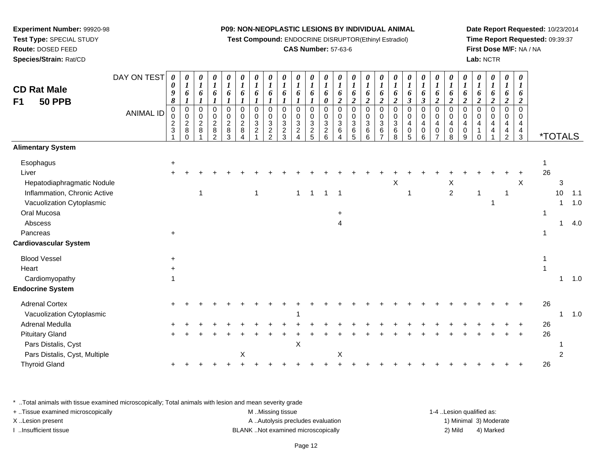**Test Compound:** ENDOCRINE DISRUPTOR(Ethinyl Estradiol)

## **CAS Number:** 57-63-6

**Date Report Requested:** 10/23/2014**Time Report Requested:** 09:39:37**First Dose M/F:** NA / NA**Lab:** NCTR

| <b>CD Rat Male</b><br>F1<br><b>50 PPB</b> | DAY ON TEST      | 0<br>0<br>9<br>8              | 0<br>6                                              | 0<br>$\boldsymbol{l}$<br>6                     | 0<br>$\boldsymbol{l}$                                        | 0<br>6                                                    | 0<br>$\boldsymbol{l}$<br>6                    | U<br>$\boldsymbol{l}$<br>6                                   | 0<br>$\boldsymbol{l}$<br>6                     | 0<br>$\boldsymbol{l}$<br>6                       | $\boldsymbol{\theta}$<br>$\boldsymbol{l}$<br>6 | 0<br>$\boldsymbol{l}$<br>6      | 0<br>$\boldsymbol{l}$<br>6<br>$\pmb{\theta}$     | 0<br>$\boldsymbol{l}$<br>6<br>$\overline{2}$                   | 0<br>$\boldsymbol{l}$<br>6<br>$\overline{2}$ | 0<br>1<br>6<br>$\boldsymbol{2}$     | 0<br>$\boldsymbol{l}$<br>6<br>$\overline{2}$     | 0<br>$\boldsymbol{l}$<br>6<br>$\overline{c}$ | 0<br>$\boldsymbol{l}$<br>6<br>3 | $\boldsymbol{\theta}$<br>$\boldsymbol{l}$<br>6<br>$\boldsymbol{\beta}$ | 0<br>$\boldsymbol{l}$<br>6<br>$\overline{2}$ | 0<br>$\boldsymbol{l}$<br>6<br>$\boldsymbol{2}$         | $\boldsymbol{\theta}$<br>$\boldsymbol{l}$<br>6<br>$\boldsymbol{2}$ | 0<br>6<br>$\overline{2}$ | 0<br>$\boldsymbol{l}$<br>6<br>$\overline{\mathbf{c}}$ | 0<br>1<br>6<br>$\boldsymbol{2}$                        | 0<br>6<br>$\overline{2}$            |             |                       |     |
|-------------------------------------------|------------------|-------------------------------|-----------------------------------------------------|------------------------------------------------|--------------------------------------------------------------|-----------------------------------------------------------|-----------------------------------------------|--------------------------------------------------------------|------------------------------------------------|--------------------------------------------------|------------------------------------------------|---------------------------------|--------------------------------------------------|----------------------------------------------------------------|----------------------------------------------|-------------------------------------|--------------------------------------------------|----------------------------------------------|---------------------------------|------------------------------------------------------------------------|----------------------------------------------|--------------------------------------------------------|--------------------------------------------------------------------|--------------------------|-------------------------------------------------------|--------------------------------------------------------|-------------------------------------|-------------|-----------------------|-----|
|                                           | <b>ANIMAL ID</b> | 0<br>0<br>$\overline{2}$<br>3 | 0<br>$\mathbf 0$<br>$\overline{2}$<br>8<br>$\Omega$ | $\mathbf 0$<br>$\Omega$<br>$\overline{2}$<br>8 | $\Omega$<br>$\Omega$<br>$\overline{2}$<br>8<br>$\mathcal{P}$ | $\mathbf 0$<br>0<br>$\overline{c}$<br>$\overline{8}$<br>3 | $\mathbf 0$<br>$\mathbf 0$<br>$\sqrt{2}$<br>8 | $\mathbf 0$<br>$\mathbf 0$<br>$\mathbf{3}$<br>$\overline{c}$ | $\mathbf 0$<br>$\pmb{0}$<br>3<br>$\frac{2}{2}$ | $\mathbf 0$<br>$\mathbf 0$<br>3<br>$\frac{2}{3}$ | $\mathbf 0$<br>$\Omega$<br>3<br>$\overline{c}$ | $\pmb{0}$<br>0<br>$\frac{3}{2}$ | $\mathbf 0$<br>$\mathbf 0$<br>3<br>$\frac{2}{6}$ | $\mathbf 0$<br>$\mathbf 0$<br>3<br>6<br>$\boldsymbol{\Lambda}$ | $\mathbf 0$<br>0<br>$\mathbf{3}$<br>6<br>5   | $\Omega$<br>$\Omega$<br>3<br>6<br>6 | $\Omega$<br>$\Omega$<br>3<br>6<br>$\overline{7}$ | $\mathbf 0$<br>0<br>3<br>6<br>8              | 0<br>0<br>4<br>0<br>5           | $\mathbf 0$<br>$\mathbf 0$<br>$\overline{4}$<br>$\mathbf 0$<br>6       | 0<br>0<br>4<br>0<br>$\overline{ }$           | $\mathbf 0$<br>$\mathbf 0$<br>$\overline{4}$<br>0<br>8 | $\pmb{0}$<br>$\mathbf 0$<br>4<br>0<br>9                            | 0<br>$\mathbf 0$<br>4    | 0<br>$\mathbf 0$<br>4<br>4                            | $\mathbf 0$<br>$\mathbf 0$<br>4<br>4<br>$\overline{2}$ | $\Omega$<br>$\Omega$<br>4<br>4<br>3 |             | <i><b>*TOTALS</b></i> |     |
| <b>Alimentary System</b>                  |                  |                               |                                                     |                                                |                                                              |                                                           |                                               |                                                              |                                                |                                                  |                                                |                                 |                                                  |                                                                |                                              |                                     |                                                  |                                              |                                 |                                                                        |                                              |                                                        |                                                                    |                          |                                                       |                                                        |                                     |             |                       |     |
| Esophagus                                 |                  | $\ddot{}$                     |                                                     |                                                |                                                              |                                                           |                                               |                                                              |                                                |                                                  |                                                |                                 |                                                  |                                                                |                                              |                                     |                                                  |                                              |                                 |                                                                        |                                              |                                                        |                                                                    |                          |                                                       |                                                        |                                     | 1           |                       |     |
| Liver                                     |                  |                               |                                                     |                                                |                                                              |                                                           |                                               |                                                              |                                                |                                                  |                                                |                                 |                                                  |                                                                |                                              |                                     |                                                  |                                              |                                 |                                                                        |                                              |                                                        |                                                                    |                          |                                                       |                                                        |                                     | 26          |                       |     |
| Hepatodiaphragmatic Nodule                |                  |                               |                                                     |                                                |                                                              |                                                           |                                               |                                                              |                                                |                                                  |                                                |                                 |                                                  |                                                                |                                              |                                     |                                                  | X                                            |                                 |                                                                        |                                              | X                                                      |                                                                    |                          |                                                       |                                                        | X                                   |             | 3                     |     |
| Inflammation, Chronic Active              |                  |                               |                                                     |                                                |                                                              |                                                           |                                               |                                                              |                                                |                                                  | $\mathbf 1$                                    | $\overline{1}$                  | $\overline{1}$                                   | $\overline{1}$                                                 |                                              |                                     |                                                  |                                              |                                 |                                                                        |                                              | $\boldsymbol{2}$                                       |                                                                    |                          |                                                       | 1                                                      |                                     |             | 10                    | 1.1 |
| Vacuolization Cytoplasmic                 |                  |                               |                                                     |                                                |                                                              |                                                           |                                               |                                                              |                                                |                                                  |                                                |                                 |                                                  |                                                                |                                              |                                     |                                                  |                                              |                                 |                                                                        |                                              |                                                        |                                                                    |                          |                                                       |                                                        |                                     |             |                       | 1.0 |
| Oral Mucosa                               |                  |                               |                                                     |                                                |                                                              |                                                           |                                               |                                                              |                                                |                                                  |                                                |                                 |                                                  |                                                                |                                              |                                     |                                                  |                                              |                                 |                                                                        |                                              |                                                        |                                                                    |                          |                                                       |                                                        |                                     | $\mathbf 1$ |                       |     |
| Abscess                                   |                  |                               |                                                     |                                                |                                                              |                                                           |                                               |                                                              |                                                |                                                  |                                                |                                 |                                                  | 4                                                              |                                              |                                     |                                                  |                                              |                                 |                                                                        |                                              |                                                        |                                                                    |                          |                                                       |                                                        |                                     |             | 1                     | 4.0 |
| Pancreas                                  |                  |                               |                                                     |                                                |                                                              |                                                           |                                               |                                                              |                                                |                                                  |                                                |                                 |                                                  |                                                                |                                              |                                     |                                                  |                                              |                                 |                                                                        |                                              |                                                        |                                                                    |                          |                                                       |                                                        |                                     |             |                       |     |
| Cardiovascular System                     |                  |                               |                                                     |                                                |                                                              |                                                           |                                               |                                                              |                                                |                                                  |                                                |                                 |                                                  |                                                                |                                              |                                     |                                                  |                                              |                                 |                                                                        |                                              |                                                        |                                                                    |                          |                                                       |                                                        |                                     |             |                       |     |
| <b>Blood Vessel</b>                       |                  |                               |                                                     |                                                |                                                              |                                                           |                                               |                                                              |                                                |                                                  |                                                |                                 |                                                  |                                                                |                                              |                                     |                                                  |                                              |                                 |                                                                        |                                              |                                                        |                                                                    |                          |                                                       |                                                        |                                     |             |                       |     |
| Heart                                     |                  |                               |                                                     |                                                |                                                              |                                                           |                                               |                                                              |                                                |                                                  |                                                |                                 |                                                  |                                                                |                                              |                                     |                                                  |                                              |                                 |                                                                        |                                              |                                                        |                                                                    |                          |                                                       |                                                        |                                     |             |                       |     |
| Cardiomyopathy                            |                  |                               |                                                     |                                                |                                                              |                                                           |                                               |                                                              |                                                |                                                  |                                                |                                 |                                                  |                                                                |                                              |                                     |                                                  |                                              |                                 |                                                                        |                                              |                                                        |                                                                    |                          |                                                       |                                                        |                                     |             | 1                     | 1.0 |
| <b>Endocrine System</b>                   |                  |                               |                                                     |                                                |                                                              |                                                           |                                               |                                                              |                                                |                                                  |                                                |                                 |                                                  |                                                                |                                              |                                     |                                                  |                                              |                                 |                                                                        |                                              |                                                        |                                                                    |                          |                                                       |                                                        |                                     |             |                       |     |
| <b>Adrenal Cortex</b>                     |                  |                               |                                                     |                                                |                                                              |                                                           |                                               |                                                              |                                                |                                                  |                                                |                                 |                                                  |                                                                |                                              |                                     |                                                  |                                              |                                 |                                                                        |                                              |                                                        |                                                                    |                          |                                                       |                                                        |                                     | 26          |                       |     |
| Vacuolization Cytoplasmic                 |                  |                               |                                                     |                                                |                                                              |                                                           |                                               |                                                              |                                                |                                                  |                                                |                                 |                                                  |                                                                |                                              |                                     |                                                  |                                              |                                 |                                                                        |                                              |                                                        |                                                                    |                          |                                                       |                                                        |                                     |             |                       | 1.0 |
| <b>Adrenal Medulla</b>                    |                  |                               |                                                     |                                                |                                                              |                                                           |                                               |                                                              |                                                |                                                  |                                                |                                 |                                                  |                                                                |                                              |                                     |                                                  |                                              |                                 |                                                                        |                                              |                                                        |                                                                    |                          |                                                       |                                                        |                                     | 26          |                       |     |
| <b>Pituitary Gland</b>                    |                  |                               |                                                     |                                                |                                                              |                                                           |                                               |                                                              |                                                |                                                  |                                                |                                 |                                                  |                                                                |                                              |                                     |                                                  |                                              |                                 |                                                                        |                                              |                                                        |                                                                    |                          |                                                       |                                                        |                                     | 26          |                       |     |
| Pars Distalis, Cyst                       |                  |                               |                                                     |                                                |                                                              |                                                           |                                               |                                                              |                                                |                                                  | $\mathsf X$                                    |                                 |                                                  |                                                                |                                              |                                     |                                                  |                                              |                                 |                                                                        |                                              |                                                        |                                                                    |                          |                                                       |                                                        |                                     |             |                       |     |
| Pars Distalis, Cyst, Multiple             |                  |                               |                                                     |                                                |                                                              |                                                           | Χ                                             |                                                              |                                                |                                                  |                                                |                                 |                                                  | X                                                              |                                              |                                     |                                                  |                                              |                                 |                                                                        |                                              |                                                        |                                                                    |                          |                                                       |                                                        |                                     |             |                       |     |
| <b>Thyroid Gland</b>                      |                  |                               |                                                     |                                                |                                                              |                                                           |                                               |                                                              |                                                |                                                  |                                                |                                 |                                                  |                                                                |                                              |                                     |                                                  |                                              |                                 |                                                                        |                                              |                                                        |                                                                    |                          |                                                       |                                                        |                                     | 26          |                       |     |
|                                           |                  |                               |                                                     |                                                |                                                              |                                                           |                                               |                                                              |                                                |                                                  |                                                |                                 |                                                  |                                                                |                                              |                                     |                                                  |                                              |                                 |                                                                        |                                              |                                                        |                                                                    |                          |                                                       |                                                        |                                     |             |                       |     |

\* ..Total animals with tissue examined microscopically; Total animals with lesion and mean severity grade

| + Tissue examined microscopically | M Missing tissue                   | 1-4 Lesion qualified as: |                        |
|-----------------------------------|------------------------------------|--------------------------|------------------------|
| X Lesion present                  | A Autolysis precludes evaluation   |                          | 1) Minimal 3) Moderate |
| Insufficient tissue               | BLANK Not examined microscopically | 2) Mild                  | 4) Marked              |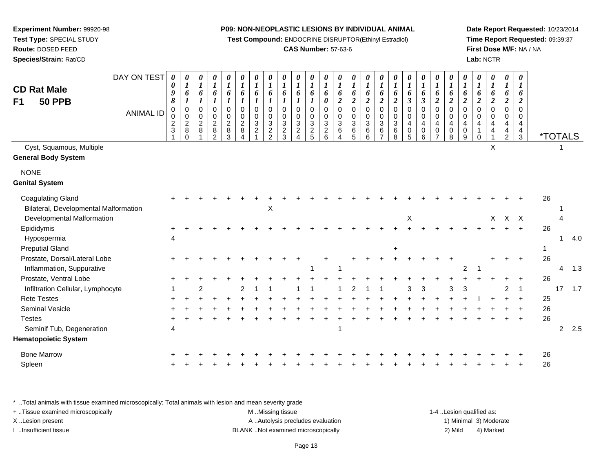**Test Compound:** ENDOCRINE DISRUPTOR(Ethinyl Estradiol)

## **CAS Number:** 57-63-6

**Date Report Requested:** 10/23/2014**Time Report Requested:** 09:39:37**First Dose M/F:** NA / NA**Lab:** NCTR

| F <sub>1</sub> | <b>CD Rat Male</b><br><b>50 PPB</b>                               | DAY ON TEST<br><b>ANIMAL ID</b> | 0<br>0<br>9<br>$\pmb{8}$<br>0<br>0<br>$\overline{c}$<br>$\sqrt{3}$ | $\pmb{\theta}$<br>$\boldsymbol{l}$<br>6<br>$\pmb{0}$<br>$\mathbf 0$<br>$\sqrt{2}$<br>$\bf 8$<br>$\Omega$ | 0<br>$\boldsymbol{l}$<br>6<br>$\mathbf 0$<br>0<br>$\overline{c}$<br>8 | 0<br>$\boldsymbol{l}$<br>6<br>$\mathbf 0$<br>0<br>$\boldsymbol{2}$<br>8<br>$\overline{2}$ | $\boldsymbol{\theta}$<br>$\boldsymbol{l}$<br>6<br>$\mathbf 0$<br>0<br>$\overline{2}$<br>$\, 8$<br>3 | 0<br>$\boldsymbol{l}$<br>6<br>0<br>0<br>$\sqrt{2}$<br>$\,8\,$ | 0<br>$\boldsymbol{l}$<br>6<br>0<br>0<br>3<br>$\overline{2}$ | $\pmb{\theta}$<br>$\boldsymbol{l}$<br>6<br>$\pmb{0}$<br>$\mathbf 0$<br>$\sqrt{3}$<br>$\overline{c}$<br>$\overline{2}$ | 0<br>$\boldsymbol{l}$<br>6<br>$\mathbf 0$<br>0<br>$\ensuremath{\mathsf{3}}$<br>$\overline{c}$<br>3 | 0<br>$\boldsymbol{l}$<br>6<br>$\mathbf 0$<br>$\pmb{0}$<br>$\sqrt{3}$<br>$\overline{c}$ | 0<br>$\boldsymbol{l}$<br>6<br>$\mathsf 0$<br>$\pmb{0}$<br>$\sqrt{3}$<br>$\frac{2}{5}$ | $\boldsymbol{\theta}$<br>$\boldsymbol{l}$<br>6<br>0<br>0<br>$_{3}^{\rm 0}$<br>$\frac{2}{6}$ | $\pmb{\theta}$<br>$\boldsymbol{l}$<br>6<br>$\overline{2}$<br>$\mathbf 0$<br>$\pmb{0}$<br>$\mathfrak{Z}$<br>6 | $\pmb{\theta}$<br>$\boldsymbol{l}$<br>6<br>$\boldsymbol{2}$<br>$\mathbf 0$<br>$\pmb{0}$<br>$\mathbf{3}$<br>6<br>5 | 0<br>$\boldsymbol{l}$<br>6<br>$\boldsymbol{2}$<br>$\mathbf 0$<br>$\mathbf 0$<br>3<br>6<br>6 | $\boldsymbol{\theta}$<br>$\boldsymbol{l}$<br>6<br>$\boldsymbol{2}$<br>$\overline{0}$<br>$\Omega$<br>3<br>6 | 0<br>$\boldsymbol{l}$<br>6<br>$\overline{2}$<br>$\mathbf 0$<br>0<br>3<br>6<br>8 | 0<br>$\boldsymbol{l}$<br>6<br>$\mathfrak{z}$<br>0<br>0<br>$\overline{4}$<br>$\mathbf 0$<br>5 | $\pmb{\theta}$<br>$\boldsymbol{l}$<br>6<br>$\boldsymbol{\beta}$<br>$\pmb{0}$<br>$\mathbf 0$<br>4<br>$\mathbf 0$<br>6 | 0<br>$\boldsymbol{l}$<br>6<br>2<br>0<br>$\mathbf 0$<br>$\overline{4}$<br>0<br>7 | 0<br>$\boldsymbol{l}$<br>6<br>$\overline{2}$<br>$\mathbf 0$<br>0<br>4<br>$\pmb{0}$<br>8 | $\boldsymbol{\theta}$<br>$\boldsymbol{l}$<br>6<br>$\overline{\mathbf{c}}$<br>$\mathbf 0$<br>$\mathbf 0$<br>$\overline{4}$<br>$\mathbf 0$<br>9 | 0<br>$\boldsymbol{l}$<br>6<br>$\overline{c}$<br>0<br>0<br>4<br>$\Omega$ | $\pmb{\theta}$<br>$\boldsymbol{l}$<br>6<br>$\overline{2}$<br>$\mathbf 0$<br>$\pmb{0}$<br>$\overline{\mathbf{4}}$<br>4 | $\pmb{\theta}$<br>$\boldsymbol{l}$<br>6<br>$\boldsymbol{2}$<br>$\mathbf 0$<br>0<br>$\overline{a}$<br>4<br>$\overline{2}$ | $\boldsymbol{\theta}$<br>1<br>6<br>$\boldsymbol{2}$<br>$\Omega$<br>0<br>4<br>4<br>3 |                | <i><b>*TOTALS</b></i> |     |
|----------------|-------------------------------------------------------------------|---------------------------------|--------------------------------------------------------------------|----------------------------------------------------------------------------------------------------------|-----------------------------------------------------------------------|-------------------------------------------------------------------------------------------|-----------------------------------------------------------------------------------------------------|---------------------------------------------------------------|-------------------------------------------------------------|-----------------------------------------------------------------------------------------------------------------------|----------------------------------------------------------------------------------------------------|----------------------------------------------------------------------------------------|---------------------------------------------------------------------------------------|---------------------------------------------------------------------------------------------|--------------------------------------------------------------------------------------------------------------|-------------------------------------------------------------------------------------------------------------------|---------------------------------------------------------------------------------------------|------------------------------------------------------------------------------------------------------------|---------------------------------------------------------------------------------|----------------------------------------------------------------------------------------------|----------------------------------------------------------------------------------------------------------------------|---------------------------------------------------------------------------------|-----------------------------------------------------------------------------------------|-----------------------------------------------------------------------------------------------------------------------------------------------|-------------------------------------------------------------------------|-----------------------------------------------------------------------------------------------------------------------|--------------------------------------------------------------------------------------------------------------------------|-------------------------------------------------------------------------------------|----------------|-----------------------|-----|
|                | Cyst, Squamous, Multiple<br><b>General Body System</b>            |                                 |                                                                    |                                                                                                          |                                                                       |                                                                                           |                                                                                                     |                                                               |                                                             |                                                                                                                       |                                                                                                    |                                                                                        |                                                                                       |                                                                                             |                                                                                                              |                                                                                                                   |                                                                                             |                                                                                                            |                                                                                 |                                                                                              |                                                                                                                      |                                                                                 |                                                                                         |                                                                                                                                               |                                                                         | X                                                                                                                     |                                                                                                                          |                                                                                     |                |                       |     |
| <b>NONE</b>    | <b>Genital System</b>                                             |                                 |                                                                    |                                                                                                          |                                                                       |                                                                                           |                                                                                                     |                                                               |                                                             |                                                                                                                       |                                                                                                    |                                                                                        |                                                                                       |                                                                                             |                                                                                                              |                                                                                                                   |                                                                                             |                                                                                                            |                                                                                 |                                                                                              |                                                                                                                      |                                                                                 |                                                                                         |                                                                                                                                               |                                                                         |                                                                                                                       |                                                                                                                          |                                                                                     |                |                       |     |
|                | <b>Coagulating Gland</b><br>Bilateral, Developmental Malformation |                                 |                                                                    |                                                                                                          |                                                                       |                                                                                           |                                                                                                     |                                                               |                                                             | X                                                                                                                     |                                                                                                    |                                                                                        |                                                                                       |                                                                                             |                                                                                                              |                                                                                                                   |                                                                                             |                                                                                                            |                                                                                 |                                                                                              |                                                                                                                      |                                                                                 |                                                                                         |                                                                                                                                               |                                                                         |                                                                                                                       |                                                                                                                          |                                                                                     | 26             |                       |     |
|                | Developmental Malformation                                        |                                 |                                                                    |                                                                                                          |                                                                       |                                                                                           |                                                                                                     |                                                               |                                                             |                                                                                                                       |                                                                                                    |                                                                                        |                                                                                       |                                                                                             |                                                                                                              |                                                                                                                   |                                                                                             |                                                                                                            |                                                                                 | $\mathsf X$                                                                                  |                                                                                                                      |                                                                                 |                                                                                         |                                                                                                                                               |                                                                         | $\mathsf{X}$                                                                                                          |                                                                                                                          | $X$ $X$                                                                             |                |                       |     |
|                | Epididymis                                                        |                                 |                                                                    |                                                                                                          |                                                                       |                                                                                           |                                                                                                     |                                                               |                                                             |                                                                                                                       |                                                                                                    |                                                                                        |                                                                                       |                                                                                             |                                                                                                              |                                                                                                                   |                                                                                             |                                                                                                            |                                                                                 |                                                                                              |                                                                                                                      |                                                                                 |                                                                                         |                                                                                                                                               |                                                                         |                                                                                                                       |                                                                                                                          | $+$                                                                                 | 26             |                       |     |
|                | Hypospermia                                                       |                                 |                                                                    |                                                                                                          |                                                                       |                                                                                           |                                                                                                     |                                                               |                                                             |                                                                                                                       |                                                                                                    |                                                                                        |                                                                                       |                                                                                             |                                                                                                              |                                                                                                                   |                                                                                             |                                                                                                            |                                                                                 |                                                                                              |                                                                                                                      |                                                                                 |                                                                                         |                                                                                                                                               |                                                                         |                                                                                                                       |                                                                                                                          |                                                                                     |                |                       | 4.0 |
|                | <b>Preputial Gland</b>                                            |                                 |                                                                    |                                                                                                          |                                                                       |                                                                                           |                                                                                                     |                                                               |                                                             |                                                                                                                       |                                                                                                    |                                                                                        |                                                                                       |                                                                                             |                                                                                                              |                                                                                                                   |                                                                                             |                                                                                                            | $\ddot{}$                                                                       |                                                                                              |                                                                                                                      |                                                                                 |                                                                                         |                                                                                                                                               |                                                                         |                                                                                                                       |                                                                                                                          |                                                                                     | $\overline{1}$ |                       |     |
|                | Prostate, Dorsal/Lateral Lobe<br>Inflammation, Suppurative        |                                 |                                                                    |                                                                                                          |                                                                       |                                                                                           |                                                                                                     |                                                               |                                                             |                                                                                                                       |                                                                                                    |                                                                                        |                                                                                       |                                                                                             |                                                                                                              |                                                                                                                   |                                                                                             |                                                                                                            |                                                                                 |                                                                                              |                                                                                                                      |                                                                                 |                                                                                         | 2                                                                                                                                             |                                                                         |                                                                                                                       |                                                                                                                          |                                                                                     | 26             | 4                     | 1.3 |
|                | Prostate, Ventral Lobe                                            |                                 |                                                                    |                                                                                                          |                                                                       |                                                                                           |                                                                                                     |                                                               |                                                             |                                                                                                                       |                                                                                                    |                                                                                        |                                                                                       |                                                                                             |                                                                                                              |                                                                                                                   |                                                                                             |                                                                                                            |                                                                                 |                                                                                              |                                                                                                                      |                                                                                 |                                                                                         |                                                                                                                                               |                                                                         |                                                                                                                       |                                                                                                                          |                                                                                     | 26             |                       |     |
|                | Infiltration Cellular, Lymphocyte                                 |                                 |                                                                    |                                                                                                          | $\overline{2}$                                                        |                                                                                           |                                                                                                     | 2                                                             |                                                             |                                                                                                                       |                                                                                                    |                                                                                        |                                                                                       |                                                                                             |                                                                                                              | 2                                                                                                                 |                                                                                             |                                                                                                            |                                                                                 | 3                                                                                            | 3                                                                                                                    |                                                                                 | 3                                                                                       | 3                                                                                                                                             |                                                                         |                                                                                                                       | $\overline{2}$                                                                                                           | -1                                                                                  |                | 17                    | 1.7 |
|                | <b>Rete Testes</b>                                                |                                 |                                                                    |                                                                                                          |                                                                       |                                                                                           |                                                                                                     |                                                               |                                                             |                                                                                                                       |                                                                                                    |                                                                                        |                                                                                       |                                                                                             |                                                                                                              |                                                                                                                   |                                                                                             |                                                                                                            |                                                                                 |                                                                                              |                                                                                                                      |                                                                                 |                                                                                         |                                                                                                                                               |                                                                         |                                                                                                                       |                                                                                                                          |                                                                                     | 25             |                       |     |
|                | <b>Seminal Vesicle</b>                                            |                                 |                                                                    |                                                                                                          |                                                                       |                                                                                           |                                                                                                     |                                                               |                                                             |                                                                                                                       |                                                                                                    |                                                                                        |                                                                                       |                                                                                             |                                                                                                              |                                                                                                                   |                                                                                             |                                                                                                            |                                                                                 |                                                                                              |                                                                                                                      |                                                                                 |                                                                                         |                                                                                                                                               |                                                                         |                                                                                                                       |                                                                                                                          |                                                                                     | 26             |                       |     |
| <b>Testes</b>  |                                                                   |                                 |                                                                    |                                                                                                          |                                                                       |                                                                                           |                                                                                                     |                                                               |                                                             |                                                                                                                       |                                                                                                    |                                                                                        |                                                                                       |                                                                                             |                                                                                                              |                                                                                                                   |                                                                                             |                                                                                                            |                                                                                 |                                                                                              |                                                                                                                      |                                                                                 |                                                                                         |                                                                                                                                               |                                                                         |                                                                                                                       |                                                                                                                          | $+$                                                                                 | 26             |                       |     |
|                | Seminif Tub, Degeneration                                         |                                 | 4                                                                  |                                                                                                          |                                                                       |                                                                                           |                                                                                                     |                                                               |                                                             |                                                                                                                       |                                                                                                    |                                                                                        |                                                                                       |                                                                                             |                                                                                                              |                                                                                                                   |                                                                                             |                                                                                                            |                                                                                 |                                                                                              |                                                                                                                      |                                                                                 |                                                                                         |                                                                                                                                               |                                                                         |                                                                                                                       |                                                                                                                          |                                                                                     |                | 2                     | 2.5 |
|                | <b>Hematopoietic System</b>                                       |                                 |                                                                    |                                                                                                          |                                                                       |                                                                                           |                                                                                                     |                                                               |                                                             |                                                                                                                       |                                                                                                    |                                                                                        |                                                                                       |                                                                                             |                                                                                                              |                                                                                                                   |                                                                                             |                                                                                                            |                                                                                 |                                                                                              |                                                                                                                      |                                                                                 |                                                                                         |                                                                                                                                               |                                                                         |                                                                                                                       |                                                                                                                          |                                                                                     |                |                       |     |
|                | <b>Bone Marrow</b>                                                |                                 |                                                                    |                                                                                                          |                                                                       |                                                                                           |                                                                                                     |                                                               |                                                             |                                                                                                                       |                                                                                                    |                                                                                        |                                                                                       |                                                                                             |                                                                                                              |                                                                                                                   |                                                                                             |                                                                                                            |                                                                                 |                                                                                              |                                                                                                                      |                                                                                 |                                                                                         |                                                                                                                                               |                                                                         |                                                                                                                       |                                                                                                                          |                                                                                     | 26             |                       |     |
| Spleen         |                                                                   |                                 |                                                                    |                                                                                                          |                                                                       |                                                                                           |                                                                                                     |                                                               |                                                             |                                                                                                                       |                                                                                                    |                                                                                        |                                                                                       |                                                                                             |                                                                                                              |                                                                                                                   |                                                                                             |                                                                                                            |                                                                                 |                                                                                              |                                                                                                                      |                                                                                 |                                                                                         |                                                                                                                                               |                                                                         |                                                                                                                       |                                                                                                                          |                                                                                     | 26             |                       |     |

\* ..Total animals with tissue examined microscopically; Total animals with lesion and mean severity grade

| + Tissue examined microscopically | M Missing tissue                   | 1-4 Lesion qualified as: |                        |
|-----------------------------------|------------------------------------|--------------------------|------------------------|
| X Lesion present                  | A Autolysis precludes evaluation   |                          | 1) Minimal 3) Moderate |
| Insufficient tissue               | BLANK Not examined microscopically | 2) Mild                  | 4) Marked              |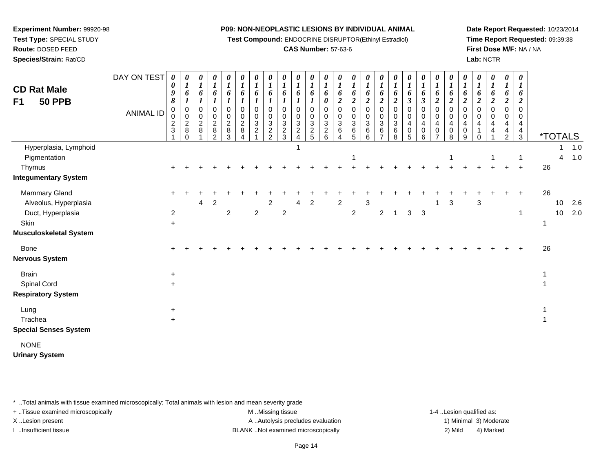**Test Compound:** ENDOCRINE DISRUPTOR(Ethinyl Estradiol)

## **CAS Number:** 57-63-6

**Date Report Requested:** 10/23/2014**Time Report Requested:** 09:39:38**First Dose M/F:** NA / NA**Lab:** NCTR

| <b>CD Rat Male</b><br>F1<br><b>50 PPB</b>                                                                                    | DAY ON TEST<br><b>ANIMAL ID</b> | 0<br>0<br>9<br>8<br>0<br>0<br>$\overline{c}$<br>$\ensuremath{\mathsf{3}}$ | 0<br>6<br>0<br>$\mathbf 0$<br>$\overline{2}$<br>8<br>0 | 0<br>$\boldsymbol{l}$<br>6<br>0<br>0<br>$\overline{c}$<br>8 | 0<br>$\boldsymbol{l}$<br>6<br>0<br>0<br>$\boldsymbol{2}$<br>8<br>$\overline{2}$ | $\pmb{\theta}$<br>$\boldsymbol{l}$<br>6<br>$\pmb{0}$<br>0<br>$\overline{c}$<br>$\bf 8$<br>3 | 0<br>6<br>0<br>0<br>$\overline{c}$<br>8 | 0<br>6<br>0<br>$\mathbf 0$<br>3<br>$\overline{c}$ | 0<br>$\boldsymbol{l}$<br>6<br>$\mathbf 0$<br>$\mathbf 0$<br>$\mathbf{3}$<br>$\frac{2}{2}$ | 0<br>$\boldsymbol{l}$<br>6<br>0<br>0<br>3<br>$\frac{2}{3}$ | 0<br>$\boldsymbol{l}$<br>6<br>0<br>0<br>3<br>$\boldsymbol{2}$<br>$\overline{A}$ | $\boldsymbol{\theta}$<br>$\boldsymbol{l}$<br>6<br>$\pmb{0}$<br>$\mathbf 0$<br>$\frac{3}{2}$ | $\pmb{\theta}$<br>$\boldsymbol{l}$<br>6<br>0<br>0<br>0<br>$\mathbf{3}$<br>$\frac{2}{6}$ | 0<br>$\boldsymbol{l}$<br>6<br>$\boldsymbol{2}$<br>0<br>0<br>$\mathbf{3}$<br>6<br>4 | $\pmb{\theta}$<br>$\boldsymbol{l}$<br>6<br>$\boldsymbol{2}$<br>$\pmb{0}$<br>$\mathbf 0$<br>$\mathbf{3}$<br>$\,6$<br>5 | 0<br>$\boldsymbol{l}$<br>6<br>$\overline{2}$<br>0<br>$\mathbf 0$<br>3<br>6<br>6 | 0<br>$\boldsymbol{l}$<br>6<br>$\boldsymbol{2}$<br>0<br>0<br>3<br>6 | $\boldsymbol{\theta}$<br>$\boldsymbol{l}$<br>6<br>$\boldsymbol{2}$<br>$\mathbf 0$<br>0<br>$\mathbf{3}$<br>$\,6$<br>8 | 0<br>6<br>$\boldsymbol{\beta}$<br>0<br>$\Omega$<br>4<br>0<br>5 | 0<br>$\boldsymbol{l}$<br>6<br>$\mathfrak{z}$<br>0<br>0<br>4<br>$\mathbf 0$<br>6 | $\boldsymbol{\theta}$<br>$\boldsymbol{l}$<br>6<br>$\boldsymbol{2}$<br>$\mathbf 0$<br>0<br>$\overline{\mathbf{4}}$<br>$\pmb{0}$<br>$\overline{7}$ | 0<br>$\boldsymbol{l}$<br>6<br>$\overline{2}$<br>0<br>0<br>4<br>0<br>8 | 0<br>$\boldsymbol{l}$<br>6<br>$\boldsymbol{2}$<br>0<br>0<br>$\overline{4}$<br>0<br>9 | $\boldsymbol{\theta}$<br>$\boldsymbol{l}$<br>6<br>$\boldsymbol{2}$<br>$\mathbf 0$<br>$\Omega$<br>4<br>0 | 0<br>$\boldsymbol{l}$<br>6<br>$\overline{c}$<br>0<br>$\mathbf{0}$<br>4<br>4 | $\pmb{\theta}$<br>$\boldsymbol{l}$<br>6<br>$\boldsymbol{2}$<br>$\pmb{0}$<br>0<br>$\overline{\mathbf{4}}$<br>$\frac{4}{2}$ | $\boldsymbol{\theta}$<br>$\boldsymbol{l}$<br>6<br>2<br>$\mathbf 0$<br>0<br>4<br>$rac{4}{3}$ |                | <i><b>*TOTALS</b></i> |            |
|------------------------------------------------------------------------------------------------------------------------------|---------------------------------|---------------------------------------------------------------------------|--------------------------------------------------------|-------------------------------------------------------------|---------------------------------------------------------------------------------|---------------------------------------------------------------------------------------------|-----------------------------------------|---------------------------------------------------|-------------------------------------------------------------------------------------------|------------------------------------------------------------|---------------------------------------------------------------------------------|---------------------------------------------------------------------------------------------|-----------------------------------------------------------------------------------------|------------------------------------------------------------------------------------|-----------------------------------------------------------------------------------------------------------------------|---------------------------------------------------------------------------------|--------------------------------------------------------------------|----------------------------------------------------------------------------------------------------------------------|----------------------------------------------------------------|---------------------------------------------------------------------------------|--------------------------------------------------------------------------------------------------------------------------------------------------|-----------------------------------------------------------------------|--------------------------------------------------------------------------------------|---------------------------------------------------------------------------------------------------------|-----------------------------------------------------------------------------|---------------------------------------------------------------------------------------------------------------------------|---------------------------------------------------------------------------------------------|----------------|-----------------------|------------|
| Hyperplasia, Lymphoid<br>Pigmentation<br>Thymus                                                                              |                                 |                                                                           |                                                        |                                                             |                                                                                 |                                                                                             |                                         |                                                   |                                                                                           |                                                            |                                                                                 |                                                                                             |                                                                                         |                                                                                    |                                                                                                                       |                                                                                 |                                                                    |                                                                                                                      |                                                                |                                                                                 |                                                                                                                                                  |                                                                       |                                                                                      |                                                                                                         |                                                                             |                                                                                                                           | $\ddot{}$                                                                                   | 26             | 1<br>$\overline{4}$   | 1.0<br>1.0 |
| <b>Integumentary System</b><br>Mammary Gland<br>Alveolus, Hyperplasia<br>Duct, Hyperplasia<br>Skin<br>Musculoskeletal System |                                 | $\pm$<br>$\overline{a}$<br>$\ddot{}$                                      |                                                        | 4                                                           | $\overline{c}$                                                                  | $\overline{c}$                                                                              |                                         | $\boldsymbol{2}$                                  | $\overline{2}$                                                                            | $\overline{2}$                                             | 4                                                                               | $\overline{2}$                                                                              |                                                                                         | $\overline{c}$                                                                     | $\overline{2}$                                                                                                        | 3                                                                               | $\sqrt{2}$                                                         | $\mathbf{1}$                                                                                                         | $\ensuremath{\mathsf{3}}$                                      | $\mathbf{3}$                                                                    |                                                                                                                                                  | 3                                                                     |                                                                                      | 3                                                                                                       |                                                                             | ÷                                                                                                                         | $\overline{+}$<br>1                                                                         | 26             | 10<br>10              | 2.6<br>2.0 |
| Bone<br>Nervous System                                                                                                       |                                 |                                                                           |                                                        |                                                             |                                                                                 |                                                                                             |                                         |                                                   |                                                                                           |                                                            |                                                                                 |                                                                                             |                                                                                         |                                                                                    |                                                                                                                       |                                                                                 |                                                                    |                                                                                                                      |                                                                |                                                                                 |                                                                                                                                                  |                                                                       |                                                                                      |                                                                                                         |                                                                             |                                                                                                                           |                                                                                             | 26             |                       |            |
| <b>Brain</b><br>Spinal Cord<br><b>Respiratory System</b>                                                                     |                                 | $\ddot{}$<br>$+$                                                          |                                                        |                                                             |                                                                                 |                                                                                             |                                         |                                                   |                                                                                           |                                                            |                                                                                 |                                                                                             |                                                                                         |                                                                                    |                                                                                                                       |                                                                                 |                                                                    |                                                                                                                      |                                                                |                                                                                 |                                                                                                                                                  |                                                                       |                                                                                      |                                                                                                         |                                                                             |                                                                                                                           |                                                                                             | $\overline{1}$ |                       |            |
| Lung<br>Trachea<br><b>Special Senses System</b>                                                                              |                                 | $+$<br>$+$                                                                |                                                        |                                                             |                                                                                 |                                                                                             |                                         |                                                   |                                                                                           |                                                            |                                                                                 |                                                                                             |                                                                                         |                                                                                    |                                                                                                                       |                                                                                 |                                                                    |                                                                                                                      |                                                                |                                                                                 |                                                                                                                                                  |                                                                       |                                                                                      |                                                                                                         |                                                                             |                                                                                                                           |                                                                                             | $\mathbf 1$    |                       |            |
| <b>NONE</b><br><b>Urinary System</b>                                                                                         |                                 |                                                                           |                                                        |                                                             |                                                                                 |                                                                                             |                                         |                                                   |                                                                                           |                                                            |                                                                                 |                                                                                             |                                                                                         |                                                                                    |                                                                                                                       |                                                                                 |                                                                    |                                                                                                                      |                                                                |                                                                                 |                                                                                                                                                  |                                                                       |                                                                                      |                                                                                                         |                                                                             |                                                                                                                           |                                                                                             |                |                       |            |

\* ..Total animals with tissue examined microscopically; Total animals with lesion and mean severity grade

**Experiment Number:** 99920-98**Test Type:** SPECIAL STUDY**Route:** DOSED FEED**Species/Strain:** Rat/CD

+ ..Tissue examined microscopically examined microscopically examined as:  $M$  ..Missing tissue 1-4 ..Lesion qualified as: X..Lesion present **A ..Autolysis precludes evaluation** A ..Autolysis precludes evaluation 1) Minimal 3) Moderate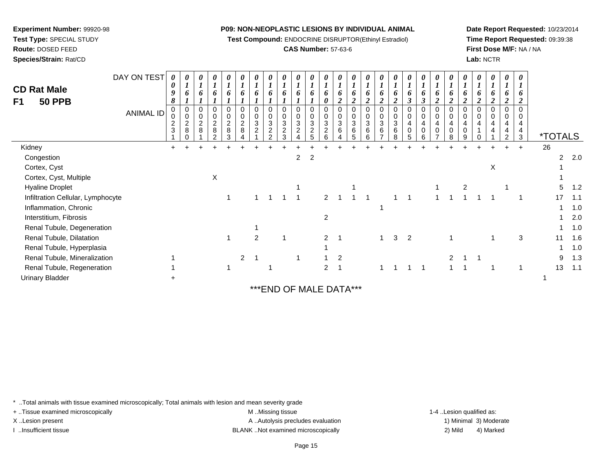**Test Compound:** ENDOCRINE DISRUPTOR(Ethinyl Estradiol)

## **CAS Number:** 57-63-6

**Date Report Requested:** 10/23/2014**Time Report Requested:** 09:39:38**First Dose M/F:** NA / NA**Lab:** NCTR

| <b>CD Rat Male</b><br><b>50 PPB</b><br>F1 | DAY ON TEST<br><b>ANIMAL ID</b> | 0<br>0<br>9<br>8<br>2<br>3 | 0<br>6<br>$\pmb{0}$<br>$\mathbf 0$<br>$\overline{c}$<br>8 | 0<br>$\boldsymbol{l}$<br>6<br>0<br>$\mathbf 0$<br>$\sqrt{2}$<br>8 | $\overline{c}$<br>8 | 0<br>6<br>$\mathsf 0$<br>$\overline{c}$<br>8<br>3 | 0<br>$\boldsymbol{l}$<br>6<br>0<br>0<br>$\overline{c}$<br>$\,8\,$ | 0<br>$\mathbf 0$<br>3<br>$\overline{2}$ | 0<br>6<br>$\boldsymbol{0}$<br>3<br>$\overline{c}$<br>$\overline{2}$ | 0<br>$\boldsymbol{l}$<br>6<br>0<br>$\pmb{0}$<br>3<br>$\sqrt{2}$<br>3 | 0<br>$\mathbf 0$<br>3<br>ີ | 0<br>6<br>$\mathsf 0$<br>3<br>$\overline{c}$<br>5 | $\boldsymbol{\theta}$<br>$\boldsymbol{l}$<br>6<br>0<br>0<br>0<br>3<br>$\boldsymbol{2}$<br>6 | 0<br>$\boldsymbol{l}$<br>6<br>$\mathbf 0$<br>$\pmb{0}$<br>3<br>6 | 0<br>$\mathbf{r}$<br>6<br>$\overline{\mathbf{2}}$<br>0<br>$\pmb{0}$<br>3<br>6<br>5 | 0<br>0<br>2<br>$\mathbf 0$<br>3<br>6<br>6 | 0<br>$\boldsymbol{l}$<br>$\mathbf 0$<br>3<br>6 | 0<br>6<br>0<br>$\mathbf{3}$<br>6<br>8 | 0<br>6<br>3<br>0<br>4<br>0<br>5 | 0<br>$\boldsymbol{l}$<br>3<br>0<br>$\overline{4}$<br>0<br>6 | 0<br>6<br>າ<br>$\mathbf 0$<br>$\overline{4}$<br>$\mathbf 0$ | $\boldsymbol{\theta}$<br>o<br>$\boldsymbol{2}$<br>0<br>4<br>0<br>8 | 0<br>$\boldsymbol{l}$<br>$\overline{2}$<br>4<br>$\mathbf 0$<br>9 | 0<br>n<br>0<br>4<br>∩ | 0<br>6<br>2<br>$\mathbf 0$<br>4<br>4 | 0<br>$\boldsymbol{l}$<br>6<br>$\overline{2}$<br>0<br>4<br>4<br>$\overline{2}$ | 0<br>6<br>2<br>0<br>0<br>4<br>4<br>3 | <i><b>*TOTALS</b></i> |                |     |
|-------------------------------------------|---------------------------------|----------------------------|-----------------------------------------------------------|-------------------------------------------------------------------|---------------------|---------------------------------------------------|-------------------------------------------------------------------|-----------------------------------------|---------------------------------------------------------------------|----------------------------------------------------------------------|----------------------------|---------------------------------------------------|---------------------------------------------------------------------------------------------|------------------------------------------------------------------|------------------------------------------------------------------------------------|-------------------------------------------|------------------------------------------------|---------------------------------------|---------------------------------|-------------------------------------------------------------|-------------------------------------------------------------|--------------------------------------------------------------------|------------------------------------------------------------------|-----------------------|--------------------------------------|-------------------------------------------------------------------------------|--------------------------------------|-----------------------|----------------|-----|
| Kidney                                    |                                 | $+$                        |                                                           |                                                                   |                     |                                                   |                                                                   |                                         |                                                                     |                                                                      |                            |                                                   |                                                                                             |                                                                  |                                                                                    |                                           |                                                |                                       |                                 |                                                             |                                                             |                                                                    |                                                                  |                       |                                      | $+$                                                                           | $\ddot{}$                            | 26                    |                |     |
| Congestion                                |                                 |                            |                                                           |                                                                   |                     |                                                   |                                                                   |                                         |                                                                     |                                                                      | 2                          | $\overline{2}$                                    |                                                                                             |                                                                  |                                                                                    |                                           |                                                |                                       |                                 |                                                             |                                                             |                                                                    |                                                                  |                       |                                      |                                                                               |                                      |                       | $\overline{2}$ | 2.0 |
| Cortex, Cyst                              |                                 |                            |                                                           |                                                                   |                     |                                                   |                                                                   |                                         |                                                                     |                                                                      |                            |                                                   |                                                                                             |                                                                  |                                                                                    |                                           |                                                |                                       |                                 |                                                             |                                                             |                                                                    |                                                                  |                       | х                                    |                                                                               |                                      |                       |                |     |
| Cortex, Cyst, Multiple                    |                                 |                            |                                                           |                                                                   | X                   |                                                   |                                                                   |                                         |                                                                     |                                                                      |                            |                                                   |                                                                                             |                                                                  |                                                                                    |                                           |                                                |                                       |                                 |                                                             |                                                             |                                                                    |                                                                  |                       |                                      |                                                                               |                                      |                       |                |     |
| <b>Hyaline Droplet</b>                    |                                 |                            |                                                           |                                                                   |                     |                                                   |                                                                   |                                         |                                                                     |                                                                      |                            |                                                   |                                                                                             |                                                                  |                                                                                    |                                           |                                                |                                       |                                 |                                                             |                                                             |                                                                    | $\overline{c}$                                                   |                       |                                      |                                                                               |                                      |                       | 5              | 1.2 |
| Infiltration Cellular, Lymphocyte         |                                 |                            |                                                           |                                                                   |                     |                                                   |                                                                   |                                         |                                                                     |                                                                      |                            |                                                   | 2                                                                                           |                                                                  |                                                                                    |                                           |                                                |                                       |                                 |                                                             |                                                             |                                                                    |                                                                  |                       |                                      |                                                                               |                                      | 17                    |                | 1.1 |
| Inflammation, Chronic                     |                                 |                            |                                                           |                                                                   |                     |                                                   |                                                                   |                                         |                                                                     |                                                                      |                            |                                                   |                                                                                             |                                                                  |                                                                                    |                                           |                                                |                                       |                                 |                                                             |                                                             |                                                                    |                                                                  |                       |                                      |                                                                               |                                      |                       |                | 1.0 |
| Interstitium, Fibrosis                    |                                 |                            |                                                           |                                                                   |                     |                                                   |                                                                   |                                         |                                                                     |                                                                      |                            |                                                   | 2                                                                                           |                                                                  |                                                                                    |                                           |                                                |                                       |                                 |                                                             |                                                             |                                                                    |                                                                  |                       |                                      |                                                                               |                                      |                       |                | 2.0 |
| Renal Tubule, Degeneration                |                                 |                            |                                                           |                                                                   |                     |                                                   |                                                                   |                                         |                                                                     |                                                                      |                            |                                                   |                                                                                             |                                                                  |                                                                                    |                                           |                                                |                                       |                                 |                                                             |                                                             |                                                                    |                                                                  |                       |                                      |                                                                               |                                      |                       |                | 1.0 |
| Renal Tubule, Dilatation                  |                                 |                            |                                                           |                                                                   |                     |                                                   |                                                                   | 2                                       |                                                                     |                                                                      |                            |                                                   | 2                                                                                           |                                                                  |                                                                                    |                                           |                                                | 3                                     | $\overline{2}$                  |                                                             |                                                             |                                                                    |                                                                  |                       |                                      |                                                                               | 3                                    | 11                    |                | 1.6 |
| Renal Tubule, Hyperplasia                 |                                 |                            |                                                           |                                                                   |                     |                                                   |                                                                   |                                         |                                                                     |                                                                      |                            |                                                   |                                                                                             |                                                                  |                                                                                    |                                           |                                                |                                       |                                 |                                                             |                                                             |                                                                    |                                                                  |                       |                                      |                                                                               |                                      |                       |                | 1.0 |
| Renal Tubule, Mineralization              |                                 |                            |                                                           |                                                                   |                     |                                                   |                                                                   |                                         |                                                                     |                                                                      |                            |                                                   |                                                                                             |                                                                  |                                                                                    |                                           |                                                |                                       |                                 |                                                             |                                                             | 2                                                                  |                                                                  |                       |                                      |                                                                               |                                      |                       | 9              | 1.3 |
| Renal Tubule, Regeneration                |                                 |                            |                                                           |                                                                   |                     |                                                   |                                                                   |                                         |                                                                     |                                                                      |                            |                                                   | $\overline{2}$                                                                              |                                                                  |                                                                                    |                                           |                                                |                                       |                                 |                                                             |                                                             |                                                                    |                                                                  |                       |                                      |                                                                               |                                      | 13                    |                | 1.1 |
| <b>Urinary Bladder</b>                    |                                 |                            |                                                           |                                                                   |                     |                                                   |                                                                   |                                         |                                                                     |                                                                      |                            |                                                   |                                                                                             |                                                                  |                                                                                    |                                           |                                                |                                       |                                 |                                                             |                                                             |                                                                    |                                                                  |                       |                                      |                                                                               |                                      |                       |                |     |
|                                           |                                 |                            |                                                           |                                                                   |                     |                                                   |                                                                   |                                         |                                                                     |                                                                      |                            |                                                   |                                                                                             |                                                                  |                                                                                    |                                           |                                                |                                       |                                 |                                                             |                                                             |                                                                    |                                                                  |                       |                                      |                                                                               |                                      |                       |                |     |

\*\*\*END OF MALE DATA\*\*\*

\* ..Total animals with tissue examined microscopically; Total animals with lesion and mean severity grade

+ ..Tissue examined microscopically examined microscopically examined as:  $M$  ..Missing tissue 1-4 ..Lesion qualified as:

**Experiment Number:** 99920-98**Test Type:** SPECIAL STUDY**Route:** DOSED FEED**Species/Strain:** Rat/CD

X..Lesion present **A ..Autolysis precludes evaluation** A ..Autolysis precludes evaluation 1) Minimal 3) Moderate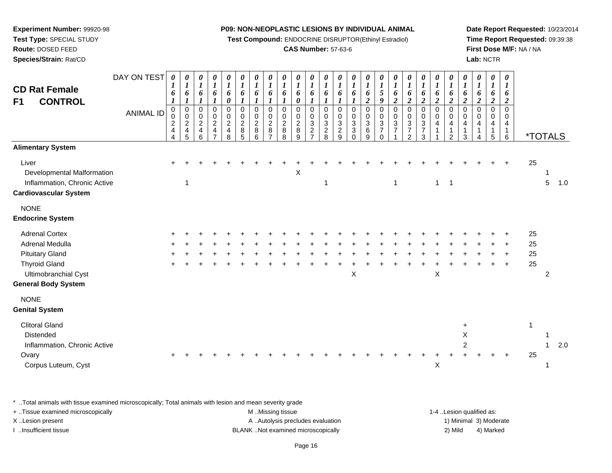**Test Compound:** ENDOCRINE DISRUPTOR(Ethinyl Estradiol)

## **CAS Number:** 57-63-6

**Date Report Requested:** 10/23/2014**Time Report Requested:** 09:39:38**First Dose M/F:** NA / NA**Lab:** NCTR

| <b>CD Rat Female</b><br><b>CONTROL</b><br>F <sub>1</sub>                                                                                         | DAY ON TEST<br><b>ANIMAL ID</b> | $\boldsymbol{\theta}$<br>$\boldsymbol{I}$<br>6<br>$\mathbf 0$<br>0<br>$\boldsymbol{2}$<br>$\overline{4}$<br>4 | 0<br>$\boldsymbol{l}$<br>6<br>$\boldsymbol{l}$<br>$\mathbf 0$<br>$\pmb{0}$<br>$\boldsymbol{2}$<br>$\overline{\mathbf{4}}$<br>5 | $\boldsymbol{\theta}$<br>$\boldsymbol{l}$<br>6<br>0<br>0<br>$\overline{c}$<br>4<br>6 | 0<br>$\boldsymbol{l}$<br>6<br>$\pmb{0}$<br>$\frac{0}{2}$<br>$\overline{7}$ | 0<br>$\boldsymbol{l}$<br>6<br>0<br>$\pmb{0}$<br>$\pmb{0}$<br>$\sqrt{2}$<br>$\overline{\mathbf{4}}$<br>8 | $\boldsymbol{\theta}$<br>$\boldsymbol{l}$<br>6<br>1<br>$\mathbf 0$<br>$\mathbf 0$<br>$\boldsymbol{2}$<br>$\,8\,$<br>5 | 0<br>$\boldsymbol{l}$<br>6<br>$\pmb{0}$<br>$\mathsf 0$<br>$\boldsymbol{2}$<br>8<br>6 | 0<br>$\boldsymbol{l}$<br>6<br>$\pmb{0}$<br>$\mathbf 0$<br>$\overline{c}$<br>8<br>$\overline{7}$ | 0<br>$\boldsymbol{l}$<br>6<br>$\pmb{0}$<br>$\mathbf 0$<br>$\overline{c}$<br>8<br>8 | $\boldsymbol{\theta}$<br>$\boldsymbol{l}$<br>6<br>0<br>$\mathbf 0$<br>$\mathbf 0$<br>$\boldsymbol{2}$<br>8<br>9 | $\boldsymbol{\theta}$<br>$\boldsymbol{l}$<br>6<br>$\mathbf 0$<br>0<br>3<br>$\overline{c}$<br>$\overline{7}$ | $\boldsymbol{\theta}$<br>$\boldsymbol{l}$<br>6<br>$\mathbf 0$<br>0<br>$\sqrt{3}$<br>$\sqrt{2}$<br>8 | 0<br>$\boldsymbol{l}$<br>6<br>$\pmb{0}$<br>0<br>$\ensuremath{\mathsf{3}}$<br>$\overline{c}$<br>9 | 0<br>$\boldsymbol{l}$<br>6<br>0<br>$\mathbf 0$<br>$\mathbf{3}$<br>$\mathbf{3}$<br>$\Omega$ | 0<br>$\boldsymbol{l}$<br>6<br>$\boldsymbol{2}$<br>$\mathbf 0$<br>0<br>$\mathbf{3}$<br>$\,6\,$<br>9 | 0<br>$\boldsymbol{I}$<br>$\sqrt{5}$<br>9<br>$\pmb{0}$<br>0<br>$\ensuremath{\mathsf{3}}$<br>$\overline{7}$<br>$\Omega$ | $\boldsymbol{\theta}$<br>$\boldsymbol{l}$<br>6<br>$\boldsymbol{2}$<br>$\mathbf 0$<br>$\mathbf 0$<br>$\sqrt{3}$<br>$\overline{7}$ | 0<br>$\boldsymbol{l}$<br>6<br>$\boldsymbol{2}$<br>$\mathsf{O}\xspace$<br>$\frac{0}{3}$<br>$\overline{7}$<br>2 | 0<br>$\boldsymbol{I}$<br>6<br>$\overline{2}$<br>0<br>$\mathbf 0$<br>$\frac{3}{7}$<br>3 | 0<br>$\boldsymbol{l}$<br>6<br>$\boldsymbol{2}$<br>$\pmb{0}$<br>$\mathsf 0$<br>$\overline{\mathbf{4}}$<br>-1 | $\boldsymbol{\theta}$<br>$\boldsymbol{l}$<br>6<br>$\boldsymbol{2}$<br>$\pmb{0}$<br>$\mathbf 0$<br>$\overline{\mathbf{4}}$<br>$\mathbf{1}$<br>$\overline{2}$ | $\boldsymbol{\theta}$<br>$\boldsymbol{l}$<br>6<br>$\boldsymbol{2}$<br>$\mathbf 0$<br>0<br>4<br>1<br>3 | 0<br>$\boldsymbol{l}$<br>6<br>$\boldsymbol{2}$<br>$\Omega$<br>$\Omega$<br>$\overline{4}$<br>$\mathbf{1}$<br>Δ | 0<br>$\boldsymbol{l}$<br>6<br>$\boldsymbol{2}$<br>$\mathbf 0$<br>$\Omega$<br>4<br>$\mathbf{1}$<br>5 | 0<br>$\boldsymbol{l}$<br>6<br>$\boldsymbol{2}$<br>$\mathbf 0$<br>$\Omega$<br>4<br>$\mathbf{1}$<br>6 |                      | <i><b>*TOTALS</b></i> |     |
|--------------------------------------------------------------------------------------------------------------------------------------------------|---------------------------------|---------------------------------------------------------------------------------------------------------------|--------------------------------------------------------------------------------------------------------------------------------|--------------------------------------------------------------------------------------|----------------------------------------------------------------------------|---------------------------------------------------------------------------------------------------------|-----------------------------------------------------------------------------------------------------------------------|--------------------------------------------------------------------------------------|-------------------------------------------------------------------------------------------------|------------------------------------------------------------------------------------|-----------------------------------------------------------------------------------------------------------------|-------------------------------------------------------------------------------------------------------------|-----------------------------------------------------------------------------------------------------|--------------------------------------------------------------------------------------------------|--------------------------------------------------------------------------------------------|----------------------------------------------------------------------------------------------------|-----------------------------------------------------------------------------------------------------------------------|----------------------------------------------------------------------------------------------------------------------------------|---------------------------------------------------------------------------------------------------------------|----------------------------------------------------------------------------------------|-------------------------------------------------------------------------------------------------------------|-------------------------------------------------------------------------------------------------------------------------------------------------------------|-------------------------------------------------------------------------------------------------------|---------------------------------------------------------------------------------------------------------------|-----------------------------------------------------------------------------------------------------|-----------------------------------------------------------------------------------------------------|----------------------|-----------------------|-----|
| <b>Alimentary System</b>                                                                                                                         |                                 |                                                                                                               |                                                                                                                                |                                                                                      |                                                                            |                                                                                                         |                                                                                                                       |                                                                                      |                                                                                                 |                                                                                    |                                                                                                                 |                                                                                                             |                                                                                                     |                                                                                                  |                                                                                            |                                                                                                    |                                                                                                                       |                                                                                                                                  |                                                                                                               |                                                                                        |                                                                                                             |                                                                                                                                                             |                                                                                                       |                                                                                                               |                                                                                                     |                                                                                                     |                      |                       |     |
| Liver<br>Developmental Malformation<br>Inflammation, Chronic Active<br><b>Cardiovascular System</b>                                              |                                 |                                                                                                               |                                                                                                                                |                                                                                      |                                                                            |                                                                                                         |                                                                                                                       |                                                                                      |                                                                                                 |                                                                                    | X                                                                                                               |                                                                                                             | 1                                                                                                   |                                                                                                  |                                                                                            |                                                                                                    |                                                                                                                       | 1                                                                                                                                |                                                                                                               |                                                                                        | $\mathbf{1}$                                                                                                | $\overline{1}$                                                                                                                                              |                                                                                                       |                                                                                                               |                                                                                                     |                                                                                                     | 25                   | 5                     | 1.0 |
| <b>NONE</b><br><b>Endocrine System</b>                                                                                                           |                                 |                                                                                                               |                                                                                                                                |                                                                                      |                                                                            |                                                                                                         |                                                                                                                       |                                                                                      |                                                                                                 |                                                                                    |                                                                                                                 |                                                                                                             |                                                                                                     |                                                                                                  |                                                                                            |                                                                                                    |                                                                                                                       |                                                                                                                                  |                                                                                                               |                                                                                        |                                                                                                             |                                                                                                                                                             |                                                                                                       |                                                                                                               |                                                                                                     |                                                                                                     |                      |                       |     |
| <b>Adrenal Cortex</b><br>Adrenal Medulla<br><b>Pituitary Gland</b><br><b>Thyroid Gland</b><br>Ultimobranchial Cyst<br><b>General Body System</b> |                                 |                                                                                                               |                                                                                                                                |                                                                                      |                                                                            |                                                                                                         |                                                                                                                       |                                                                                      |                                                                                                 |                                                                                    |                                                                                                                 |                                                                                                             |                                                                                                     |                                                                                                  | $\boldsymbol{\mathsf{X}}$                                                                  |                                                                                                    |                                                                                                                       |                                                                                                                                  |                                                                                                               |                                                                                        | X                                                                                                           |                                                                                                                                                             |                                                                                                       |                                                                                                               |                                                                                                     |                                                                                                     | 25<br>25<br>25<br>25 | 2                     |     |
| <b>NONE</b><br><b>Genital System</b>                                                                                                             |                                 |                                                                                                               |                                                                                                                                |                                                                                      |                                                                            |                                                                                                         |                                                                                                                       |                                                                                      |                                                                                                 |                                                                                    |                                                                                                                 |                                                                                                             |                                                                                                     |                                                                                                  |                                                                                            |                                                                                                    |                                                                                                                       |                                                                                                                                  |                                                                                                               |                                                                                        |                                                                                                             |                                                                                                                                                             |                                                                                                       |                                                                                                               |                                                                                                     |                                                                                                     |                      |                       |     |
| <b>Clitoral Gland</b><br>Distended<br>Inflammation, Chronic Active<br>Ovary<br>Corpus Luteum, Cyst                                               |                                 |                                                                                                               |                                                                                                                                |                                                                                      |                                                                            |                                                                                                         |                                                                                                                       |                                                                                      |                                                                                                 |                                                                                    |                                                                                                                 |                                                                                                             |                                                                                                     |                                                                                                  |                                                                                            |                                                                                                    |                                                                                                                       |                                                                                                                                  |                                                                                                               |                                                                                        | X                                                                                                           |                                                                                                                                                             | X<br>$\overline{2}$                                                                                   |                                                                                                               |                                                                                                     |                                                                                                     | $\mathbf{1}$<br>25   |                       | 2.0 |

\* ..Total animals with tissue examined microscopically; Total animals with lesion and mean severity grade

| + Tissue examined microscopically | M Missing tissue                   | 1-4 Lesion qualified as: |                        |
|-----------------------------------|------------------------------------|--------------------------|------------------------|
| X Lesion present                  | A Autolysis precludes evaluation   |                          | 1) Minimal 3) Moderate |
| …Insufficient tissue              | BLANK Not examined microscopically | 2) Mild                  | 4) Marked              |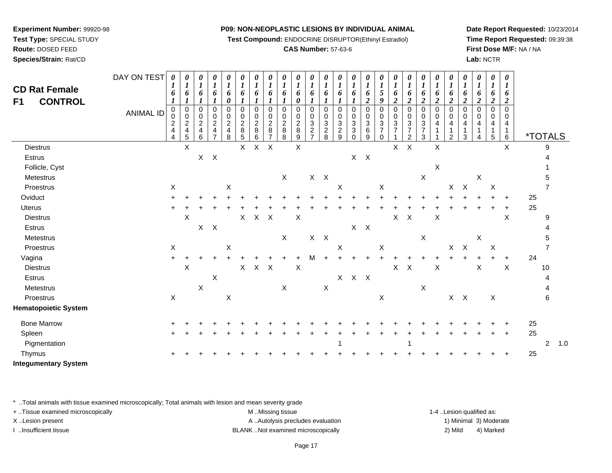**Test Compound:** ENDOCRINE DISRUPTOR(Ethinyl Estradiol)

## **CAS Number:** 57-63-6

**Date Report Requested:** 10/23/2014**Time Report Requested:** 09:39:38**First Dose M/F:** NA / NA**Lab:** NCTR

| <b>CD Rat Female</b><br><b>CONTROL</b><br>F <sub>1</sub> | DAY ON TEST<br><b>ANIMAL ID</b> | 0<br>1<br>6<br>0<br>$\mathbf 0$<br>$\overline{c}$<br>4 | $\boldsymbol{\theta}$<br>$\boldsymbol{l}$<br>6<br>-1<br>$\overline{0}$<br>$\pmb{0}$<br>$\overline{c}$<br>$\overline{4}$ | 0<br>$\boldsymbol{l}$<br>6<br>0<br>0<br>$\overline{c}$<br>$\overline{\mathbf{4}}$ | $\boldsymbol{\theta}$<br>$\boldsymbol{l}$<br>6<br>$\mathbf 0$<br>0<br>$\overline{c}$<br>4 | 0<br>$\boldsymbol{l}$<br>6<br>0<br>0<br>$\begin{smallmatrix} 0\\2 \end{smallmatrix}$<br>$\overline{\mathbf{4}}$ | 0<br>$\boldsymbol{l}$<br>6<br>0<br>$\begin{array}{c} 0 \\ 2 \\ 8 \end{array}$ | 0<br>$\boldsymbol{l}$<br>6<br>0<br>$\begin{array}{c} 0 \\ 2 \\ 8 \end{array}$ | $\boldsymbol{\theta}$<br>$\boldsymbol{l}$<br>6<br>$\mathbf 0$<br>0<br>$\boldsymbol{2}$<br>$\bf 8$ | 0<br>$\boldsymbol{I}$<br>6<br>$\mathbf 0$<br>0<br>$\overline{c}$<br>$\,8\,$ | $\boldsymbol{\theta}$<br>1<br>6<br>0<br>$\mathbf 0$<br>0<br>$\boldsymbol{2}$<br>$\bf 8$ | 0<br>$\boldsymbol{l}$<br>6<br>$\mathbf 0$<br>0<br>$\sqrt{3}$<br>$\boldsymbol{2}$ | $\boldsymbol{\theta}$<br>6<br>$\pmb{0}$<br>0<br>$\sqrt{3}$<br>$\sqrt{2}$ | 0<br>1<br>6<br>$\mathbf 0$<br>0<br>$\ensuremath{\mathsf{3}}$<br>$\overline{c}$ | 0<br>$\boldsymbol{l}$<br>6<br>0<br>0<br>$\sqrt{3}$<br>$\sqrt{3}$ | 0<br>$\boldsymbol{l}$<br>6<br>$\overline{c}$<br>0<br>0<br>$\sqrt{3}$<br>$\,6\,$ | 0<br>$\boldsymbol{l}$<br>5<br>9<br>$\mathbf 0$<br>0<br>$\sqrt{3}$<br>$\overline{7}$ | 0<br>$\bm{l}$<br>6<br>$\overline{2}$<br>$\mathbf 0$<br>0<br>3<br>$\overline{7}$ | $\boldsymbol{\theta}$<br>$\bm{l}$<br>6<br>$\boldsymbol{2}$<br>$\mathbf 0$<br>0<br>$\sqrt{3}$<br>$\overline{7}$ | 0<br>$\boldsymbol{l}$<br>6<br>$\boldsymbol{2}$<br>0<br>0<br>$\,$ 3 $\,$<br>7 | $\boldsymbol{\theta}$<br>$\boldsymbol{l}$<br>6<br>$\boldsymbol{2}$<br>0<br>0<br>4<br>1 | 0<br>$\boldsymbol{l}$<br>6<br>$\boldsymbol{2}$<br>$\mathbf 0$<br>0<br>4 | 0<br>$\boldsymbol{l}$<br>6<br>2<br>0<br>0<br>4<br>1 | 0<br>$\boldsymbol{l}$<br>6<br>$\overline{c}$<br>0<br>0<br>4<br>-1 | $\pmb{\theta}$<br>$\boldsymbol{l}$<br>6<br>$\boldsymbol{2}$<br>0<br>0<br>4<br>$\mathbf{1}$ | 0<br>1<br>6<br>$\boldsymbol{2}$<br>$\Omega$<br>0<br>4<br>1 |                       |                |     |
|----------------------------------------------------------|---------------------------------|--------------------------------------------------------|-------------------------------------------------------------------------------------------------------------------------|-----------------------------------------------------------------------------------|-------------------------------------------------------------------------------------------|-----------------------------------------------------------------------------------------------------------------|-------------------------------------------------------------------------------|-------------------------------------------------------------------------------|---------------------------------------------------------------------------------------------------|-----------------------------------------------------------------------------|-----------------------------------------------------------------------------------------|----------------------------------------------------------------------------------|--------------------------------------------------------------------------|--------------------------------------------------------------------------------|------------------------------------------------------------------|---------------------------------------------------------------------------------|-------------------------------------------------------------------------------------|---------------------------------------------------------------------------------|----------------------------------------------------------------------------------------------------------------|------------------------------------------------------------------------------|----------------------------------------------------------------------------------------|-------------------------------------------------------------------------|-----------------------------------------------------|-------------------------------------------------------------------|--------------------------------------------------------------------------------------------|------------------------------------------------------------|-----------------------|----------------|-----|
|                                                          |                                 | 4                                                      | $\sqrt{5}$                                                                                                              | 6                                                                                 |                                                                                           | 8                                                                                                               | $\sqrt{5}$                                                                    | 6                                                                             |                                                                                                   | 8                                                                           | 9                                                                                       |                                                                                  | 8                                                                        | 9                                                                              | $\Omega$                                                         | 9                                                                               |                                                                                     |                                                                                 | 2                                                                                                              | 3                                                                            |                                                                                        | $\mathcal{P}$                                                           | 3                                                   | 4                                                                 | 5                                                                                          | 6                                                          | <i><b>*TOTALS</b></i> |                |     |
| <b>Diestrus</b>                                          |                                 |                                                        | $\times$                                                                                                                |                                                                                   |                                                                                           |                                                                                                                 | $\mathsf{X}^-$                                                                |                                                                               | $X$ $X$                                                                                           |                                                                             | $\times$                                                                                |                                                                                  |                                                                          |                                                                                |                                                                  |                                                                                 |                                                                                     | $\sf X$                                                                         | $\boldsymbol{\mathsf{X}}$                                                                                      |                                                                              | $\mathsf X$                                                                            |                                                                         |                                                     |                                                                   |                                                                                            | $\times$                                                   |                       | 9              |     |
| Estrus                                                   |                                 |                                                        |                                                                                                                         |                                                                                   | $X$ $X$                                                                                   |                                                                                                                 |                                                                               |                                                                               |                                                                                                   |                                                                             |                                                                                         |                                                                                  |                                                                          |                                                                                |                                                                  | $X$ $X$                                                                         |                                                                                     |                                                                                 |                                                                                                                |                                                                              |                                                                                        |                                                                         |                                                     |                                                                   |                                                                                            |                                                            |                       |                |     |
| Follicle, Cyst                                           |                                 |                                                        |                                                                                                                         |                                                                                   |                                                                                           |                                                                                                                 |                                                                               |                                                                               |                                                                                                   |                                                                             |                                                                                         |                                                                                  |                                                                          |                                                                                |                                                                  |                                                                                 |                                                                                     |                                                                                 |                                                                                                                |                                                                              | $\mathsf X$                                                                            |                                                                         |                                                     |                                                                   |                                                                                            |                                                            |                       |                |     |
| Metestrus                                                |                                 |                                                        |                                                                                                                         |                                                                                   |                                                                                           |                                                                                                                 |                                                                               |                                                                               |                                                                                                   | $\boldsymbol{\mathsf{X}}$                                                   |                                                                                         |                                                                                  | $\mathsf{X}-\mathsf{X}$                                                  |                                                                                |                                                                  |                                                                                 |                                                                                     |                                                                                 |                                                                                                                | $\mathsf X$                                                                  |                                                                                        |                                                                         |                                                     | $\mathsf X$                                                       |                                                                                            |                                                            |                       |                |     |
| Proestrus                                                |                                 | X                                                      |                                                                                                                         |                                                                                   |                                                                                           | X                                                                                                               |                                                                               |                                                                               |                                                                                                   |                                                                             |                                                                                         |                                                                                  |                                                                          | Χ                                                                              |                                                                  |                                                                                 | X                                                                                   |                                                                                 |                                                                                                                |                                                                              |                                                                                        | $\mathsf{X}$                                                            | $\mathsf X$                                         |                                                                   | $\boldsymbol{\mathsf{X}}$                                                                  |                                                            |                       |                |     |
| Oviduct                                                  |                                 |                                                        |                                                                                                                         |                                                                                   |                                                                                           |                                                                                                                 |                                                                               |                                                                               |                                                                                                   |                                                                             |                                                                                         |                                                                                  |                                                                          |                                                                                |                                                                  |                                                                                 |                                                                                     |                                                                                 |                                                                                                                |                                                                              |                                                                                        |                                                                         |                                                     |                                                                   |                                                                                            |                                                            | 25                    |                |     |
| Uterus                                                   |                                 | $\ddot{}$                                              |                                                                                                                         |                                                                                   |                                                                                           |                                                                                                                 |                                                                               |                                                                               |                                                                                                   |                                                                             |                                                                                         |                                                                                  |                                                                          |                                                                                |                                                                  |                                                                                 |                                                                                     |                                                                                 |                                                                                                                |                                                                              |                                                                                        |                                                                         |                                                     |                                                                   |                                                                                            |                                                            | 25                    |                |     |
| <b>Diestrus</b>                                          |                                 |                                                        | X                                                                                                                       |                                                                                   |                                                                                           |                                                                                                                 | X                                                                             |                                                                               | $\mathsf{X}-\mathsf{X}$                                                                           |                                                                             | $\mathsf X$                                                                             |                                                                                  |                                                                          |                                                                                |                                                                  |                                                                                 |                                                                                     | $\sf X$                                                                         | $\mathsf X$                                                                                                    |                                                                              | $\mathsf X$                                                                            |                                                                         |                                                     |                                                                   |                                                                                            | X                                                          |                       | 9              |     |
| Estrus                                                   |                                 |                                                        |                                                                                                                         |                                                                                   | $X$ $X$                                                                                   |                                                                                                                 |                                                                               |                                                                               |                                                                                                   |                                                                             |                                                                                         |                                                                                  |                                                                          |                                                                                |                                                                  | $X$ $X$                                                                         |                                                                                     |                                                                                 |                                                                                                                |                                                                              |                                                                                        |                                                                         |                                                     |                                                                   |                                                                                            |                                                            |                       |                |     |
| Metestrus                                                |                                 |                                                        |                                                                                                                         |                                                                                   |                                                                                           |                                                                                                                 |                                                                               |                                                                               |                                                                                                   | $\boldsymbol{\mathsf{X}}$                                                   |                                                                                         |                                                                                  | $X$ $X$                                                                  |                                                                                |                                                                  |                                                                                 |                                                                                     |                                                                                 |                                                                                                                | $\mathsf X$                                                                  |                                                                                        |                                                                         |                                                     | $\mathsf X$                                                       |                                                                                            |                                                            |                       | 5              |     |
| Proestrus                                                |                                 | $\boldsymbol{\mathsf{X}}$                              |                                                                                                                         |                                                                                   |                                                                                           | X                                                                                                               |                                                                               |                                                                               |                                                                                                   |                                                                             |                                                                                         |                                                                                  |                                                                          | X                                                                              |                                                                  |                                                                                 | X                                                                                   |                                                                                 |                                                                                                                |                                                                              |                                                                                        | $\mathsf{X}$                                                            | $\mathsf X$                                         |                                                                   | X                                                                                          |                                                            |                       | 7              |     |
| Vagina                                                   |                                 | $\ddot{}$                                              |                                                                                                                         |                                                                                   |                                                                                           |                                                                                                                 |                                                                               |                                                                               |                                                                                                   |                                                                             |                                                                                         | М                                                                                |                                                                          |                                                                                |                                                                  |                                                                                 |                                                                                     |                                                                                 |                                                                                                                |                                                                              |                                                                                        |                                                                         |                                                     |                                                                   |                                                                                            | $\ddot{}$                                                  | 24                    |                |     |
| <b>Diestrus</b>                                          |                                 |                                                        | $\pmb{\times}$                                                                                                          |                                                                                   |                                                                                           |                                                                                                                 | $\mathsf{X}$                                                                  |                                                                               | X X                                                                                               |                                                                             | $\mathsf X$                                                                             |                                                                                  |                                                                          |                                                                                |                                                                  |                                                                                 |                                                                                     | X                                                                               | $\mathsf X$                                                                                                    |                                                                              | $\mathsf X$                                                                            |                                                                         |                                                     | $\boldsymbol{\mathsf{X}}$                                         |                                                                                            | X                                                          |                       | 10             |     |
| Estrus                                                   |                                 |                                                        |                                                                                                                         |                                                                                   | X                                                                                         |                                                                                                                 |                                                                               |                                                                               |                                                                                                   |                                                                             |                                                                                         |                                                                                  |                                                                          | X                                                                              |                                                                  | $X$ $X$                                                                         |                                                                                     |                                                                                 |                                                                                                                |                                                                              |                                                                                        |                                                                         |                                                     |                                                                   |                                                                                            |                                                            |                       | 4              |     |
| Metestrus                                                |                                 |                                                        |                                                                                                                         | X                                                                                 |                                                                                           |                                                                                                                 |                                                                               |                                                                               |                                                                                                   | X                                                                           |                                                                                         |                                                                                  | $\mathsf X$                                                              |                                                                                |                                                                  |                                                                                 |                                                                                     |                                                                                 |                                                                                                                | $\mathsf X$                                                                  |                                                                                        |                                                                         |                                                     |                                                                   |                                                                                            |                                                            |                       |                |     |
| Proestrus                                                |                                 | $\boldsymbol{X}$                                       |                                                                                                                         |                                                                                   |                                                                                           | Χ                                                                                                               |                                                                               |                                                                               |                                                                                                   |                                                                             |                                                                                         |                                                                                  |                                                                          |                                                                                |                                                                  |                                                                                 | X                                                                                   |                                                                                 |                                                                                                                |                                                                              |                                                                                        |                                                                         | $X$ $X$                                             |                                                                   | X                                                                                          |                                                            |                       | 6              |     |
| <b>Hematopoietic System</b>                              |                                 |                                                        |                                                                                                                         |                                                                                   |                                                                                           |                                                                                                                 |                                                                               |                                                                               |                                                                                                   |                                                                             |                                                                                         |                                                                                  |                                                                          |                                                                                |                                                                  |                                                                                 |                                                                                     |                                                                                 |                                                                                                                |                                                                              |                                                                                        |                                                                         |                                                     |                                                                   |                                                                                            |                                                            |                       |                |     |
| <b>Bone Marrow</b>                                       |                                 |                                                        |                                                                                                                         |                                                                                   |                                                                                           |                                                                                                                 |                                                                               |                                                                               |                                                                                                   |                                                                             |                                                                                         |                                                                                  |                                                                          |                                                                                |                                                                  |                                                                                 |                                                                                     |                                                                                 |                                                                                                                |                                                                              |                                                                                        |                                                                         |                                                     |                                                                   |                                                                                            |                                                            | 25                    |                |     |
| Spleen                                                   |                                 | ÷                                                      |                                                                                                                         |                                                                                   |                                                                                           |                                                                                                                 |                                                                               |                                                                               |                                                                                                   |                                                                             |                                                                                         |                                                                                  |                                                                          |                                                                                |                                                                  |                                                                                 |                                                                                     |                                                                                 |                                                                                                                |                                                                              |                                                                                        |                                                                         |                                                     |                                                                   |                                                                                            |                                                            | 25                    |                |     |
| Pigmentation                                             |                                 |                                                        |                                                                                                                         |                                                                                   |                                                                                           |                                                                                                                 |                                                                               |                                                                               |                                                                                                   |                                                                             |                                                                                         |                                                                                  |                                                                          |                                                                                |                                                                  |                                                                                 |                                                                                     |                                                                                 |                                                                                                                |                                                                              |                                                                                        |                                                                         |                                                     |                                                                   |                                                                                            |                                                            |                       | $\overline{2}$ | 1.0 |
| Thymus                                                   |                                 |                                                        |                                                                                                                         |                                                                                   |                                                                                           |                                                                                                                 |                                                                               |                                                                               |                                                                                                   |                                                                             |                                                                                         |                                                                                  |                                                                          |                                                                                |                                                                  |                                                                                 |                                                                                     |                                                                                 |                                                                                                                |                                                                              |                                                                                        |                                                                         |                                                     |                                                                   |                                                                                            |                                                            | 25                    |                |     |
| <b>Integumentary System</b>                              |                                 |                                                        |                                                                                                                         |                                                                                   |                                                                                           |                                                                                                                 |                                                                               |                                                                               |                                                                                                   |                                                                             |                                                                                         |                                                                                  |                                                                          |                                                                                |                                                                  |                                                                                 |                                                                                     |                                                                                 |                                                                                                                |                                                                              |                                                                                        |                                                                         |                                                     |                                                                   |                                                                                            |                                                            |                       |                |     |

\* ..Total animals with tissue examined microscopically; Total animals with lesion and mean severity grade

**Experiment Number:** 99920-98**Test Type:** SPECIAL STUDY**Route:** DOSED FEED**Species/Strain:** Rat/CD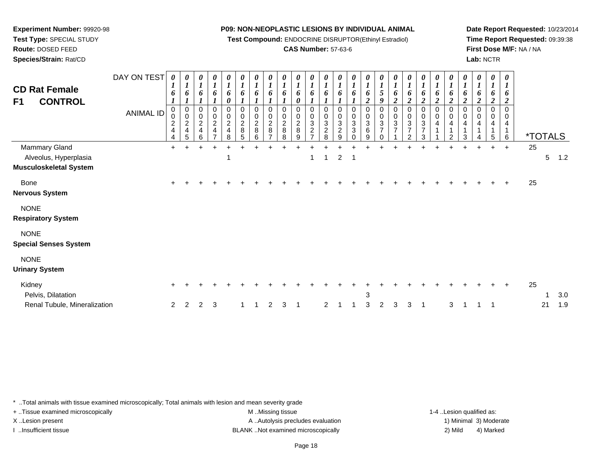**Test Compound:** ENDOCRINE DISRUPTOR(Ethinyl Estradiol)

## **CAS Number:** 57-63-6

**Date Report Requested:** 10/23/2014**Time Report Requested:** 09:39:38**First Dose M/F:** NA / NA**Lab:** NCTR

| $\frac{2}{8}$<br>$5\phantom{.0}$<br>Mammary Gland<br>$\ddot{}$<br>$\pm$<br>$\ddot{}$<br>$\overline{2}$<br>Alveolus, Hyperplasia<br>$\overline{\mathbf{1}}$<br>-1<br>1<br><b>Musculoskeletal System</b> | <i><b>*TOTALS</b></i><br>25 |
|--------------------------------------------------------------------------------------------------------------------------------------------------------------------------------------------------------|-----------------------------|
|                                                                                                                                                                                                        | 5 <sup>5</sup><br>1.2       |
| <b>Bone</b><br><b>Nervous System</b>                                                                                                                                                                   | 25                          |
| <b>NONE</b><br><b>Respiratory System</b>                                                                                                                                                               |                             |
| <b>NONE</b><br><b>Special Senses System</b>                                                                                                                                                            |                             |
| <b>NONE</b><br><b>Urinary System</b>                                                                                                                                                                   |                             |
| Kidney<br>$\pm$<br>Pelvis, Dilatation<br>3<br>Renal Tubule, Mineralization<br>3<br>2<br>3<br>3<br>2<br>2<br>2<br>3<br>2<br>3<br>3<br>2<br>-1                                                           | 25<br>3.0<br>1<br>1.9<br>21 |

\* ..Total animals with tissue examined microscopically; Total animals with lesion and mean severity grade

**Experiment Number:** 99920-98**Test Type:** SPECIAL STUDY**Route:** DOSED FEED**Species/Strain:** Rat/CD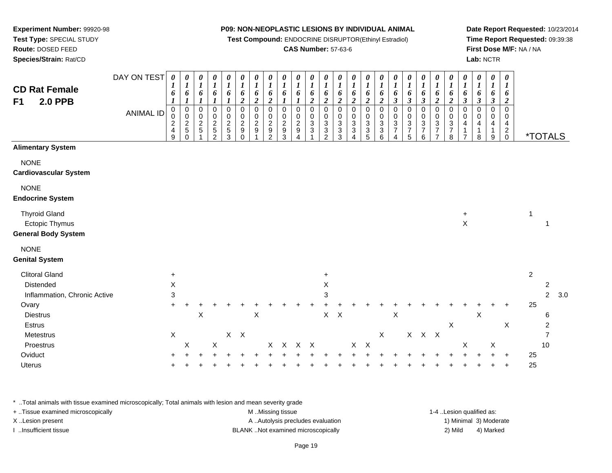**Test Compound:** ENDOCRINE DISRUPTOR(Ethinyl Estradiol)

## **CAS Number:** 57-63-6

**Date Report Requested:** 10/23/2014**Time Report Requested:** 09:39:38**First Dose M/F:** NA / NA**Lab:** NCTR

|                                                                      | DAY ON TEST      | $\boldsymbol{\theta}$                                                               | 0                                                     | 0<br>$\boldsymbol{l}$           | 0<br>$\boldsymbol{l}$                | $\boldsymbol{\theta}$<br>$\boldsymbol{l}$         | 0<br>1                                              | 0<br>$\boldsymbol{l}$                   | 0<br>$\boldsymbol{l}$                                                    | 0<br>1                                                        | 0<br>1                  | 0<br>$\boldsymbol{l}$                    | 0<br>$\boldsymbol{l}$                                | 0<br>1                                                | 0<br>$\bm{l}$                   | 0<br>$\boldsymbol{l}$                                                         | $\boldsymbol{\theta}$<br>$\boldsymbol{l}$                          | 0<br>$\boldsymbol{l}$                                                      | 0<br>$\boldsymbol{l}$                                              | 0<br>$\boldsymbol{l}$                       | 0<br>$\boldsymbol{l}$                                                                     | 0<br>$\boldsymbol{l}$                                                        | $\boldsymbol{\theta}$<br>$\boldsymbol{l}$             | 0<br>$\boldsymbol{l}$                      | 0<br>$\boldsymbol{l}$                      | 0<br>1                                       |                |                       |     |
|----------------------------------------------------------------------|------------------|-------------------------------------------------------------------------------------|-------------------------------------------------------|---------------------------------|--------------------------------------|---------------------------------------------------|-----------------------------------------------------|-----------------------------------------|--------------------------------------------------------------------------|---------------------------------------------------------------|-------------------------|------------------------------------------|------------------------------------------------------|-------------------------------------------------------|---------------------------------|-------------------------------------------------------------------------------|--------------------------------------------------------------------|----------------------------------------------------------------------------|--------------------------------------------------------------------|---------------------------------------------|-------------------------------------------------------------------------------------------|------------------------------------------------------------------------------|-------------------------------------------------------|--------------------------------------------|--------------------------------------------|----------------------------------------------|----------------|-----------------------|-----|
| <b>CD Rat Female</b><br>F1<br><b>2.0 PPB</b>                         |                  | 6                                                                                   | 6                                                     | 6                               | 6                                    | 6                                                 | 6<br>$\boldsymbol{2}$                               | 6<br>$\boldsymbol{2}$                   | 6<br>$\boldsymbol{2}$                                                    | 6                                                             | 6                       | 6<br>$\overline{\mathbf{c}}$             | 6<br>$\boldsymbol{2}$                                | 6<br>$\boldsymbol{2}$                                 | 6<br>$\boldsymbol{2}$           | 6<br>$\boldsymbol{2}$                                                         | 6<br>$\boldsymbol{2}$                                              | 6<br>$\boldsymbol{\beta}$                                                  | 6<br>$\boldsymbol{\beta}$                                          | 6<br>$\boldsymbol{\beta}$                   | 6<br>$\boldsymbol{2}$                                                                     | 6<br>$\boldsymbol{2}$                                                        | 6<br>$\boldsymbol{\beta}$                             | 6<br>$\boldsymbol{\beta}$                  | 6<br>$\boldsymbol{\beta}$                  | 6<br>$\boldsymbol{2}$                        |                |                       |     |
|                                                                      | <b>ANIMAL ID</b> | $\pmb{0}$<br>$\mathbf 0$<br>$\overline{\mathbf{c}}$<br>$\overline{\mathbf{4}}$<br>9 | $\mathsf 0$<br>$\bar{0}$<br>$\frac{2}{5}$<br>$\Omega$ | $\pmb{0}$<br>0<br>$\frac{2}{5}$ | 0<br>$\pmb{0}$<br>$\frac{2}{5}$<br>2 | $\mathbf 0$<br>0<br>$\sqrt{2}$<br>$\sqrt{5}$<br>3 | $\mathbf 0$<br>0<br>$\overline{c}$<br>9<br>$\Omega$ | $\mathbf 0$<br>0<br>$\overline{c}$<br>9 | $\mathbf 0$<br>0<br>$\overline{c}$<br>$\boldsymbol{9}$<br>$\mathfrak{p}$ | $\mathbf 0$<br>0<br>$\boldsymbol{2}$<br>$\boldsymbol{9}$<br>3 | 0<br>0<br>$\frac{2}{9}$ | 0<br>0<br>$\ensuremath{\mathsf{3}}$<br>3 | $\mathbf 0$<br>0<br>$\sqrt{3}$<br>3<br>$\mathcal{P}$ | $\pmb{0}$<br>0<br>$\sqrt{3}$<br>$\boldsymbol{3}$<br>3 | $\mathbf 0$<br>0<br>3<br>3<br>4 | $\pmb{0}$<br>0<br>$\ensuremath{\mathsf{3}}$<br>$\ensuremath{\mathsf{3}}$<br>5 | $\mathbf 0$<br>0<br>$\ensuremath{\mathsf{3}}$<br>$\mathbf{3}$<br>6 | $\pmb{0}$<br>$\pmb{0}$<br>$\ensuremath{\mathsf{3}}$<br>$\overline{7}$<br>4 | $\pmb{0}$<br>0<br>$\ensuremath{\mathsf{3}}$<br>$\overline{7}$<br>5 | 0<br>0<br>$\sqrt{3}$<br>$\overline{7}$<br>6 | $\mathbf 0$<br>$\pmb{0}$<br>$\ensuremath{\mathsf{3}}$<br>$\overline{7}$<br>$\overline{7}$ | $\mathbf 0$<br>$\,0\,$<br>$\ensuremath{\mathsf{3}}$<br>$\boldsymbol{7}$<br>8 | $\pmb{0}$<br>0<br>4<br>$\mathbf{1}$<br>$\overline{7}$ | $\mathbf 0$<br>0<br>4<br>$\mathbf{1}$<br>8 | $\mathbf 0$<br>0<br>4<br>$\mathbf{1}$<br>9 | 0<br>0<br>4<br>$\overline{c}$<br>$\mathbf 0$ |                | <i><b>*TOTALS</b></i> |     |
| <b>Alimentary System</b>                                             |                  |                                                                                     |                                                       |                                 |                                      |                                                   |                                                     |                                         |                                                                          |                                                               |                         |                                          |                                                      |                                                       |                                 |                                                                               |                                                                    |                                                                            |                                                                    |                                             |                                                                                           |                                                                              |                                                       |                                            |                                            |                                              |                |                       |     |
| <b>NONE</b><br><b>Cardiovascular System</b>                          |                  |                                                                                     |                                                       |                                 |                                      |                                                   |                                                     |                                         |                                                                          |                                                               |                         |                                          |                                                      |                                                       |                                 |                                                                               |                                                                    |                                                                            |                                                                    |                                             |                                                                                           |                                                                              |                                                       |                                            |                                            |                                              |                |                       |     |
| <b>NONE</b><br><b>Endocrine System</b>                               |                  |                                                                                     |                                                       |                                 |                                      |                                                   |                                                     |                                         |                                                                          |                                                               |                         |                                          |                                                      |                                                       |                                 |                                                                               |                                                                    |                                                                            |                                                                    |                                             |                                                                                           |                                                                              |                                                       |                                            |                                            |                                              |                |                       |     |
| <b>Thyroid Gland</b><br>Ectopic Thymus<br><b>General Body System</b> |                  |                                                                                     |                                                       |                                 |                                      |                                                   |                                                     |                                         |                                                                          |                                                               |                         |                                          |                                                      |                                                       |                                 |                                                                               |                                                                    |                                                                            |                                                                    |                                             |                                                                                           |                                                                              | $\ddot{}$<br>$\mathsf X$                              |                                            |                                            |                                              | 1              | $\mathbf 1$           |     |
| <b>NONE</b><br><b>Genital System</b>                                 |                  |                                                                                     |                                                       |                                 |                                      |                                                   |                                                     |                                         |                                                                          |                                                               |                         |                                          |                                                      |                                                       |                                 |                                                                               |                                                                    |                                                                            |                                                                    |                                             |                                                                                           |                                                                              |                                                       |                                            |                                            |                                              |                |                       |     |
| <b>Clitoral Gland</b>                                                |                  | $\ddot{}$                                                                           |                                                       |                                 |                                      |                                                   |                                                     |                                         |                                                                          |                                                               |                         |                                          | $\ddot{}$                                            |                                                       |                                 |                                                                               |                                                                    |                                                                            |                                                                    |                                             |                                                                                           |                                                                              |                                                       |                                            |                                            |                                              | $\overline{2}$ |                       |     |
| Distended                                                            |                  | X                                                                                   |                                                       |                                 |                                      |                                                   |                                                     |                                         |                                                                          |                                                               |                         |                                          | X                                                    |                                                       |                                 |                                                                               |                                                                    |                                                                            |                                                                    |                                             |                                                                                           |                                                                              |                                                       |                                            |                                            |                                              |                | 2                     |     |
| Inflammation, Chronic Active                                         |                  | 3                                                                                   |                                                       |                                 |                                      |                                                   |                                                     |                                         |                                                                          |                                                               |                         |                                          | 3                                                    |                                                       |                                 |                                                                               |                                                                    |                                                                            |                                                                    |                                             |                                                                                           |                                                                              |                                                       |                                            |                                            |                                              |                | $\overline{c}$        | 3.0 |
| Ovary                                                                |                  | $\ddot{}$                                                                           |                                                       |                                 |                                      |                                                   |                                                     |                                         |                                                                          |                                                               |                         |                                          |                                                      |                                                       |                                 |                                                                               |                                                                    |                                                                            |                                                                    |                                             |                                                                                           |                                                                              |                                                       |                                            |                                            | ÷                                            | 25             |                       |     |
| <b>Diestrus</b>                                                      |                  |                                                                                     |                                                       | $\pmb{\times}$                  |                                      |                                                   |                                                     | $\pmb{\times}$                          |                                                                          |                                                               |                         |                                          | $\mathsf{X}$                                         | $\mathsf{X}$                                          |                                 |                                                                               |                                                                    | $\pmb{\times}$                                                             |                                                                    |                                             |                                                                                           |                                                                              |                                                       | $\pmb{\times}$                             |                                            |                                              |                | 6                     |     |
| Estrus<br>Metestrus                                                  |                  | $\mathsf X$                                                                         |                                                       |                                 |                                      | $X$ $X$                                           |                                                     |                                         |                                                                          |                                                               |                         |                                          |                                                      |                                                       |                                 |                                                                               | $\mathsf X$                                                        |                                                                            |                                                                    | $X$ $X$ $X$                                 |                                                                                           | Χ                                                                            |                                                       |                                            |                                            | $\mathsf X$                                  |                | $\overline{7}$        |     |
| Proestrus                                                            |                  |                                                                                     | X                                                     |                                 | $\mathsf X$                          |                                                   |                                                     |                                         |                                                                          | $X$ $X$                                                       | $X$ X                   |                                          |                                                      |                                                       | X                               | $\boldsymbol{\mathsf{X}}$                                                     |                                                                    |                                                                            |                                                                    |                                             |                                                                                           |                                                                              | $\boldsymbol{\mathsf{X}}$                             |                                            | X                                          |                                              |                | 10                    |     |
| Oviduct                                                              |                  |                                                                                     |                                                       |                                 |                                      |                                                   |                                                     |                                         |                                                                          |                                                               |                         |                                          |                                                      |                                                       |                                 |                                                                               |                                                                    |                                                                            |                                                                    |                                             |                                                                                           |                                                                              |                                                       |                                            |                                            | ÷                                            | 25             |                       |     |
| Uterus                                                               |                  |                                                                                     |                                                       |                                 |                                      |                                                   |                                                     |                                         |                                                                          |                                                               |                         |                                          |                                                      |                                                       |                                 |                                                                               |                                                                    |                                                                            |                                                                    |                                             |                                                                                           |                                                                              |                                                       |                                            |                                            | $\ddot{}$                                    | 25             |                       |     |
|                                                                      |                  |                                                                                     |                                                       |                                 |                                      |                                                   |                                                     |                                         |                                                                          |                                                               |                         |                                          |                                                      |                                                       |                                 |                                                                               |                                                                    |                                                                            |                                                                    |                                             |                                                                                           |                                                                              |                                                       |                                            |                                            |                                              |                |                       |     |

\* ..Total animals with tissue examined microscopically; Total animals with lesion and mean severity grade

| + Tissue examined microscopically | M Missing tissue                   | 1-4 Lesion qualified as: |                        |
|-----------------------------------|------------------------------------|--------------------------|------------------------|
| X Lesion present                  | A Autolysis precludes evaluation   |                          | 1) Minimal 3) Moderate |
| Insufficient tissue               | BLANK Not examined microscopically | 2) Mild                  | 4) Marked              |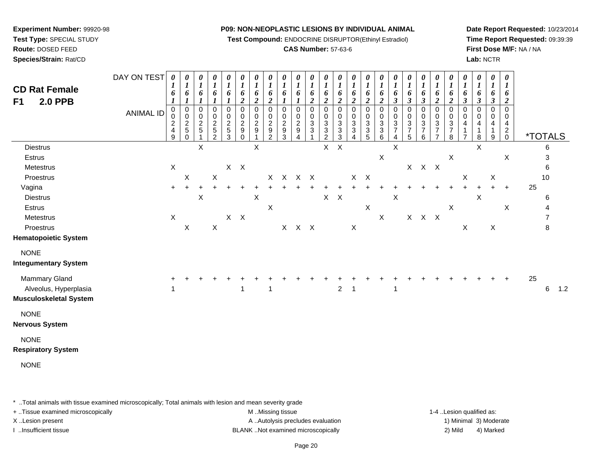**Test Compound:** ENDOCRINE DISRUPTOR(Ethinyl Estradiol)

## **CAS Number:** 57-63-6

**Date Report Requested:** 10/23/2014**Time Report Requested:** 09:39:39**First Dose M/F:** NA / NA**Lab:** NCTR

| <b>CD Rat Female</b><br>F1<br><b>2.0 PPB</b>                                                           | DAY ON TEST<br><b>ANIMAL ID</b> | 0<br>1<br>6<br>$\mathbf 0$<br>0<br>$\frac{2}{4}$<br>9 | 0<br>1<br>6<br>$\pmb{0}$<br>$\pmb{0}$<br>$\frac{2}{5}$<br>0 | 0<br>$\boldsymbol{l}$<br>6<br>0<br>$\pmb{0}$<br>$\frac{2}{5}$ | 0<br>$\boldsymbol{l}$<br>$\pmb{6}$<br>1<br>0<br>0<br>$\frac{2}{5}$<br>$\overline{2}$ | 0<br>$\boldsymbol{l}$<br>6<br>0<br>$\pmb{0}$<br>$\frac{2}{5}$<br>$\mathbf{3}$ | 0<br>1<br>6<br>$\boldsymbol{2}$<br>0<br>$\pmb{0}$<br>$\boldsymbol{2}$<br>9<br>$\mathbf 0$ | 0<br>$\boldsymbol{l}$<br>6<br>$\boldsymbol{2}$<br>$\pmb{0}$<br>$\pmb{0}$<br>$\overline{c}$<br>$\boldsymbol{9}$ | $\pmb{\theta}$<br>$\boldsymbol{l}$<br>6<br>$\boldsymbol{2}$<br>0<br>0<br>$\overline{c}$<br>9<br>$\overline{2}$ | 0<br>$\boldsymbol{l}$<br>6<br>$\mathbf 0$<br>0<br>$\overline{c}$<br>$\boldsymbol{9}$<br>3 | $\boldsymbol{\theta}$<br>6<br>0<br>0<br>$\overline{c}$<br>$\boldsymbol{9}$<br>4 | 0<br>$\boldsymbol{l}$<br>6<br>$\boldsymbol{2}$<br>0<br>$\pmb{0}$<br>$\mathbf{3}$<br>$\mathbf{3}$ | 0<br>$\boldsymbol{l}$<br>6<br>$\boldsymbol{2}$<br>0<br>0<br>$\ensuremath{\mathsf{3}}$<br>$\overline{3}$<br>$\overline{c}$ | 0<br>$\boldsymbol{l}$<br>6<br>$\boldsymbol{2}$<br>0<br>$\mathbf 0$<br>$\mathbf{3}$<br>3<br>3 | 0<br>$\boldsymbol{l}$<br>6<br>$\overline{c}$<br>0<br>$\pmb{0}$<br>$\sqrt{3}$<br>3<br>4 | 0<br>1<br>6<br>$\overline{c}$<br>0<br>$\pmb{0}$<br>3<br>3<br>5 | 0<br>$\boldsymbol{l}$<br>6<br>$\boldsymbol{2}$<br>$\pmb{0}$<br>$\pmb{0}$<br>$_3^3$<br>$\,6\,$ | 0<br>1<br>6<br>$\boldsymbol{\beta}$<br>$\mathbf 0$<br>$\pmb{0}$<br>$\sqrt{3}$<br>$\overline{7}$<br>4 | 0<br>$\boldsymbol{l}$<br>6<br>$\boldsymbol{\beta}$<br>$\pmb{0}$<br>$\pmb{0}$<br>$\frac{3}{7}$<br>5 | 0<br>$\boldsymbol{l}$<br>6<br>$\boldsymbol{\beta}$<br>0<br>0<br>3<br>$\overline{7}$<br>6 | 0<br>$\boldsymbol{l}$<br>6<br>$\boldsymbol{2}$<br>0<br>$\pmb{0}$<br>$\ensuremath{\mathsf{3}}$<br>$\overline{7}$<br>$\overline{7}$ | 0<br>$\boldsymbol{l}$<br>6<br>$\boldsymbol{2}$<br>$\,0\,$<br>$\,0\,$<br>$\mathbf{3}$<br>$\boldsymbol{7}$<br>8 | 0<br>$\boldsymbol{l}$<br>6<br>$\boldsymbol{\beta}$<br>$\pmb{0}$<br>$\pmb{0}$<br>4<br>1<br>$\overline{7}$ | 0<br>$\boldsymbol{l}$<br>6<br>3<br>0<br>0<br>4<br>1<br>8 | 0<br>$\boldsymbol{l}$<br>6<br>3<br>0<br>0<br>4<br>$\mathbf{1}$<br>9 | $\boldsymbol{\theta}$<br>$\boldsymbol{l}$<br>6<br>2<br>$\mathbf 0$<br>0<br>4<br>$\overline{a}$<br>$\mathbf 0$ |    | <i><b>*TOTALS</b></i> |     |
|--------------------------------------------------------------------------------------------------------|---------------------------------|-------------------------------------------------------|-------------------------------------------------------------|---------------------------------------------------------------|--------------------------------------------------------------------------------------|-------------------------------------------------------------------------------|-------------------------------------------------------------------------------------------|----------------------------------------------------------------------------------------------------------------|----------------------------------------------------------------------------------------------------------------|-------------------------------------------------------------------------------------------|---------------------------------------------------------------------------------|--------------------------------------------------------------------------------------------------|---------------------------------------------------------------------------------------------------------------------------|----------------------------------------------------------------------------------------------|----------------------------------------------------------------------------------------|----------------------------------------------------------------|-----------------------------------------------------------------------------------------------|------------------------------------------------------------------------------------------------------|----------------------------------------------------------------------------------------------------|------------------------------------------------------------------------------------------|-----------------------------------------------------------------------------------------------------------------------------------|---------------------------------------------------------------------------------------------------------------|----------------------------------------------------------------------------------------------------------|----------------------------------------------------------|---------------------------------------------------------------------|---------------------------------------------------------------------------------------------------------------|----|-----------------------|-----|
| <b>Diestrus</b><br>Estrus<br>Metestrus                                                                 |                                 | $\mathsf X$                                           |                                                             | X                                                             |                                                                                      |                                                                               | $X$ $X$                                                                                   | X                                                                                                              |                                                                                                                |                                                                                           |                                                                                 |                                                                                                  | X                                                                                                                         | $\boldsymbol{\mathsf{X}}$                                                                    |                                                                                        |                                                                | $\mathsf X$                                                                                   | X                                                                                                    |                                                                                                    | $X$ $X$ $X$                                                                              |                                                                                                                                   | $\mathsf X$                                                                                                   |                                                                                                          | X                                                        |                                                                     | $\boldsymbol{\mathsf{X}}$                                                                                     |    | 6<br>3<br>6           |     |
| Proestrus<br>Vagina<br><b>Diestrus</b><br>Estrus                                                       |                                 | $\ddot{}$                                             | $\boldsymbol{\mathsf{X}}$<br>$\overline{+}$                 | X                                                             | $\boldsymbol{\mathsf{X}}$                                                            |                                                                               | $\pm$                                                                                     | $\boldsymbol{\mathsf{X}}$                                                                                      | X<br>$\sf X$                                                                                                   |                                                                                           | X X X                                                                           |                                                                                                  |                                                                                                                           | $X$ $X$                                                                                      | X                                                                                      | $\boldsymbol{X}$<br>$\mathsf X$                                |                                                                                               | $\times$                                                                                             |                                                                                                    |                                                                                          |                                                                                                                                   | $\mathsf X$                                                                                                   | X<br>$\ddot{}$                                                                                           | $\ddot{}$<br>$\mathsf X$                                 | $\mathsf X$<br>$+$                                                  | $\ddot{}$<br>$\mathsf X$                                                                                      | 25 | 10<br>6<br>4          |     |
| Metestrus<br>Proestrus<br><b>Hematopoietic System</b><br><b>NONE</b>                                   |                                 | $\boldsymbol{\mathsf{X}}$                             | $\mathsf X$                                                 |                                                               | $\mathsf X$                                                                          |                                                                               | $X$ $X$                                                                                   |                                                                                                                |                                                                                                                |                                                                                           | X X X                                                                           |                                                                                                  |                                                                                                                           |                                                                                              | X                                                                                      |                                                                | X                                                                                             |                                                                                                      |                                                                                                    | $X$ $X$ $X$                                                                              |                                                                                                                                   |                                                                                                               | X                                                                                                        |                                                          | X                                                                   |                                                                                                               |    | $\overline{7}$<br>8   |     |
| <b>Integumentary System</b><br>Mammary Gland<br>Alveolus, Hyperplasia<br><b>Musculoskeletal System</b> |                                 |                                                       |                                                             |                                                               |                                                                                      |                                                                               | -1                                                                                        |                                                                                                                | -1                                                                                                             |                                                                                           |                                                                                 |                                                                                                  |                                                                                                                           | $\overline{2}$                                                                               | $\overline{1}$                                                                         |                                                                |                                                                                               | 1                                                                                                    |                                                                                                    |                                                                                          |                                                                                                                                   |                                                                                                               |                                                                                                          |                                                          |                                                                     |                                                                                                               | 25 | 6                     | 1.2 |
| <b>NONE</b><br><b>Nervous System</b>                                                                   |                                 |                                                       |                                                             |                                                               |                                                                                      |                                                                               |                                                                                           |                                                                                                                |                                                                                                                |                                                                                           |                                                                                 |                                                                                                  |                                                                                                                           |                                                                                              |                                                                                        |                                                                |                                                                                               |                                                                                                      |                                                                                                    |                                                                                          |                                                                                                                                   |                                                                                                               |                                                                                                          |                                                          |                                                                     |                                                                                                               |    |                       |     |
| <b>NONE</b><br><b>Respiratory System</b>                                                               |                                 |                                                       |                                                             |                                                               |                                                                                      |                                                                               |                                                                                           |                                                                                                                |                                                                                                                |                                                                                           |                                                                                 |                                                                                                  |                                                                                                                           |                                                                                              |                                                                                        |                                                                |                                                                                               |                                                                                                      |                                                                                                    |                                                                                          |                                                                                                                                   |                                                                                                               |                                                                                                          |                                                          |                                                                     |                                                                                                               |    |                       |     |
| <b>NONE</b>                                                                                            |                                 |                                                       |                                                             |                                                               |                                                                                      |                                                                               |                                                                                           |                                                                                                                |                                                                                                                |                                                                                           |                                                                                 |                                                                                                  |                                                                                                                           |                                                                                              |                                                                                        |                                                                |                                                                                               |                                                                                                      |                                                                                                    |                                                                                          |                                                                                                                                   |                                                                                                               |                                                                                                          |                                                          |                                                                     |                                                                                                               |    |                       |     |

\* ..Total animals with tissue examined microscopically; Total animals with lesion and mean severity grade

**Experiment Number:** 99920-98**Test Type:** SPECIAL STUDY**Route:** DOSED FEED**Species/Strain:** Rat/CD

+ ..Tissue examined microscopically examined microscopically examined as:  $M$  ..Missing tissue 1-4 ..Lesion qualified as: X..Lesion present **A ..Autolysis precludes evaluation** A ..Autolysis precludes evaluation 1) Minimal 3) Moderate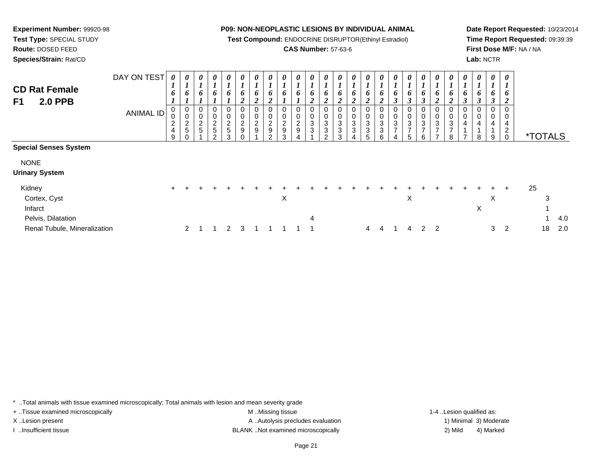**Test Compound:** ENDOCRINE DISRUPTOR(Ethinyl Estradiol)

## **CAS Number:** 57-63-6

**Date Report Requested:** 10/23/2014**Time Report Requested:** 09:39:39**First Dose M/F:** NA / NA**Lab:** NCTR

| <b>CD Rat Female</b><br>F1<br><b>2.0 PPB</b> | DAY ON TEST<br><b>ANIMAL ID</b> | 0<br>L<br>6<br>$\mathbf{I}$<br>0<br>0<br>$\overline{\mathbf{c}}$<br>$\overline{4}$<br>9 | $\boldsymbol{\theta}$<br>$\boldsymbol{l}$<br>6<br>$\boldsymbol{0}$<br>$\boldsymbol{0}$<br>$rac{2}{5}$ | 0<br>6<br>0<br>$\mathsf 0$<br>$\frac{2}{5}$ | 0<br>6<br>0<br>$\boldsymbol{0}$<br>$rac{2}{5}$<br>$\mathcal{L}$ | 0<br>$\mathbf{I}$<br>6<br>0<br>$\pmb{0}$<br>$\frac{2}{5}$<br>3 | $\boldsymbol{\theta}$<br>$\boldsymbol{l}$<br>6<br>$\overline{2}$<br>$\mathbf 0$<br>$\overline{c}$<br>9 | 0<br>6<br>◠<br>0<br>0<br>$\boldsymbol{2}$<br>$\boldsymbol{9}$ | 0<br>6<br>∍<br>0<br>0<br>$\overline{c}$<br>9<br>ົ | 0<br>6<br>0<br>0<br>$\overline{c}$<br>9<br>3 | 0<br>0<br>1<br>0<br>$\overline{c}$<br>$\boldsymbol{9}$ | U<br>6<br>∠<br>0<br>0<br>3<br>3 | $\boldsymbol{\theta}$<br>6<br>0<br>0<br>3<br>3<br>ົ | $\boldsymbol{\theta}$<br>6<br>0<br>0<br>$\mathbf{3}$<br>3<br>3 | 0<br>6<br>0<br>3<br>3 | $\bm{o}$<br>0<br>$\sqrt{3}$<br>3 | $\boldsymbol{\theta}$<br>6<br>0<br>0<br>$\ensuremath{\mathsf{3}}$<br>3<br>6 | 0<br>6<br>0<br>$\pmb{0}$<br>$\mathbf{3}$<br>$\overline{ }$<br>4 | 0<br>$\mathbf{I}$<br>6<br>0<br>0<br>$\sqrt{3}$<br>$\overline{ }$<br>5 | $\boldsymbol{\theta}$<br>L<br>6<br>J<br>0<br>$\mathbf 0$<br>$\mathbf{3}$<br>$\overline{ }$<br>6 | 0<br>6<br>$\boldsymbol{2}$<br>0<br>$_{3}^{\rm 0}$<br>$\overline{ }$<br>$\rightarrow$ | 0<br>6<br>C<br>0<br>0<br>3<br>$\overline{\phantom{a}}$<br>8 | $\boldsymbol{\theta}$<br>6<br>0<br>0<br>4<br>$\overline{ }$ | 0<br>6<br>$\boldsymbol{\beta}$<br>$\mathbf 0$<br>4<br>8 | 0<br>6<br>3<br>0<br>0<br>4<br>9 | $\boldsymbol{\theta}$<br>O<br>0<br>4<br>2<br>$\Omega$ | <i><b>*TOTALS</b></i> |     |
|----------------------------------------------|---------------------------------|-----------------------------------------------------------------------------------------|-------------------------------------------------------------------------------------------------------|---------------------------------------------|-----------------------------------------------------------------|----------------------------------------------------------------|--------------------------------------------------------------------------------------------------------|---------------------------------------------------------------|---------------------------------------------------|----------------------------------------------|--------------------------------------------------------|---------------------------------|-----------------------------------------------------|----------------------------------------------------------------|-----------------------|----------------------------------|-----------------------------------------------------------------------------|-----------------------------------------------------------------|-----------------------------------------------------------------------|-------------------------------------------------------------------------------------------------|--------------------------------------------------------------------------------------|-------------------------------------------------------------|-------------------------------------------------------------|---------------------------------------------------------|---------------------------------|-------------------------------------------------------|-----------------------|-----|
| <b>Special Senses System</b>                 |                                 |                                                                                         |                                                                                                       |                                             |                                                                 |                                                                |                                                                                                        |                                                               |                                                   |                                              |                                                        |                                 |                                                     |                                                                |                       |                                  |                                                                             |                                                                 |                                                                       |                                                                                                 |                                                                                      |                                                             |                                                             |                                                         |                                 |                                                       |                       |     |
| <b>NONE</b>                                  |                                 |                                                                                         |                                                                                                       |                                             |                                                                 |                                                                |                                                                                                        |                                                               |                                                   |                                              |                                                        |                                 |                                                     |                                                                |                       |                                  |                                                                             |                                                                 |                                                                       |                                                                                                 |                                                                                      |                                                             |                                                             |                                                         |                                 |                                                       |                       |     |
| <b>Urinary System</b>                        |                                 |                                                                                         |                                                                                                       |                                             |                                                                 |                                                                |                                                                                                        |                                                               |                                                   |                                              |                                                        |                                 |                                                     |                                                                |                       |                                  |                                                                             |                                                                 |                                                                       |                                                                                                 |                                                                                      |                                                             |                                                             |                                                         |                                 |                                                       |                       |     |
| Kidney                                       |                                 | $\ddot{}$                                                                               |                                                                                                       |                                             |                                                                 |                                                                |                                                                                                        |                                                               |                                                   |                                              |                                                        |                                 |                                                     |                                                                |                       |                                  |                                                                             |                                                                 |                                                                       |                                                                                                 |                                                                                      |                                                             |                                                             |                                                         |                                 | $\pm$                                                 | 25                    |     |
| Cortex, Cyst                                 |                                 |                                                                                         |                                                                                                       |                                             |                                                                 |                                                                |                                                                                                        |                                                               |                                                   | Χ                                            |                                                        |                                 |                                                     |                                                                |                       |                                  |                                                                             |                                                                 | X                                                                     |                                                                                                 |                                                                                      |                                                             |                                                             |                                                         | X                               |                                                       | 3                     |     |
| Infarct                                      |                                 |                                                                                         |                                                                                                       |                                             |                                                                 |                                                                |                                                                                                        |                                                               |                                                   |                                              |                                                        |                                 |                                                     |                                                                |                       |                                  |                                                                             |                                                                 |                                                                       |                                                                                                 |                                                                                      |                                                             |                                                             | X                                                       |                                 |                                                       |                       |     |
| Pelvis, Dilatation                           |                                 |                                                                                         |                                                                                                       |                                             |                                                                 |                                                                |                                                                                                        |                                                               |                                                   |                                              |                                                        | 4                               |                                                     |                                                                |                       |                                  |                                                                             |                                                                 |                                                                       |                                                                                                 |                                                                                      |                                                             |                                                             |                                                         |                                 |                                                       | 1                     | 4.0 |
| Renal Tubule, Mineralization                 |                                 |                                                                                         | $\mathbf{2}^{\circ}$                                                                                  |                                             |                                                                 | 2                                                              |                                                                                                        |                                                               |                                                   |                                              |                                                        |                                 |                                                     |                                                                |                       | 4                                | 4                                                                           |                                                                 | 4                                                                     | 2                                                                                               | 2                                                                                    |                                                             |                                                             |                                                         | 3                               | 2                                                     | 18                    | 2.0 |

\* ..Total animals with tissue examined microscopically; Total animals with lesion and mean severity grade

+ ..Tissue examined microscopically examined microscopically examined as:  $M$  ..Missing tissue 1-4 ..Lesion qualified as:

**Experiment Number:** 99920-98**Test Type:** SPECIAL STUDY**Route:** DOSED FEED**Species/Strain:** Rat/CD

X..Lesion present **A ..Autolysis precludes evaluation** A ..Autolysis precludes evaluation 1) Minimal 3) Moderate I ..Insufficient tissue BLANK ..Not examined microscopically 2) Mild 4) Marked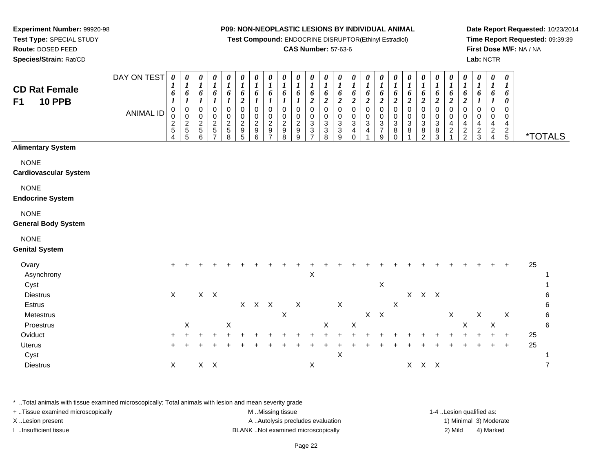**Test Compound:** ENDOCRINE DISRUPTOR(Ethinyl Estradiol)

## **CAS Number:** 57-63-6

**Date Report Requested:** 10/23/2014**Time Report Requested:** 09:39:39**First Dose M/F:** NA / NA**Lab:** NCTR

| <b>CD Rat Female</b><br><b>10 PPB</b><br>F <sub>1</sub> | DAY ON TEST | $\pmb{\theta}$<br>1<br>6             | $\boldsymbol{\theta}$<br>$\boldsymbol{l}$<br>6<br>$\boldsymbol{l}$ | 0<br>$\bm{l}$<br>6<br>1                               | $\pmb{\theta}$<br>$\boldsymbol{l}$<br>6<br>1                  | $\pmb{\theta}$<br>$\boldsymbol{l}$<br>6<br>$\boldsymbol{l}$ | 0<br>$\boldsymbol{l}$<br>$\pmb{6}$<br>$\overline{c}$ | $\boldsymbol{\theta}$<br>$\boldsymbol{l}$<br>6<br>$\boldsymbol{l}$ | $\pmb{\theta}$<br>$\boldsymbol{l}$<br>6                                        | 0<br>$\boldsymbol{l}$<br>6             | 0<br>$\boldsymbol{l}$<br>6<br>1      | 0<br>$\boldsymbol{l}$<br>6<br>$\boldsymbol{2}$                   | $\pmb{\theta}$<br>$\boldsymbol{l}$<br>6<br>$\boldsymbol{2}$ | 0<br>$\boldsymbol{l}$<br>6<br>$\overline{2}$ | $\pmb{\theta}$<br>$\boldsymbol{l}$<br>6<br>$\boldsymbol{2}$ | $\pmb{\theta}$<br>$\boldsymbol{l}$<br>6<br>$\boldsymbol{2}$     | $\pmb{\theta}$<br>$\boldsymbol{l}$<br>6<br>$\boldsymbol{2}$ | $\pmb{\theta}$<br>$\boldsymbol{l}$<br>6<br>$\boldsymbol{2}$ | 0<br>$\boldsymbol{l}$<br>6<br>$\boldsymbol{2}$ | $\boldsymbol{\theta}$<br>$\boldsymbol{l}$<br>$\pmb{6}$<br>$\boldsymbol{2}$ | $\pmb{\theta}$<br>$\boldsymbol{l}$<br>6<br>$\boldsymbol{2}$ | 0<br>$\boldsymbol{l}$<br>6<br>$\overline{2}$ | $\boldsymbol{\theta}$<br>$\boldsymbol{l}$<br>6<br>$\boldsymbol{2}$ | $\pmb{\theta}$<br>$\boldsymbol{l}$<br>6<br>$\mathbf{I}$ | $\pmb{\theta}$<br>$\boldsymbol{l}$<br>6    | $\pmb{\theta}$<br>$\boldsymbol{l}$<br>6<br>0     |    |                       |
|---------------------------------------------------------|-------------|--------------------------------------|--------------------------------------------------------------------|-------------------------------------------------------|---------------------------------------------------------------|-------------------------------------------------------------|------------------------------------------------------|--------------------------------------------------------------------|--------------------------------------------------------------------------------|----------------------------------------|--------------------------------------|------------------------------------------------------------------|-------------------------------------------------------------|----------------------------------------------|-------------------------------------------------------------|-----------------------------------------------------------------|-------------------------------------------------------------|-------------------------------------------------------------|------------------------------------------------|----------------------------------------------------------------------------|-------------------------------------------------------------|----------------------------------------------|--------------------------------------------------------------------|---------------------------------------------------------|--------------------------------------------|--------------------------------------------------|----|-----------------------|
|                                                         | ANIMAL ID   | 0<br>$\mathbf 0$<br>$rac{2}{5}$<br>4 | $\pmb{0}$<br>$\mathbf 0$<br>$\frac{2}{5}$<br>$\overline{5}$        | $\pmb{0}$<br>0<br>$\boldsymbol{2}$<br>$\sqrt{5}$<br>6 | $\mathsf 0$<br>0<br>$\frac{2}{5}$<br>$\overline{\phantom{a}}$ | $\pmb{0}$<br>$\pmb{0}$<br>$\frac{2}{5}$<br>8                | 0<br>$\pmb{0}$<br>$\frac{2}{9}$<br>5                 | $\pmb{0}$<br>$\,0\,$<br>$\boldsymbol{2}$<br>$\boldsymbol{9}$<br>6  | $\pmb{0}$<br>$\pmb{0}$<br>$\overline{2}$<br>$\boldsymbol{9}$<br>$\overline{ }$ | $\mathbf 0$<br>0<br>$\frac{2}{9}$<br>8 | $\pmb{0}$<br>0<br>$\frac{2}{9}$<br>9 | $\mathbf 0$<br>0<br>$\sqrt{3}$<br>$\ensuremath{\mathsf{3}}$<br>7 | $\mathsf 0$<br>$\frac{0}{3}$<br>8                           | 0<br>$\frac{0}{3}$<br>$\mathbf{3}$<br>9      | $\pmb{0}$<br>$_{3}^{\rm 0}$<br>$\overline{4}$<br>$\Omega$   | $\mathbf 0$<br>$\pmb{0}$<br>$\mathbf{3}$<br>$\overline{4}$<br>1 | $\mathbf 0$<br>$\mathsf 0$<br>$\frac{3}{7}$<br>9            | $\mathbf 0$<br>$\pmb{0}$<br>$\mathbf{3}$<br>8<br>$\Omega$   | $\mathbf 0$<br>0<br>$\sqrt{3}$<br>8            | $\mathbf 0$<br>0<br>$\sqrt{3}$<br>$\,8\,$<br>$\mathfrak{p}$                | $\boldsymbol{0}$<br>$\pmb{0}$<br>$_8^3$<br>3                | $\pmb{0}$<br>0<br>4<br>$\sqrt{2}$            | $\pmb{0}$<br>0<br>$\overline{\mathbf{4}}$<br>$\frac{2}{2}$         | $\pmb{0}$<br>0<br>4<br>$\frac{2}{3}$                    | $\pmb{0}$<br>0<br>4<br>$\overline{c}$<br>4 | $\mathbf 0$<br>$\mathbf 0$<br>4<br>$\frac{2}{5}$ |    | <i><b>*TOTALS</b></i> |
| <b>Alimentary System</b>                                |             |                                      |                                                                    |                                                       |                                                               |                                                             |                                                      |                                                                    |                                                                                |                                        |                                      |                                                                  |                                                             |                                              |                                                             |                                                                 |                                                             |                                                             |                                                |                                                                            |                                                             |                                              |                                                                    |                                                         |                                            |                                                  |    |                       |
| <b>NONE</b><br><b>Cardiovascular System</b>             |             |                                      |                                                                    |                                                       |                                                               |                                                             |                                                      |                                                                    |                                                                                |                                        |                                      |                                                                  |                                                             |                                              |                                                             |                                                                 |                                                             |                                                             |                                                |                                                                            |                                                             |                                              |                                                                    |                                                         |                                            |                                                  |    |                       |
| <b>NONE</b><br><b>Endocrine System</b>                  |             |                                      |                                                                    |                                                       |                                                               |                                                             |                                                      |                                                                    |                                                                                |                                        |                                      |                                                                  |                                                             |                                              |                                                             |                                                                 |                                                             |                                                             |                                                |                                                                            |                                                             |                                              |                                                                    |                                                         |                                            |                                                  |    |                       |
| <b>NONE</b><br><b>General Body System</b>               |             |                                      |                                                                    |                                                       |                                                               |                                                             |                                                      |                                                                    |                                                                                |                                        |                                      |                                                                  |                                                             |                                              |                                                             |                                                                 |                                                             |                                                             |                                                |                                                                            |                                                             |                                              |                                                                    |                                                         |                                            |                                                  |    |                       |
| <b>NONE</b><br><b>Genital System</b>                    |             |                                      |                                                                    |                                                       |                                                               |                                                             |                                                      |                                                                    |                                                                                |                                        |                                      |                                                                  |                                                             |                                              |                                                             |                                                                 |                                                             |                                                             |                                                |                                                                            |                                                             |                                              |                                                                    |                                                         |                                            |                                                  |    |                       |
| Ovary<br>Asynchrony<br>Cyst                             |             | $\ddot{}$                            |                                                                    |                                                       |                                                               |                                                             |                                                      |                                                                    |                                                                                |                                        |                                      | $\pmb{\times}$                                                   |                                                             |                                              |                                                             |                                                                 | $\mathsf X$                                                 |                                                             |                                                |                                                                            |                                                             |                                              |                                                                    |                                                         |                                            | $\ddot{}$                                        | 25 |                       |
| <b>Diestrus</b><br>Estrus                               |             | $\boldsymbol{\mathsf{X}}$            |                                                                    |                                                       | $X$ $X$                                                       |                                                             |                                                      | $X$ $X$ $X$                                                        |                                                                                |                                        | $\mathsf X$                          |                                                                  |                                                             | X                                            |                                                             |                                                                 |                                                             | $\boldsymbol{\mathsf{X}}$                                   |                                                | $X$ $X$ $X$                                                                |                                                             |                                              |                                                                    |                                                         |                                            |                                                  |    | 6<br>$\,6$            |
| Metestrus<br>Proestrus                                  |             |                                      | $\mathsf X$                                                        |                                                       |                                                               | Χ                                                           |                                                      |                                                                    |                                                                                | $\boldsymbol{\mathsf{X}}$              |                                      |                                                                  | X                                                           |                                              | $\mathsf X$                                                 | $X$ $X$                                                         |                                                             |                                                             |                                                |                                                                            |                                                             | $\mathsf X$                                  | $\mathsf X$                                                        | $\mathsf X$                                             | $\mathsf X$                                | $\mathsf X$                                      |    | $\,6\,$<br>6          |
| Oviduct                                                 |             | ٠                                    |                                                                    |                                                       |                                                               |                                                             |                                                      |                                                                    |                                                                                |                                        |                                      |                                                                  |                                                             |                                              |                                                             |                                                                 |                                                             |                                                             |                                                |                                                                            |                                                             |                                              |                                                                    |                                                         |                                            | $\ddot{}$                                        | 25 |                       |
| Uterus                                                  |             |                                      |                                                                    |                                                       |                                                               |                                                             |                                                      |                                                                    |                                                                                |                                        |                                      |                                                                  |                                                             |                                              |                                                             |                                                                 |                                                             |                                                             |                                                |                                                                            |                                                             |                                              |                                                                    |                                                         |                                            | $\ddot{}$                                        | 25 |                       |
| Cyst<br><b>Diestrus</b>                                 |             | X                                    |                                                                    |                                                       | $X$ $X$                                                       |                                                             |                                                      |                                                                    |                                                                                |                                        |                                      | $\mathsf X$                                                      |                                                             | $\mathsf X$                                  |                                                             |                                                                 |                                                             |                                                             | X                                              |                                                                            | $X$ $X$                                                     |                                              |                                                                    |                                                         |                                            |                                                  |    | $\overline{7}$        |

\* ..Total animals with tissue examined microscopically; Total animals with lesion and mean severity grade

| + Tissue examined microscopically | M Missing tissue                   | 1-4 Lesion qualified as: |                        |
|-----------------------------------|------------------------------------|--------------------------|------------------------|
| X Lesion present                  | A Autolysis precludes evaluation   |                          | 1) Minimal 3) Moderate |
| Insufficient tissue               | BLANK Not examined microscopically | 2) Mild                  | 4) Marked              |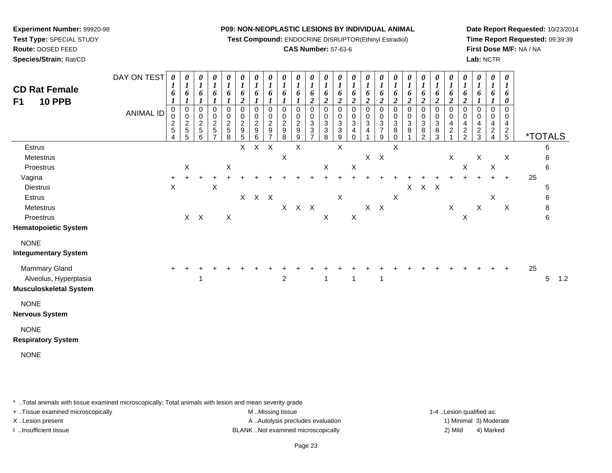**Test Compound:** ENDOCRINE DISRUPTOR(Ethinyl Estradiol)

## **CAS Number:** 57-63-6

**Date Report Requested:** 10/23/2014**Time Report Requested:** 09:39:39**First Dose M/F:** NA / NA**Lab:** NCTR

| <b>CD Rat Female</b><br><b>10 PPB</b><br>F <sub>1</sub>                        | DAY ON TEST<br><b>ANIMAL ID</b> | 0<br>6<br>$\boldsymbol{l}$<br>$\mathbf 0$<br>0<br>$\frac{2}{5}$<br>$\overline{\mathbf{4}}$ | 0<br>$\boldsymbol{l}$<br>6<br>$\mathbf{I}$<br>$\pmb{0}$<br>$\pmb{0}$<br>$rac{2}{5}$ | 0<br>$\boldsymbol{l}$<br>6<br>$\boldsymbol{l}$<br>$\mathbf 0$<br>0<br>$\frac{2}{5}$<br>6 | 0<br>$\boldsymbol{l}$<br>6<br>$\boldsymbol{l}$<br>0<br>$\pmb{0}$<br>$\frac{2}{5}$<br>$\overline{7}$ | 0<br>$\boldsymbol{l}$<br>6<br>$\mathbf{I}$<br>$\pmb{0}$<br>$\pmb{0}$<br>$\overline{c}$<br>$\sqrt{5}$<br>8 | 0<br>$\boldsymbol{l}$<br>6<br>$\boldsymbol{2}$<br>$\mathbf 0$<br>$\pmb{0}$<br>$\overline{c}$<br>$\begin{array}{c} 9 \\ 5 \end{array}$ | 0<br>$\boldsymbol{l}$<br>6<br>$\boldsymbol{l}$<br>$\mathbf 0$<br>0<br>$\sqrt{2}$<br>$\boldsymbol{9}$<br>6 | 0<br>$\boldsymbol{l}$<br>6<br>$\boldsymbol{l}$<br>$\mathbf 0$<br>0<br>$\overline{2}$<br>$\boldsymbol{9}$<br>$\overline{7}$ | 0<br>$\boldsymbol{l}$<br>6<br>1<br>$\mathbf 0$<br>0<br>$\sqrt{2}$<br>$\boldsymbol{9}$<br>8 | 0<br>$\boldsymbol{l}$<br>6<br>1<br>0<br>0<br>$\frac{2}{9}$<br>$\boldsymbol{9}$ | 0<br>$\boldsymbol{l}$<br>6<br>$\overline{c}$<br>0<br>$\mathbf 0$<br>$\ensuremath{\mathsf{3}}$<br>$\frac{3}{7}$ | 0<br>$\boldsymbol{l}$<br>6<br>$\boldsymbol{2}$<br>$\mathbf 0$<br>$\mathbf 0$<br>$\sqrt{3}$<br>$\ensuremath{\mathsf{3}}$<br>8 | 0<br>$\boldsymbol{l}$<br>6<br>$\boldsymbol{2}$<br>$\pmb{0}$<br>$\pmb{0}$<br>$\ensuremath{\mathsf{3}}$<br>$\ensuremath{\mathsf{3}}$<br>$\boldsymbol{9}$ | 0<br>$\boldsymbol{l}$<br>6<br>$\boldsymbol{2}$<br>0<br>0<br>3<br>4<br>0 | 0<br>$\boldsymbol{l}$<br>6<br>$\boldsymbol{2}$<br>$\pmb{0}$<br>0<br>$\sqrt{3}$<br>4 | $\boldsymbol{\theta}$<br>$\boldsymbol{l}$<br>6<br>$\boldsymbol{2}$<br>$\pmb{0}$<br>0<br>$\sqrt{3}$<br>$\overline{7}$<br>9 | 0<br>$\boldsymbol{l}$<br>6<br>$\boldsymbol{2}$<br>$\mathbf 0$<br>$\mathbf 0$<br>$\ensuremath{\mathsf{3}}$<br>$\bf 8$<br>$\pmb{0}$ | 0<br>$\boldsymbol{l}$<br>6<br>$\boldsymbol{2}$<br>0<br>0<br>$\ensuremath{\mathsf{3}}$<br>8 | 0<br>$\boldsymbol{l}$<br>6<br>$\boldsymbol{2}$<br>$\Omega$<br>0<br>$\sqrt{3}$<br>8<br>$\overline{2}$ | 0<br>$\boldsymbol{l}$<br>6<br>$\boldsymbol{2}$<br>$\mathbf 0$<br>$\mathbf 0$<br>$\ensuremath{\mathsf{3}}$<br>$\bf8$<br>3 | 0<br>$\boldsymbol{l}$<br>6<br>$\boldsymbol{2}$<br>$\mathbf 0$<br>0<br>4<br>$\overline{c}$ | 0<br>$\boldsymbol{l}$<br>6<br>$\boldsymbol{2}$<br>$\Omega$<br>0<br>4<br>$\frac{2}{2}$ | 0<br>$\boldsymbol{l}$<br>6<br>$\boldsymbol{l}$<br>$\mathbf 0$<br>0<br>4<br>$\frac{2}{3}$ | 0<br>$\boldsymbol{l}$<br>6<br>$\boldsymbol{\mathcal{I}}$<br>$\pmb{0}$<br>0<br>$\overline{4}$<br>$\frac{2}{4}$ | 0<br>$\boldsymbol{l}$<br>6<br>$\boldsymbol{\theta}$<br>0<br>0<br>$\overline{4}$<br>$\frac{2}{5}$ |    | *TOTALS    |     |
|--------------------------------------------------------------------------------|---------------------------------|--------------------------------------------------------------------------------------------|-------------------------------------------------------------------------------------|------------------------------------------------------------------------------------------|-----------------------------------------------------------------------------------------------------|-----------------------------------------------------------------------------------------------------------|---------------------------------------------------------------------------------------------------------------------------------------|-----------------------------------------------------------------------------------------------------------|----------------------------------------------------------------------------------------------------------------------------|--------------------------------------------------------------------------------------------|--------------------------------------------------------------------------------|----------------------------------------------------------------------------------------------------------------|------------------------------------------------------------------------------------------------------------------------------|--------------------------------------------------------------------------------------------------------------------------------------------------------|-------------------------------------------------------------------------|-------------------------------------------------------------------------------------|---------------------------------------------------------------------------------------------------------------------------|-----------------------------------------------------------------------------------------------------------------------------------|--------------------------------------------------------------------------------------------|------------------------------------------------------------------------------------------------------|--------------------------------------------------------------------------------------------------------------------------|-------------------------------------------------------------------------------------------|---------------------------------------------------------------------------------------|------------------------------------------------------------------------------------------|---------------------------------------------------------------------------------------------------------------|--------------------------------------------------------------------------------------------------|----|------------|-----|
| Estrus                                                                         |                                 |                                                                                            |                                                                                     |                                                                                          |                                                                                                     |                                                                                                           | $\mathsf{X}$                                                                                                                          | $\mathsf{X}$                                                                                              | $\sf X$                                                                                                                    |                                                                                            | X                                                                              |                                                                                                                |                                                                                                                              | X                                                                                                                                                      |                                                                         |                                                                                     |                                                                                                                           | $\overline{X}$                                                                                                                    |                                                                                            |                                                                                                      |                                                                                                                          |                                                                                           |                                                                                       |                                                                                          |                                                                                                               |                                                                                                  |    | 6          |     |
| Metestrus                                                                      |                                 |                                                                                            |                                                                                     |                                                                                          |                                                                                                     |                                                                                                           |                                                                                                                                       |                                                                                                           |                                                                                                                            | $\mathsf X$                                                                                |                                                                                |                                                                                                                |                                                                                                                              |                                                                                                                                                        |                                                                         |                                                                                     | $X$ $X$                                                                                                                   |                                                                                                                                   |                                                                                            |                                                                                                      |                                                                                                                          | X                                                                                         |                                                                                       | $\boldsymbol{\mathsf{X}}$                                                                |                                                                                                               | X                                                                                                |    | 6          |     |
| Proestrus                                                                      |                                 |                                                                                            | X                                                                                   |                                                                                          |                                                                                                     | $\boldsymbol{\mathsf{X}}$                                                                                 |                                                                                                                                       |                                                                                                           |                                                                                                                            |                                                                                            |                                                                                |                                                                                                                | $\mathsf{X}$                                                                                                                 |                                                                                                                                                        | $\mathsf X$                                                             |                                                                                     |                                                                                                                           |                                                                                                                                   |                                                                                            |                                                                                                      |                                                                                                                          |                                                                                           | $\mathsf X$                                                                           |                                                                                          | $\mathsf X$                                                                                                   |                                                                                                  |    | 6          |     |
| Vagina                                                                         |                                 |                                                                                            |                                                                                     |                                                                                          |                                                                                                     |                                                                                                           |                                                                                                                                       |                                                                                                           |                                                                                                                            |                                                                                            |                                                                                |                                                                                                                |                                                                                                                              | $\pm$                                                                                                                                                  |                                                                         |                                                                                     |                                                                                                                           |                                                                                                                                   |                                                                                            |                                                                                                      |                                                                                                                          |                                                                                           |                                                                                       |                                                                                          | $+$                                                                                                           | $\ddot{}$                                                                                        | 25 |            |     |
| <b>Diestrus</b>                                                                |                                 | $\sf X$                                                                                    |                                                                                     |                                                                                          | X                                                                                                   |                                                                                                           |                                                                                                                                       |                                                                                                           |                                                                                                                            |                                                                                            |                                                                                |                                                                                                                |                                                                                                                              |                                                                                                                                                        |                                                                         |                                                                                     |                                                                                                                           |                                                                                                                                   |                                                                                            | $X$ $X$ $X$                                                                                          |                                                                                                                          |                                                                                           |                                                                                       |                                                                                          |                                                                                                               |                                                                                                  |    | 5          |     |
| <b>Estrus</b>                                                                  |                                 |                                                                                            |                                                                                     |                                                                                          |                                                                                                     |                                                                                                           | X                                                                                                                                     | $X$ $X$                                                                                                   |                                                                                                                            |                                                                                            |                                                                                |                                                                                                                |                                                                                                                              | X                                                                                                                                                      |                                                                         |                                                                                     |                                                                                                                           | $\boldsymbol{\mathsf{X}}$                                                                                                         |                                                                                            |                                                                                                      |                                                                                                                          |                                                                                           |                                                                                       |                                                                                          | X                                                                                                             |                                                                                                  |    | $\,6$      |     |
| Metestrus                                                                      |                                 |                                                                                            |                                                                                     |                                                                                          |                                                                                                     |                                                                                                           |                                                                                                                                       |                                                                                                           |                                                                                                                            |                                                                                            | $X$ $X$ $X$                                                                    |                                                                                                                |                                                                                                                              |                                                                                                                                                        |                                                                         |                                                                                     | $X$ $X$                                                                                                                   |                                                                                                                                   |                                                                                            |                                                                                                      |                                                                                                                          | $\mathsf{X}$                                                                              |                                                                                       | $\mathsf{X}$                                                                             |                                                                                                               | $\boldsymbol{\mathsf{X}}$                                                                        |    | 8          |     |
| Proestrus                                                                      |                                 |                                                                                            | $X$ $X$                                                                             |                                                                                          |                                                                                                     | $\mathsf{X}$                                                                                              |                                                                                                                                       |                                                                                                           |                                                                                                                            |                                                                                            |                                                                                |                                                                                                                | $\boldsymbol{X}$                                                                                                             |                                                                                                                                                        | $\boldsymbol{\mathsf{X}}$                                               |                                                                                     |                                                                                                                           |                                                                                                                                   |                                                                                            |                                                                                                      |                                                                                                                          |                                                                                           | X                                                                                     |                                                                                          |                                                                                                               |                                                                                                  |    | 6          |     |
| <b>Hematopoietic System</b>                                                    |                                 |                                                                                            |                                                                                     |                                                                                          |                                                                                                     |                                                                                                           |                                                                                                                                       |                                                                                                           |                                                                                                                            |                                                                                            |                                                                                |                                                                                                                |                                                                                                                              |                                                                                                                                                        |                                                                         |                                                                                     |                                                                                                                           |                                                                                                                                   |                                                                                            |                                                                                                      |                                                                                                                          |                                                                                           |                                                                                       |                                                                                          |                                                                                                               |                                                                                                  |    |            |     |
| <b>NONE</b><br><b>Integumentary System</b>                                     |                                 |                                                                                            |                                                                                     |                                                                                          |                                                                                                     |                                                                                                           |                                                                                                                                       |                                                                                                           |                                                                                                                            |                                                                                            |                                                                                |                                                                                                                |                                                                                                                              |                                                                                                                                                        |                                                                         |                                                                                     |                                                                                                                           |                                                                                                                                   |                                                                                            |                                                                                                      |                                                                                                                          |                                                                                           |                                                                                       |                                                                                          |                                                                                                               |                                                                                                  |    |            |     |
| <b>Mammary Gland</b><br>Alveolus, Hyperplasia<br><b>Musculoskeletal System</b> |                                 |                                                                                            |                                                                                     | 1                                                                                        |                                                                                                     |                                                                                                           |                                                                                                                                       |                                                                                                           |                                                                                                                            | $\boldsymbol{2}$                                                                           |                                                                                |                                                                                                                | 1                                                                                                                            |                                                                                                                                                        | 1                                                                       |                                                                                     | $\mathbf{1}$                                                                                                              |                                                                                                                                   |                                                                                            |                                                                                                      |                                                                                                                          |                                                                                           |                                                                                       |                                                                                          |                                                                                                               |                                                                                                  | 25 | $\sqrt{5}$ | 1.2 |
| <b>NONE</b><br><b>Nervous System</b>                                           |                                 |                                                                                            |                                                                                     |                                                                                          |                                                                                                     |                                                                                                           |                                                                                                                                       |                                                                                                           |                                                                                                                            |                                                                                            |                                                                                |                                                                                                                |                                                                                                                              |                                                                                                                                                        |                                                                         |                                                                                     |                                                                                                                           |                                                                                                                                   |                                                                                            |                                                                                                      |                                                                                                                          |                                                                                           |                                                                                       |                                                                                          |                                                                                                               |                                                                                                  |    |            |     |
| <b>NONE</b><br><b>Respiratory System</b>                                       |                                 |                                                                                            |                                                                                     |                                                                                          |                                                                                                     |                                                                                                           |                                                                                                                                       |                                                                                                           |                                                                                                                            |                                                                                            |                                                                                |                                                                                                                |                                                                                                                              |                                                                                                                                                        |                                                                         |                                                                                     |                                                                                                                           |                                                                                                                                   |                                                                                            |                                                                                                      |                                                                                                                          |                                                                                           |                                                                                       |                                                                                          |                                                                                                               |                                                                                                  |    |            |     |
| <b>NONE</b>                                                                    |                                 |                                                                                            |                                                                                     |                                                                                          |                                                                                                     |                                                                                                           |                                                                                                                                       |                                                                                                           |                                                                                                                            |                                                                                            |                                                                                |                                                                                                                |                                                                                                                              |                                                                                                                                                        |                                                                         |                                                                                     |                                                                                                                           |                                                                                                                                   |                                                                                            |                                                                                                      |                                                                                                                          |                                                                                           |                                                                                       |                                                                                          |                                                                                                               |                                                                                                  |    |            |     |

\* ..Total animals with tissue examined microscopically; Total animals with lesion and mean severity grade

**Experiment Number:** 99920-98**Test Type:** SPECIAL STUDY**Route:** DOSED FEED**Species/Strain:** Rat/CD

+ ..Tissue examined microscopically examined microscopically examined as:  $M$  ..Missing tissue 1-4 ..Lesion qualified as: X..Lesion present **A ..Autolysis precludes evaluation** A ..Autolysis precludes evaluation 1) Minimal 3) Moderate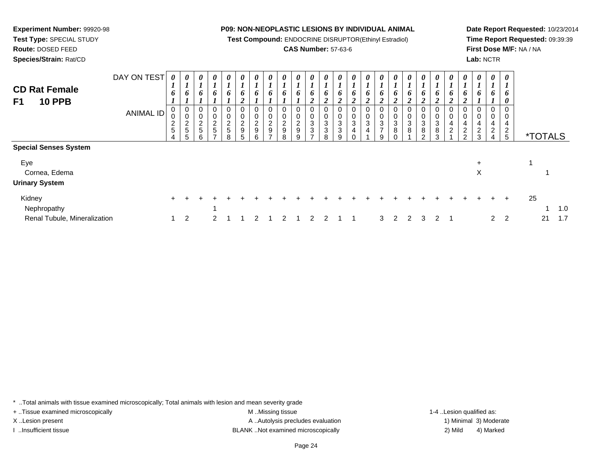**Test Compound:** ENDOCRINE DISRUPTOR(Ethinyl Estradiol)

## **CAS Number:** 57-63-6

**Date Report Requested:** 10/23/2014**Time Report Requested:** 09:39:39**First Dose M/F:** NA / NA**Lab:** NCTR

\*TOTALS

| <b>CD Rat Female</b><br>F1<br><b>10 PPB</b> | DAY ON TEST | $\boldsymbol{\theta}$<br>o | 0<br>6                     | 0<br>o | 0<br><sup>0</sup> | 0<br>6           | $\boldsymbol{\theta}$<br>o | $\boldsymbol{\theta}$<br>o | $\boldsymbol{\theta}$<br>o | $\boldsymbol{\theta}$<br>6 | $\theta$<br>o | 0<br>o | 0<br>6<br>∍<br>$\overline{2}$ | $\theta$<br>o<br>2 | $\boldsymbol{\theta}$<br>o | $\theta$<br>o<br>∠     | $\boldsymbol{\theta}$<br>6<br>2 | 0<br>o | 0<br>o<br>∠ | 0<br>6<br>ി<br>$\overline{2}$ | 0<br>o<br>2 | 0<br>o | - 0<br>- 6<br>2          |
|---------------------------------------------|-------------|----------------------------|----------------------------|--------|-------------------|------------------|----------------------------|----------------------------|----------------------------|----------------------------|---------------|--------|-------------------------------|--------------------|----------------------------|------------------------|---------------------------------|--------|-------------|-------------------------------|-------------|--------|--------------------------|
|                                             | ANIMAL ID   | U<br>ν<br>5                | 0<br>◡<br>റ<br>∠<br>5<br>5 | 5      | ົ<br>$\mathbf{D}$ | 0<br>ົ<br>5<br>8 | ົ<br>9<br>5                | 0<br>0<br>ີ<br>9<br>6      | 0<br>0<br>ົ<br>9           | 0<br>0<br>റ<br>∠<br>9<br>8 | ◠<br>9<br>a   | ົ<br>3 | 0<br>0<br>3<br>3<br>8         | 3<br>3<br>q        | 0<br>0<br>3<br>4           | 0<br>0<br>ົ<br>۰J<br>4 | 0<br>-0<br>3<br>.q              | ົ<br>8 | 3<br>8      | 0<br>0<br>3<br>8<br>ົ         | 3<br>8<br>ર | 4<br>ົ | - 0<br>0<br>4<br>2<br>-2 |
| Special Senses Svstem                       |             |                            |                            |        |                   |                  |                            |                            |                            |                            |               |        |                               |                    |                            |                        |                                 |        |             |                               |             |        |                          |

| Eye<br>Cornea, Edema<br><b>Urinary System</b> |         |  |  |                             |  |  |  |  |  |  |  | $\pm$<br>Χ |             |         |     |     |
|-----------------------------------------------|---------|--|--|-----------------------------|--|--|--|--|--|--|--|------------|-------------|---------|-----|-----|
| Kidney                                        | $+$ $+$ |  |  |                             |  |  |  |  |  |  |  |            |             | $+$ $+$ | -25 |     |
| Nephropathy                                   |         |  |  |                             |  |  |  |  |  |  |  |            |             |         |     | 1.0 |
| Renal Tubule, Mineralization                  |         |  |  | 2 1 2 1 2 2 1 1 3 2 2 3 2 1 |  |  |  |  |  |  |  |            | $2 \quad 2$ |         |     | 1.7 |

\* ..Total animals with tissue examined microscopically; Total animals with lesion and mean severity grade

**Experiment Number:** 99920-98**Test Type:** SPECIAL STUDY**Route:** DOSED FEED**Species/Strain:** Rat/CD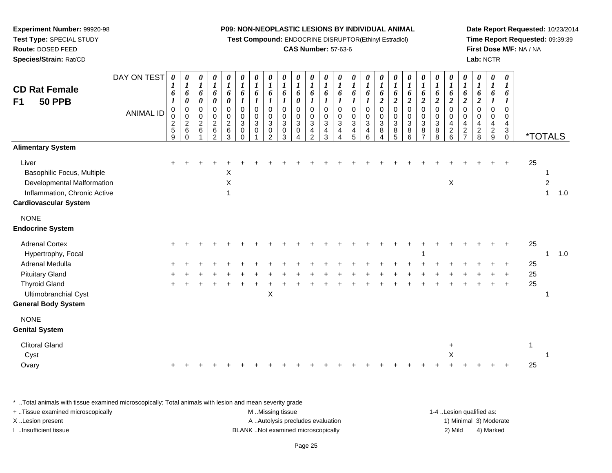**Test Compound:** ENDOCRINE DISRUPTOR(Ethinyl Estradiol)

## **CAS Number:** 57-63-6

**Date Report Requested:** 10/23/2014**Time Report Requested:** 09:39:39**First Dose M/F:** NA / NA**Lab:** NCTR

| <b>CD Rat Female</b><br><b>50 PPB</b><br>F <sub>1</sub><br><b>Alimentary System</b>                                                                                    | DAY ON TEST<br><b>ANIMAL ID</b> | 0<br>1<br>6<br>1<br>0<br>0<br>$\frac{2}{5}$<br>9 | 0<br>$\boldsymbol{l}$<br>6<br>0<br>$\pmb{0}$<br>$\mathbf 0$<br>$\boldsymbol{2}$<br>6<br>$\Omega$ | 0<br>$\boldsymbol{l}$<br>6<br>0<br>0<br>$\pmb{0}$<br>$\overline{c}$<br>6 | 0<br>$\boldsymbol{l}$<br>6<br>$\boldsymbol{\theta}$<br>0<br>$\pmb{0}$<br>$\boldsymbol{2}$<br>$\,6\,$<br>$\mathcal{P}$ | 0<br>$\boldsymbol{l}$<br>6<br>$\pmb{\theta}$<br>0<br>$\pmb{0}$<br>$\overline{a}$<br>$\,6$<br>3 | 0<br>$\boldsymbol{l}$<br>6<br>1<br>$\pmb{0}$<br>$\pmb{0}$<br>$\sqrt{3}$<br>$\pmb{0}$<br>$\Omega$ | 0<br>$\boldsymbol{l}$<br>6<br>1<br>$\mathbf 0$<br>$\mathbf 0$<br>$\mathbf{3}$<br>$\mathbf 0$ | 0<br>$\boldsymbol{l}$<br>6<br>$\boldsymbol{l}$<br>$\pmb{0}$<br>$\pmb{0}$<br>$\mathfrak{S}$<br>$\pmb{0}$<br>2 | 0<br>$\boldsymbol{l}$<br>6<br>1<br>0<br>$\mathbf 0$<br>3<br>0<br>3 | 0<br>$\boldsymbol{l}$<br>6<br>0<br>0<br>0<br>$\mathbf{3}$<br>0<br>4 | $\boldsymbol{\theta}$<br>$\boldsymbol{l}$<br>6<br>1<br>$\mathbf 0$<br>$\mathbf 0$<br>$\mathbf{3}$<br>$\overline{4}$<br>$\mathcal{P}$ | 0<br>$\boldsymbol{l}$<br>6<br>0<br>0<br>3<br>4<br>3 | 0<br>$\boldsymbol{l}$<br>6<br>$\mathbf 0$<br>$\mathbf 0$<br>$\mathbf{3}$<br>4<br>4 | 0<br>1<br>6<br>1<br>0<br>$\pmb{0}$<br>$\mathbf{3}$<br>4<br>5 | 0<br>$\boldsymbol{l}$<br>6<br>1<br>0<br>$\pmb{0}$<br>$\mathbf{3}$<br>4<br>6 | 0<br>$\boldsymbol{l}$<br>6<br>$\boldsymbol{2}$<br>$\mathbf 0$<br>0<br>$\mathbf{3}$<br>8<br>4 | 0<br>$\boldsymbol{l}$<br>6<br>$\boldsymbol{2}$<br>$\pmb{0}$<br>$\pmb{0}$<br>$\sqrt{3}$<br>8<br>5 | $\boldsymbol{\theta}$<br>$\boldsymbol{l}$<br>6<br>$\boldsymbol{2}$<br>$\boldsymbol{0}$<br>$\mathbf 0$<br>3<br>8<br>6 | 0<br>$\boldsymbol{l}$<br>6<br>$\overline{c}$<br>$\pmb{0}$<br>$_{3}^{\rm 0}$<br>8 | 0<br>$\boldsymbol{l}$<br>6<br>$\overline{2}$<br>$\mathbf 0$<br>$\mathbf 0$<br>3<br>8<br>8 | 0<br>$\boldsymbol{l}$<br>6<br>$\boldsymbol{2}$<br>$\mathbf 0$<br>0<br>$\overline{4}$<br>$\boldsymbol{2}$<br>$\,6\,$ | 0<br>$\boldsymbol{l}$<br>6<br>$\boldsymbol{2}$<br>$\pmb{0}$<br>$\pmb{0}$<br>$\overline{4}$<br>$\frac{2}{7}$ | 0<br>$\boldsymbol{l}$<br>6<br>$\boldsymbol{2}$<br>$\mathbf 0$<br>$\pmb{0}$<br>$\overline{4}$<br>$\frac{2}{8}$ | $\boldsymbol{\theta}$<br>$\boldsymbol{I}$<br>6<br>$\boldsymbol{I}$<br>0<br>$\pmb{0}$<br>$\overline{4}$<br>$\frac{2}{9}$ | 0<br>$\boldsymbol{l}$<br>6<br>1<br>0<br>0<br>4<br>$\mathbf{3}$<br>$\mathbf 0$ |                      | <i><b>*TOTALS</b></i>          |     |
|------------------------------------------------------------------------------------------------------------------------------------------------------------------------|---------------------------------|--------------------------------------------------|--------------------------------------------------------------------------------------------------|--------------------------------------------------------------------------|-----------------------------------------------------------------------------------------------------------------------|------------------------------------------------------------------------------------------------|--------------------------------------------------------------------------------------------------|----------------------------------------------------------------------------------------------|--------------------------------------------------------------------------------------------------------------|--------------------------------------------------------------------|---------------------------------------------------------------------|--------------------------------------------------------------------------------------------------------------------------------------|-----------------------------------------------------|------------------------------------------------------------------------------------|--------------------------------------------------------------|-----------------------------------------------------------------------------|----------------------------------------------------------------------------------------------|--------------------------------------------------------------------------------------------------|----------------------------------------------------------------------------------------------------------------------|----------------------------------------------------------------------------------|-------------------------------------------------------------------------------------------|---------------------------------------------------------------------------------------------------------------------|-------------------------------------------------------------------------------------------------------------|---------------------------------------------------------------------------------------------------------------|-------------------------------------------------------------------------------------------------------------------------|-------------------------------------------------------------------------------|----------------------|--------------------------------|-----|
| Liver<br>Basophilic Focus, Multiple<br>Developmental Malformation<br>Inflammation, Chronic Active<br><b>Cardiovascular System</b>                                      |                                 |                                                  |                                                                                                  |                                                                          |                                                                                                                       | х<br>$\sf X$<br>1                                                                              |                                                                                                  |                                                                                              |                                                                                                              |                                                                    |                                                                     |                                                                                                                                      |                                                     |                                                                                    |                                                              |                                                                             |                                                                                              |                                                                                                  |                                                                                                                      |                                                                                  |                                                                                           | $\mathsf X$                                                                                                         |                                                                                                             |                                                                                                               |                                                                                                                         |                                                                               | 25                   | $\overline{a}$<br>$\mathbf{1}$ | 1.0 |
| <b>NONE</b><br><b>Endocrine System</b>                                                                                                                                 |                                 |                                                  |                                                                                                  |                                                                          |                                                                                                                       |                                                                                                |                                                                                                  |                                                                                              |                                                                                                              |                                                                    |                                                                     |                                                                                                                                      |                                                     |                                                                                    |                                                              |                                                                             |                                                                                              |                                                                                                  |                                                                                                                      |                                                                                  |                                                                                           |                                                                                                                     |                                                                                                             |                                                                                                               |                                                                                                                         |                                                                               |                      |                                |     |
| <b>Adrenal Cortex</b><br>Hypertrophy, Focal<br>Adrenal Medulla<br><b>Pituitary Gland</b><br><b>Thyroid Gland</b><br>Ultimobranchial Cyst<br><b>General Body System</b> |                                 |                                                  |                                                                                                  |                                                                          |                                                                                                                       |                                                                                                |                                                                                                  |                                                                                              | X                                                                                                            |                                                                    |                                                                     |                                                                                                                                      |                                                     |                                                                                    |                                                              |                                                                             |                                                                                              |                                                                                                  |                                                                                                                      |                                                                                  |                                                                                           |                                                                                                                     |                                                                                                             |                                                                                                               |                                                                                                                         | $\ddot{}$                                                                     | 25<br>25<br>25<br>25 |                                | 1.0 |
| <b>NONE</b><br><b>Genital System</b><br><b>Clitoral Gland</b><br>Cyst<br>Ovary                                                                                         |                                 |                                                  |                                                                                                  |                                                                          |                                                                                                                       |                                                                                                |                                                                                                  |                                                                                              |                                                                                                              |                                                                    |                                                                     |                                                                                                                                      |                                                     |                                                                                    |                                                              |                                                                             |                                                                                              |                                                                                                  |                                                                                                                      |                                                                                  |                                                                                           | $\ddot{}$<br>X                                                                                                      |                                                                                                             |                                                                                                               |                                                                                                                         |                                                                               | $\mathbf{1}$<br>25   |                                |     |

\* ..Total animals with tissue examined microscopically; Total animals with lesion and mean severity grade

| + Tissue examined microscopically | M Missing tissue                   | 1-4 Lesion qualified as: |                        |
|-----------------------------------|------------------------------------|--------------------------|------------------------|
| X Lesion present                  | A Autolysis precludes evaluation   |                          | 1) Minimal 3) Moderate |
| Insufficient tissue               | BLANK Not examined microscopically | 2) Mild                  | 4) Marked              |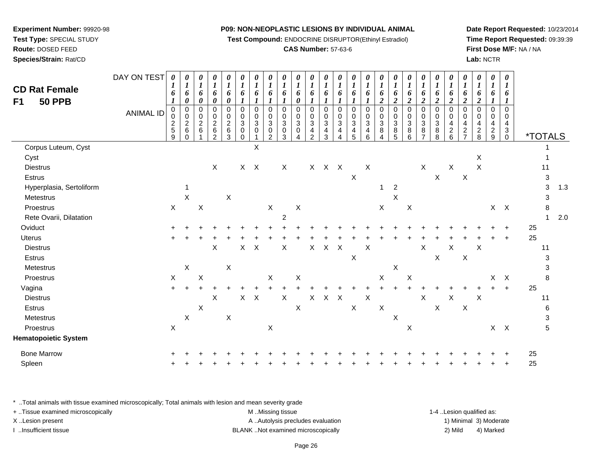**Test Compound:** ENDOCRINE DISRUPTOR(Ethinyl Estradiol)

## **CAS Number:** 57-63-6

**Date Report Requested:** 10/23/2014**Time Report Requested:** 09:39:39**First Dose M/F:** NA / NA**Lab:** NCTR

| <b>CD Rat Female</b><br><b>50 PPB</b><br>F1 | DAY ON TEST<br><b>ANIMAL ID</b> | $\boldsymbol{\theta}$<br>1<br>6<br>1<br>0<br>$\frac{2}{5}$<br>9 | $\boldsymbol{\theta}$<br>$\boldsymbol{I}$<br>6<br>$\boldsymbol{\theta}$<br>$\pmb{0}$<br>0<br>$\overline{2}$<br>$\,6\,$<br>$\Omega$ | 0<br>$\boldsymbol{l}$<br>6<br>$\pmb{\theta}$<br>$\pmb{0}$<br>$\begin{array}{c} 0 \\ 2 \\ 6 \end{array}$ | $\boldsymbol{\theta}$<br>$\boldsymbol{l}$<br>6<br>$\boldsymbol{\theta}$<br>$\mathbf 0$<br>0<br>$\frac{2}{6}$<br>$\overline{c}$ | $\pmb{\theta}$<br>$\boldsymbol{l}$<br>6<br>0<br>$\mathbf 0$<br>0<br>$\frac{2}{6}$<br>3 | 0<br>$\boldsymbol{l}$<br>6<br>$\mathbf 0$<br>0<br>$\mathbf{3}$<br>0<br>$\Omega$ | $\pmb{\theta}$<br>$\boldsymbol{l}$<br>6<br>$\mathbf 0$<br>0<br>$\sqrt{3}$<br>0 | 0<br>1<br>6<br>$\mathbf 0$<br>0<br>3<br>0<br>$\mathcal{P}$ | 0<br>$\boldsymbol{l}$<br>6<br>1<br>$\mathbf 0$<br>0<br>3<br>0<br>3 | $\boldsymbol{\theta}$<br>$\boldsymbol{l}$<br>6<br>0<br>$\Omega$<br>0<br>$\sqrt{3}$<br>0 | $\pmb{\theta}$<br>$\boldsymbol{l}$<br>6<br>$\mathbf 0$<br>0<br>$\overline{3}$<br>4<br>$\mathcal{P}$ | $\pmb{\theta}$<br>$\boldsymbol{l}$<br>6<br>$\mathbf 0$<br>0<br>$\overline{3}$<br>4<br>3 | 0<br>1<br>6<br>$\mathbf 0$<br>0<br>$\ensuremath{\mathsf{3}}$<br>4<br>4 | 0<br>1<br>6<br>$\mathbf 0$<br>0<br>$\mathbf{3}$<br>4<br>5 | 0<br>1<br>6<br>$\mathbf 0$<br>0<br>$\sqrt{3}$<br>4<br>6 | 0<br>1<br>6<br>2<br>$\Omega$<br>0<br>3<br>8<br>4 | 0<br>$\boldsymbol{I}$<br>6<br>$\boldsymbol{2}$<br>$\mathbf 0$<br>0<br>$\mathbf{3}$<br>8<br>5 | 0<br>$\boldsymbol{l}$<br>6<br>$\boldsymbol{2}$<br>$\mathbf 0$<br>0<br>$\mathbf{3}$<br>8<br>6 | $\boldsymbol{\theta}$<br>$\boldsymbol{l}$<br>6<br>$\boldsymbol{2}$<br>$\mathbf 0$<br>0<br>$\sqrt{3}$<br>8 | 0<br>$\boldsymbol{l}$<br>6<br>$\boldsymbol{2}$<br>$\mathsf 0$<br>$_{3}^{\rm 0}$<br>$\overline{8}$<br>8 | 0<br>$\boldsymbol{l}$<br>6<br>$\overline{2}$<br>$\mathbf 0$<br>0<br>$\overline{4}$<br>$\frac{2}{6}$ | $\pmb{\theta}$<br>$\boldsymbol{l}$<br>6<br>$\overline{c}$<br>$\mathbf 0$<br>0<br>4<br>$\boldsymbol{2}$<br>$\overline{7}$ | 0<br>$\boldsymbol{l}$<br>6<br>$\boldsymbol{2}$<br>$\mathbf 0$<br>0<br>$\overline{4}$<br>$\overline{c}$<br>8 | $\boldsymbol{\theta}$<br>$\boldsymbol{l}$<br>6<br>$\mathbf 0$<br>0<br>$\overline{4}$<br>$\frac{2}{9}$ | 0<br>$\bm{l}$<br>6<br>$\Omega$<br>0<br>4<br>3<br>$\mathbf 0$ | <i><b>*TOTALS</b></i> |                           |     |
|---------------------------------------------|---------------------------------|-----------------------------------------------------------------|------------------------------------------------------------------------------------------------------------------------------------|---------------------------------------------------------------------------------------------------------|--------------------------------------------------------------------------------------------------------------------------------|----------------------------------------------------------------------------------------|---------------------------------------------------------------------------------|--------------------------------------------------------------------------------|------------------------------------------------------------|--------------------------------------------------------------------|-----------------------------------------------------------------------------------------|-----------------------------------------------------------------------------------------------------|-----------------------------------------------------------------------------------------|------------------------------------------------------------------------|-----------------------------------------------------------|---------------------------------------------------------|--------------------------------------------------|----------------------------------------------------------------------------------------------|----------------------------------------------------------------------------------------------|-----------------------------------------------------------------------------------------------------------|--------------------------------------------------------------------------------------------------------|-----------------------------------------------------------------------------------------------------|--------------------------------------------------------------------------------------------------------------------------|-------------------------------------------------------------------------------------------------------------|-------------------------------------------------------------------------------------------------------|--------------------------------------------------------------|-----------------------|---------------------------|-----|
| Corpus Luteum, Cyst                         |                                 |                                                                 |                                                                                                                                    |                                                                                                         |                                                                                                                                |                                                                                        |                                                                                 | X                                                                              |                                                            |                                                                    |                                                                                         |                                                                                                     |                                                                                         |                                                                        |                                                           |                                                         |                                                  |                                                                                              |                                                                                              |                                                                                                           |                                                                                                        |                                                                                                     |                                                                                                                          |                                                                                                             |                                                                                                       |                                                              |                       |                           |     |
| Cyst                                        |                                 |                                                                 |                                                                                                                                    |                                                                                                         |                                                                                                                                |                                                                                        |                                                                                 |                                                                                |                                                            |                                                                    |                                                                                         |                                                                                                     |                                                                                         |                                                                        |                                                           |                                                         |                                                  |                                                                                              |                                                                                              |                                                                                                           |                                                                                                        |                                                                                                     |                                                                                                                          | X                                                                                                           |                                                                                                       |                                                              |                       | 1                         |     |
| <b>Diestrus</b>                             |                                 |                                                                 |                                                                                                                                    |                                                                                                         | $\sf X$                                                                                                                        |                                                                                        |                                                                                 | $X$ $X$                                                                        |                                                            | $\mathsf{X}$                                                       |                                                                                         |                                                                                                     | X X X                                                                                   |                                                                        |                                                           | $\boldsymbol{X}$                                        |                                                  |                                                                                              |                                                                                              | $\mathsf X$                                                                                               |                                                                                                        | $\mathsf X$                                                                                         |                                                                                                                          | X                                                                                                           |                                                                                                       |                                                              | 11                    |                           |     |
| Estrus                                      |                                 |                                                                 |                                                                                                                                    |                                                                                                         |                                                                                                                                |                                                                                        |                                                                                 |                                                                                |                                                            |                                                                    |                                                                                         |                                                                                                     |                                                                                         |                                                                        | $\boldsymbol{\mathsf{X}}$                                 |                                                         |                                                  |                                                                                              |                                                                                              |                                                                                                           | $\mathsf X$                                                                                            |                                                                                                     | $\mathsf X$                                                                                                              |                                                                                                             |                                                                                                       |                                                              |                       | $\ensuremath{\mathsf{3}}$ |     |
| Hyperplasia, Sertoliform                    |                                 |                                                                 | 1                                                                                                                                  |                                                                                                         |                                                                                                                                |                                                                                        |                                                                                 |                                                                                |                                                            |                                                                    |                                                                                         |                                                                                                     |                                                                                         |                                                                        |                                                           |                                                         | $\overline{1}$                                   | $\overline{2}$                                                                               |                                                                                              |                                                                                                           |                                                                                                        |                                                                                                     |                                                                                                                          |                                                                                                             |                                                                                                       |                                                              |                       | 3                         | 1.3 |
| Metestrus                                   |                                 |                                                                 | $\pmb{\times}$                                                                                                                     |                                                                                                         |                                                                                                                                | X                                                                                      |                                                                                 |                                                                                |                                                            |                                                                    |                                                                                         |                                                                                                     |                                                                                         |                                                                        |                                                           |                                                         |                                                  | X                                                                                            |                                                                                              |                                                                                                           |                                                                                                        |                                                                                                     |                                                                                                                          |                                                                                                             |                                                                                                       |                                                              |                       | 3                         |     |
| Proestrus                                   |                                 | $\boldsymbol{X}$                                                |                                                                                                                                    | $\pmb{\times}$                                                                                          |                                                                                                                                |                                                                                        |                                                                                 |                                                                                | $\boldsymbol{\mathsf{X}}$                                  |                                                                    | $\boldsymbol{\mathsf{X}}$                                                               |                                                                                                     |                                                                                         |                                                                        |                                                           |                                                         | $\boldsymbol{X}$                                 |                                                                                              | $\boldsymbol{\mathsf{X}}$                                                                    |                                                                                                           |                                                                                                        |                                                                                                     |                                                                                                                          |                                                                                                             |                                                                                                       | $X$ $X$                                                      |                       | 8                         |     |
| Rete Ovarii, Dilatation                     |                                 |                                                                 |                                                                                                                                    |                                                                                                         |                                                                                                                                |                                                                                        |                                                                                 |                                                                                |                                                            | $\overline{2}$                                                     |                                                                                         |                                                                                                     |                                                                                         |                                                                        |                                                           |                                                         |                                                  |                                                                                              |                                                                                              |                                                                                                           |                                                                                                        |                                                                                                     |                                                                                                                          |                                                                                                             |                                                                                                       |                                                              |                       | $\mathbf{1}$              | 2.0 |
| Oviduct                                     |                                 |                                                                 |                                                                                                                                    |                                                                                                         |                                                                                                                                |                                                                                        |                                                                                 |                                                                                |                                                            |                                                                    |                                                                                         |                                                                                                     |                                                                                         |                                                                        |                                                           |                                                         |                                                  |                                                                                              |                                                                                              |                                                                                                           |                                                                                                        |                                                                                                     |                                                                                                                          |                                                                                                             |                                                                                                       |                                                              | 25                    |                           |     |
| Uterus                                      |                                 |                                                                 |                                                                                                                                    |                                                                                                         |                                                                                                                                |                                                                                        |                                                                                 |                                                                                |                                                            |                                                                    |                                                                                         |                                                                                                     |                                                                                         |                                                                        |                                                           |                                                         |                                                  |                                                                                              |                                                                                              |                                                                                                           |                                                                                                        |                                                                                                     |                                                                                                                          |                                                                                                             |                                                                                                       | $\ddot{}$                                                    | 25                    |                           |     |
| <b>Diestrus</b>                             |                                 |                                                                 |                                                                                                                                    |                                                                                                         | $\sf X$                                                                                                                        |                                                                                        | $\mathsf{X}$                                                                    | $\mathsf{X}$                                                                   |                                                            | $\pmb{\times}$                                                     |                                                                                         | $\mathsf{X}$                                                                                        | $\mathsf X$                                                                             | $\mathsf{X}$                                                           |                                                           | $\boldsymbol{\mathsf{X}}$                               |                                                  |                                                                                              |                                                                                              | $\mathsf X$                                                                                               |                                                                                                        | $\mathsf X$                                                                                         |                                                                                                                          | $\boldsymbol{\mathsf{X}}$                                                                                   |                                                                                                       |                                                              | 11                    |                           |     |
| Estrus                                      |                                 |                                                                 |                                                                                                                                    |                                                                                                         |                                                                                                                                |                                                                                        |                                                                                 |                                                                                |                                                            |                                                                    |                                                                                         |                                                                                                     |                                                                                         |                                                                        | $\mathsf X$                                               |                                                         |                                                  |                                                                                              |                                                                                              |                                                                                                           | $\mathsf X$                                                                                            |                                                                                                     | $\boldsymbol{\mathsf{X}}$                                                                                                |                                                                                                             |                                                                                                       |                                                              |                       | 3                         |     |
| Metestrus                                   |                                 |                                                                 | $\boldsymbol{\mathsf{X}}$                                                                                                          |                                                                                                         |                                                                                                                                | X                                                                                      |                                                                                 |                                                                                |                                                            |                                                                    |                                                                                         |                                                                                                     |                                                                                         |                                                                        |                                                           |                                                         |                                                  | $\boldsymbol{\mathsf{X}}$                                                                    |                                                                                              |                                                                                                           |                                                                                                        |                                                                                                     |                                                                                                                          |                                                                                                             |                                                                                                       |                                                              |                       | 3                         |     |
| Proestrus                                   |                                 | $\mathsf X$                                                     |                                                                                                                                    | $\mathsf X$                                                                                             |                                                                                                                                |                                                                                        |                                                                                 |                                                                                | X                                                          |                                                                    | $\boldsymbol{\mathsf{X}}$                                                               |                                                                                                     |                                                                                         |                                                                        |                                                           |                                                         | X                                                |                                                                                              | $\boldsymbol{\mathsf{X}}$                                                                    |                                                                                                           |                                                                                                        |                                                                                                     |                                                                                                                          |                                                                                                             | X                                                                                                     | $\boldsymbol{X}$                                             |                       | 8                         |     |
| Vagina                                      |                                 | $+$                                                             |                                                                                                                                    |                                                                                                         |                                                                                                                                |                                                                                        |                                                                                 |                                                                                |                                                            |                                                                    |                                                                                         |                                                                                                     |                                                                                         |                                                                        |                                                           |                                                         |                                                  |                                                                                              |                                                                                              |                                                                                                           |                                                                                                        |                                                                                                     |                                                                                                                          |                                                                                                             |                                                                                                       | $\ddot{}$                                                    | 25                    |                           |     |
| <b>Diestrus</b>                             |                                 |                                                                 |                                                                                                                                    |                                                                                                         | X                                                                                                                              |                                                                                        |                                                                                 | $X$ $X$                                                                        |                                                            | $\mathsf X$                                                        |                                                                                         | $\mathsf X$                                                                                         | $\mathsf X$                                                                             | $\boldsymbol{\mathsf{X}}$                                              |                                                           | $\mathsf X$                                             |                                                  |                                                                                              |                                                                                              | $\sf X$                                                                                                   |                                                                                                        | $\sf X$                                                                                             |                                                                                                                          | $\mathsf X$                                                                                                 |                                                                                                       |                                                              | 11                    |                           |     |
| Estrus                                      |                                 |                                                                 |                                                                                                                                    | X                                                                                                       |                                                                                                                                |                                                                                        |                                                                                 |                                                                                |                                                            |                                                                    | $\boldsymbol{\mathsf{X}}$                                                               |                                                                                                     |                                                                                         |                                                                        | $\mathsf X$                                               |                                                         | $\mathsf X$                                      |                                                                                              |                                                                                              |                                                                                                           | X                                                                                                      |                                                                                                     | $\mathsf X$                                                                                                              |                                                                                                             |                                                                                                       |                                                              |                       | 6                         |     |
| Metestrus                                   |                                 |                                                                 | $\mathsf X$                                                                                                                        |                                                                                                         |                                                                                                                                | X                                                                                      |                                                                                 |                                                                                |                                                            |                                                                    |                                                                                         |                                                                                                     |                                                                                         |                                                                        |                                                           |                                                         |                                                  | $\sf X$                                                                                      |                                                                                              |                                                                                                           |                                                                                                        |                                                                                                     |                                                                                                                          |                                                                                                             |                                                                                                       |                                                              |                       | 3                         |     |
| Proestrus                                   |                                 | X                                                               |                                                                                                                                    |                                                                                                         |                                                                                                                                |                                                                                        |                                                                                 |                                                                                | $\boldsymbol{\mathsf{X}}$                                  |                                                                    |                                                                                         |                                                                                                     |                                                                                         |                                                                        |                                                           |                                                         |                                                  |                                                                                              | $\boldsymbol{\mathsf{X}}$                                                                    |                                                                                                           |                                                                                                        |                                                                                                     |                                                                                                                          |                                                                                                             |                                                                                                       | $X$ $X$                                                      |                       | 5                         |     |
| <b>Hematopoietic System</b>                 |                                 |                                                                 |                                                                                                                                    |                                                                                                         |                                                                                                                                |                                                                                        |                                                                                 |                                                                                |                                                            |                                                                    |                                                                                         |                                                                                                     |                                                                                         |                                                                        |                                                           |                                                         |                                                  |                                                                                              |                                                                                              |                                                                                                           |                                                                                                        |                                                                                                     |                                                                                                                          |                                                                                                             |                                                                                                       |                                                              |                       |                           |     |
| <b>Bone Marrow</b>                          |                                 |                                                                 |                                                                                                                                    |                                                                                                         |                                                                                                                                |                                                                                        |                                                                                 |                                                                                |                                                            |                                                                    |                                                                                         |                                                                                                     |                                                                                         |                                                                        |                                                           |                                                         |                                                  |                                                                                              |                                                                                              |                                                                                                           |                                                                                                        |                                                                                                     |                                                                                                                          |                                                                                                             |                                                                                                       |                                                              | 25                    |                           |     |
| Spleen                                      |                                 |                                                                 |                                                                                                                                    |                                                                                                         |                                                                                                                                |                                                                                        |                                                                                 |                                                                                |                                                            |                                                                    |                                                                                         |                                                                                                     |                                                                                         |                                                                        |                                                           |                                                         |                                                  |                                                                                              |                                                                                              |                                                                                                           |                                                                                                        |                                                                                                     |                                                                                                                          |                                                                                                             |                                                                                                       |                                                              | 25                    |                           |     |
|                                             |                                 |                                                                 |                                                                                                                                    |                                                                                                         |                                                                                                                                |                                                                                        |                                                                                 |                                                                                |                                                            |                                                                    |                                                                                         |                                                                                                     |                                                                                         |                                                                        |                                                           |                                                         |                                                  |                                                                                              |                                                                                              |                                                                                                           |                                                                                                        |                                                                                                     |                                                                                                                          |                                                                                                             |                                                                                                       |                                                              |                       |                           |     |

\* ..Total animals with tissue examined microscopically; Total animals with lesion and mean severity grade

**Experiment Number:** 99920-98**Test Type:** SPECIAL STUDY**Route:** DOSED FEED**Species/Strain:** Rat/CD